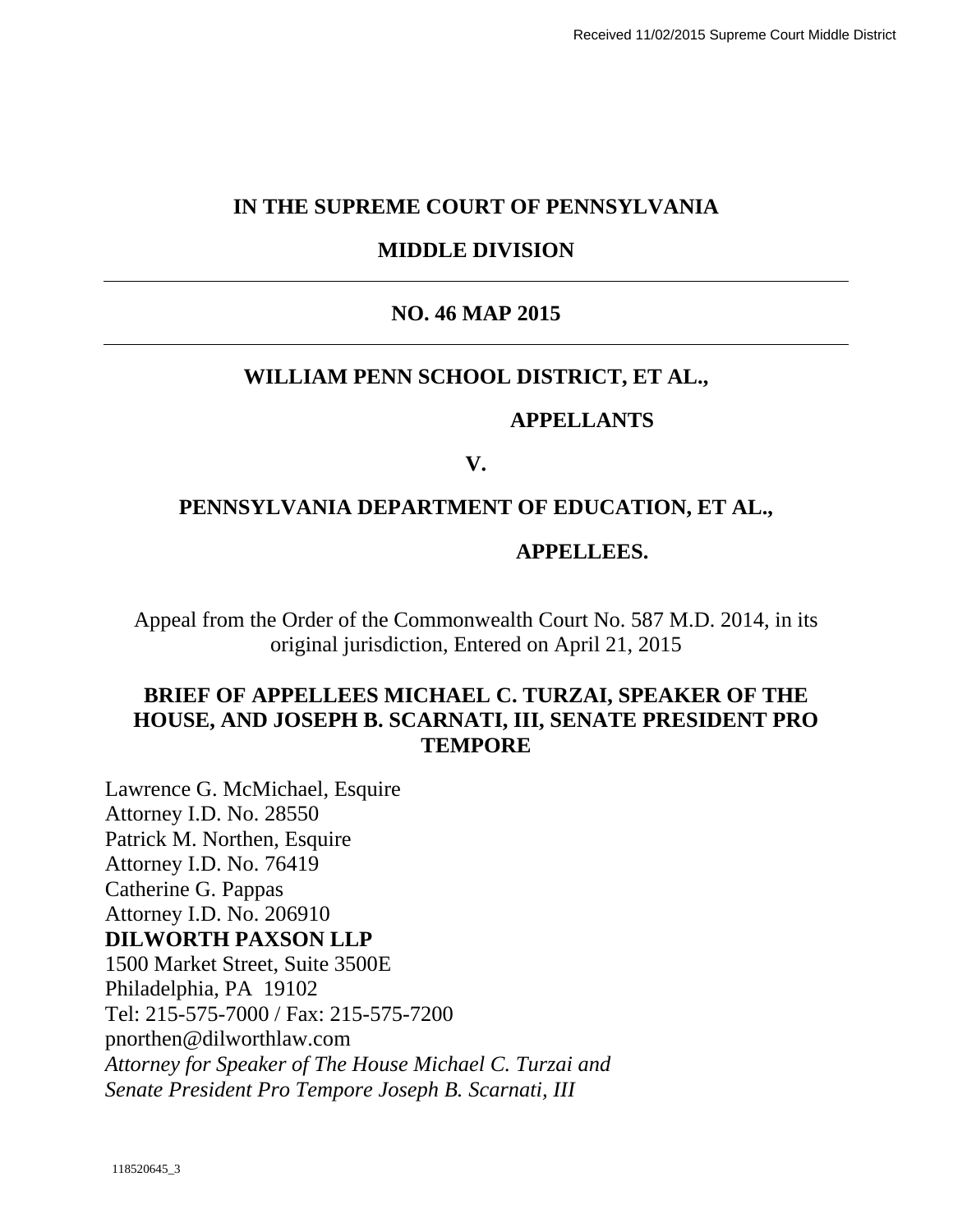## **IN THE SUPREME COURT OF PENNSYLVANIA**

## **MIDDLE DIVISION**

## **NO. 46 MAP 2015**

## **WILLIAM PENN SCHOOL DISTRICT, ET AL.,**

#### **APPELLANTS**

## **V.**

## **PENNSYLVANIA DEPARTMENT OF EDUCATION, ET AL.,**

#### **APPELLEES.**

Appeal from the Order of the Commonwealth Court No. 587 M.D. 2014, in its original jurisdiction, Entered on April 21, 2015

## **BRIEF OF APPELLEES MICHAEL C. TURZAI, SPEAKER OF THE HOUSE, AND JOSEPH B. SCARNATI, III, SENATE PRESIDENT PRO TEMPORE**

Lawrence G. McMichael, Esquire Attorney I.D. No. 28550 Patrick M. Northen, Esquire Attorney I.D. No. 76419 Catherine G. Pappas Attorney I.D. No. 206910 **DILWORTH PAXSON LLP**  1500 Market Street, Suite 3500E Philadelphia, PA 19102 Tel: 215-575-7000 / Fax: 215-575-7200 pnorthen@dilworthlaw.com *Attorney for Speaker of The House Michael C. Turzai and Senate President Pro Tempore Joseph B. Scarnati, III*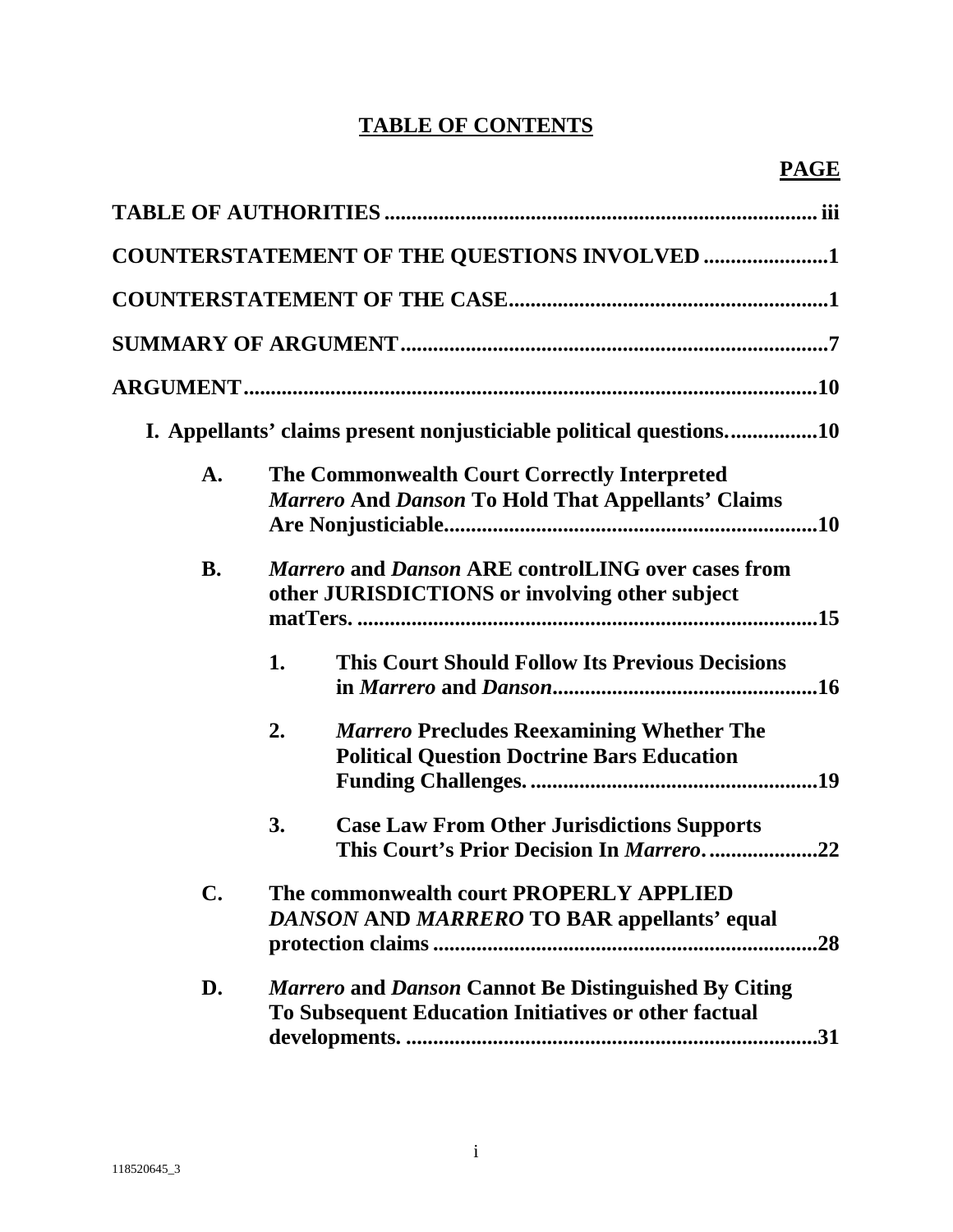# **TABLE OF CONTENTS**

|                | <b>COUNTERSTATEMENT OF THE QUESTIONS INVOLVED 1</b>                                                                        |
|----------------|----------------------------------------------------------------------------------------------------------------------------|
|                |                                                                                                                            |
|                |                                                                                                                            |
|                |                                                                                                                            |
|                | I. Appellants' claims present nonjusticiable political questions10                                                         |
| $\mathbf{A}$ . | The Commonwealth Court Correctly Interpreted<br><b>Marrero And Danson To Hold That Appellants' Claims</b>                  |
| <b>B.</b>      | Marrero and Danson ARE controlLING over cases from<br>other JURISDICTIONS or involving other subject                       |
|                | 1.<br><b>This Court Should Follow Its Previous Decisions</b>                                                               |
|                | 2.<br><b>Marrero Precludes Reexamining Whether The</b><br><b>Political Question Doctrine Bars Education</b>                |
|                | 3.<br><b>Case Law From Other Jurisdictions Supports</b><br>This Court's Prior Decision In Marrero22                        |
| C.             | The commonwealth court PROPERLY APPLIED<br>DANSON AND MARRERO TO BAR appellants' equal<br>.28                              |
| D.             | <b>Marrero and Danson Cannot Be Distinguished By Citing</b><br>To Subsequent Education Initiatives or other factual<br>.31 |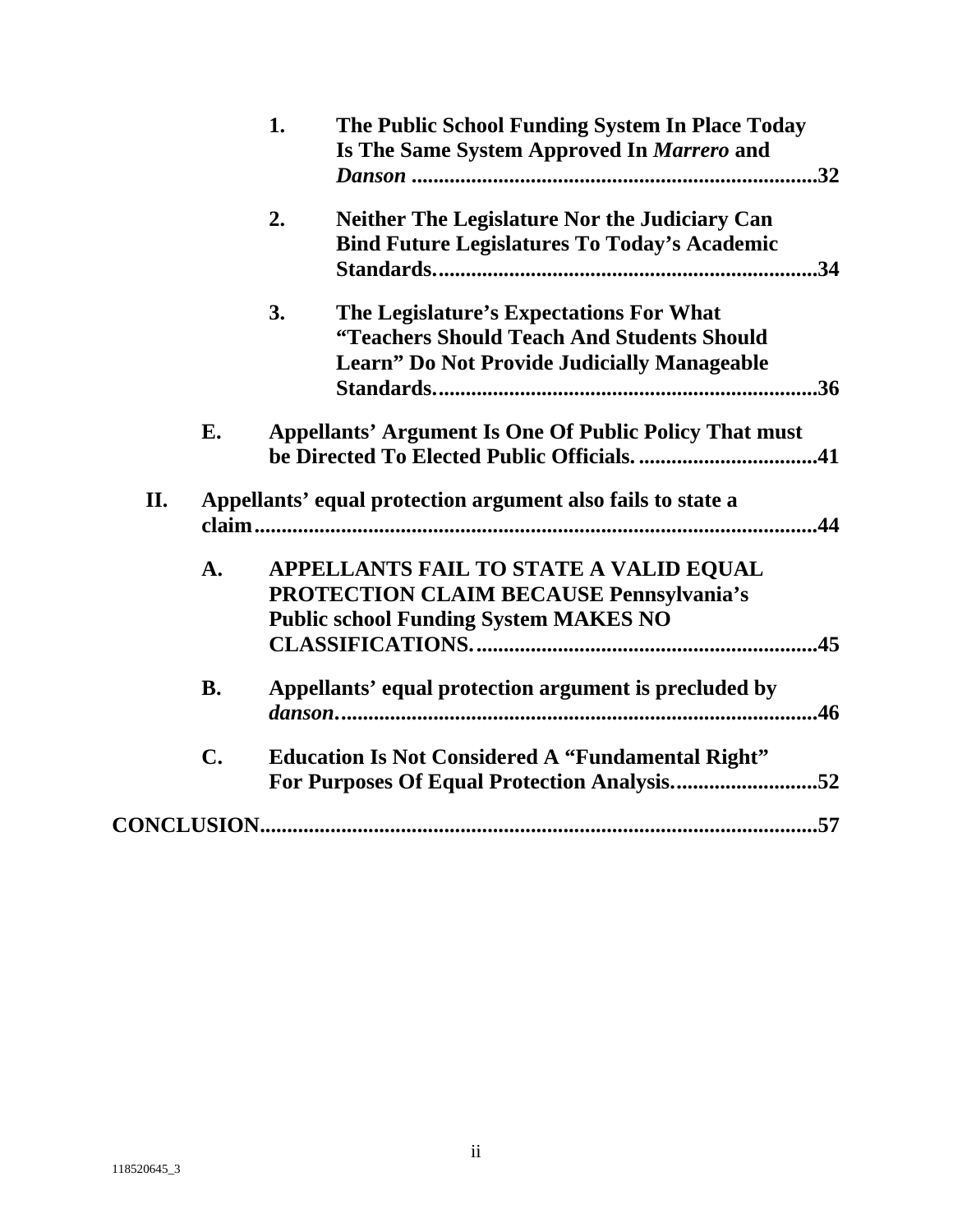|     |                | The Public School Funding System In Place Today<br>1.<br>Is The Same System Approved In Marrero and                                               |
|-----|----------------|---------------------------------------------------------------------------------------------------------------------------------------------------|
|     |                | <b>Neither The Legislature Nor the Judiciary Can</b><br>2.<br><b>Bind Future Legislatures To Today's Academic</b>                                 |
|     |                | 3.<br>The Legislature's Expectations For What<br>"Teachers Should Teach And Students Should<br><b>Learn" Do Not Provide Judicially Manageable</b> |
|     | E.             | <b>Appellants' Argument Is One Of Public Policy That must</b>                                                                                     |
| II. |                | Appellants' equal protection argument also fails to state a                                                                                       |
|     | A.             | APPELLANTS FAIL TO STATE A VALID EQUAL<br>PROTECTION CLAIM BECAUSE Pennsylvania's<br><b>Public school Funding System MAKES NO</b>                 |
|     | <b>B.</b>      | Appellants' equal protection argument is precluded by<br>.46                                                                                      |
|     | $\mathbf{C}$ . | <b>Education Is Not Considered A "Fundamental Right"</b><br>For Purposes Of Equal Protection Analysis52                                           |
|     |                |                                                                                                                                                   |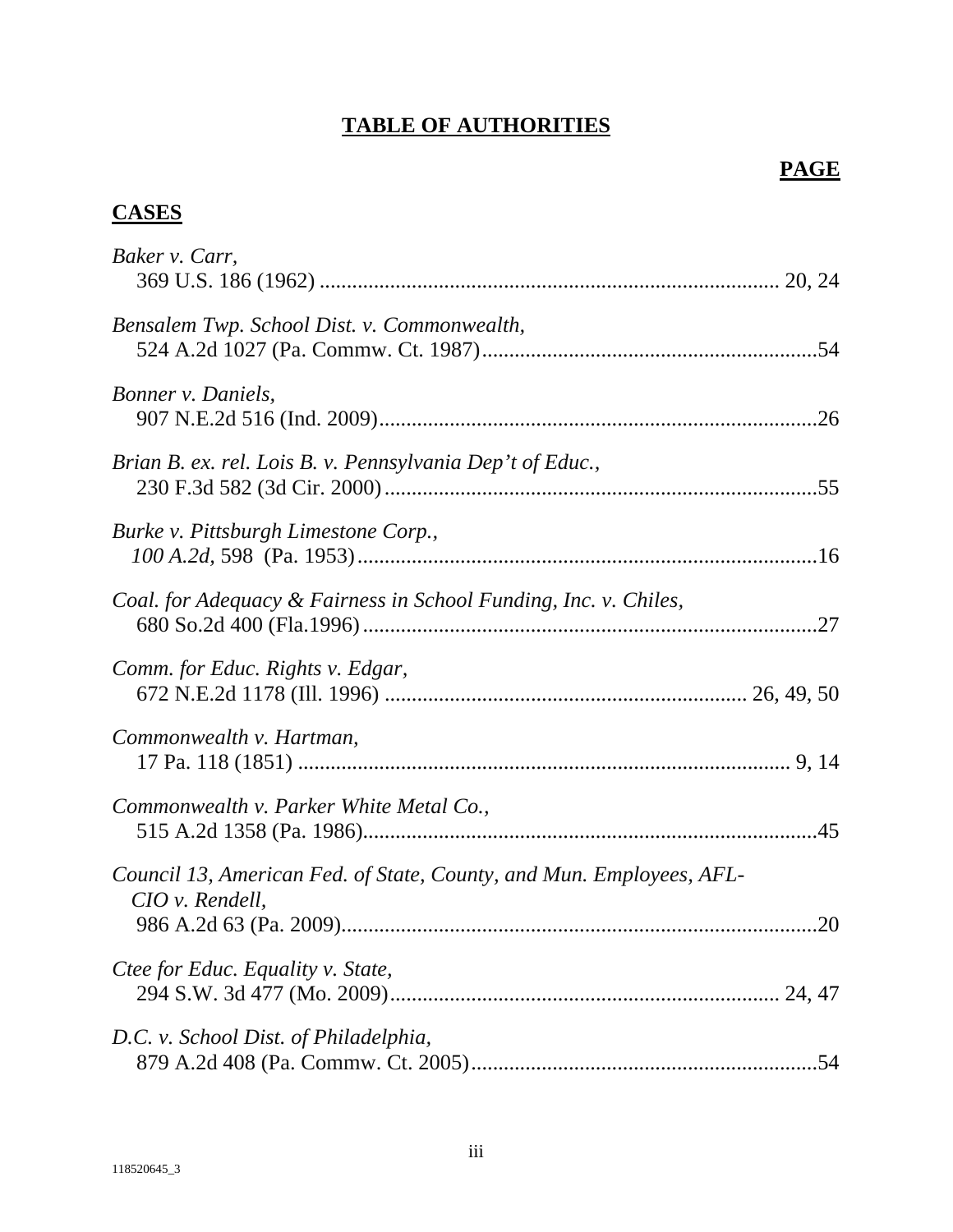# **TABLE OF AUTHORITIES**

## **PAGE**

## **CASES**

| Baker v. Carr,                                                                          |
|-----------------------------------------------------------------------------------------|
| Bensalem Twp. School Dist. v. Commonwealth,                                             |
| Bonner v. Daniels,                                                                      |
| Brian B. ex. rel. Lois B. v. Pennsylvania Dep't of Educ.,                               |
| Burke v. Pittsburgh Limestone Corp.,                                                    |
| Coal. for Adequacy & Fairness in School Funding, Inc. v. Chiles,                        |
| Comm. for Educ. Rights v. Edgar,                                                        |
| Commonwealth v. Hartman,                                                                |
| Commonwealth v. Parker White Metal Co.,                                                 |
| Council 13, American Fed. of State, County, and Mun. Employees, AFL-<br>CIO v. Rendell, |
| Ctee for Educ. Equality v. State,                                                       |
| D.C. v. School Dist. of Philadelphia,                                                   |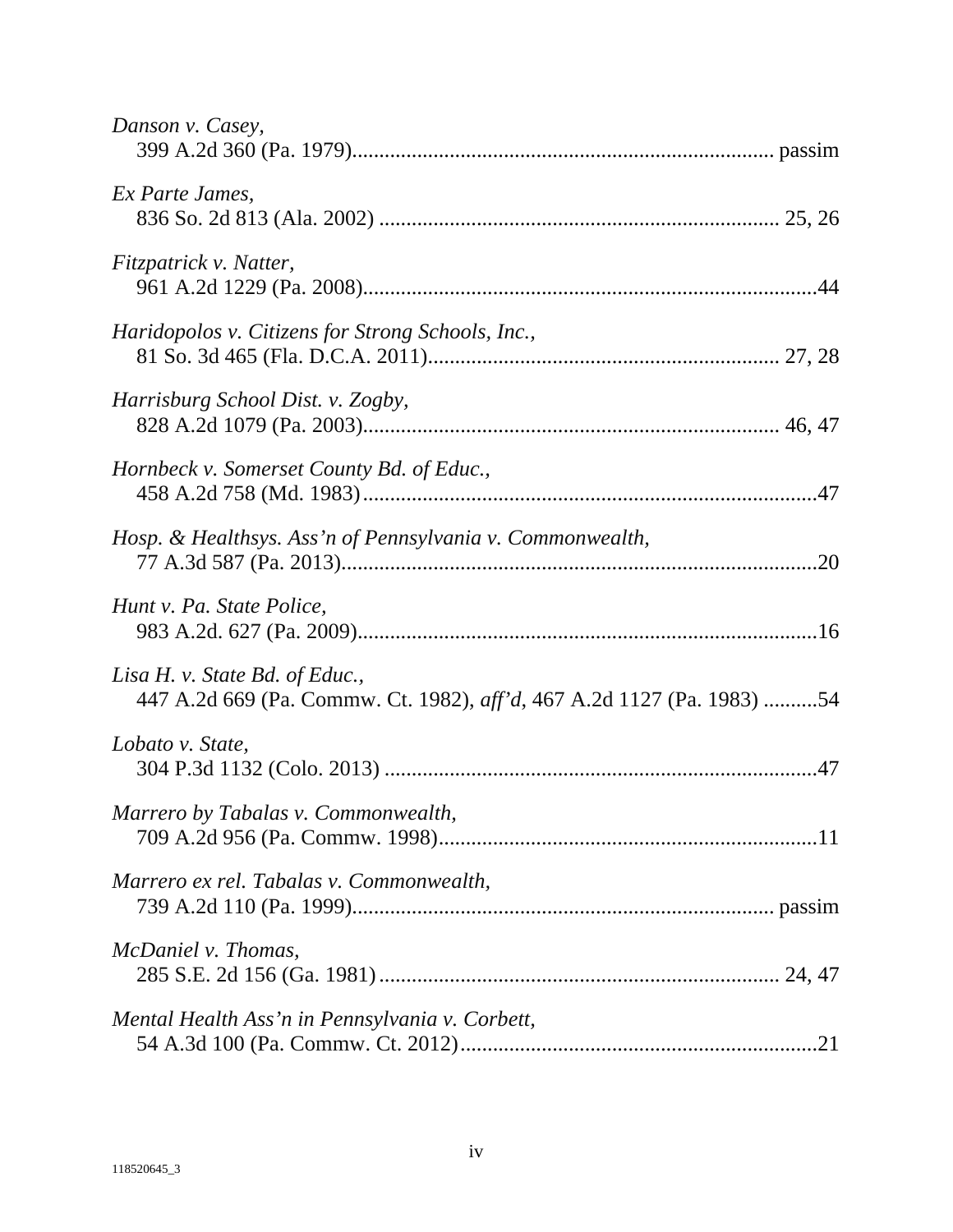| Danson v. Casey,                                                                                         |
|----------------------------------------------------------------------------------------------------------|
| Ex Parte James,                                                                                          |
| Fitzpatrick v. Natter,                                                                                   |
| Haridopolos v. Citizens for Strong Schools, Inc.,                                                        |
| Harrisburg School Dist. v. Zogby,                                                                        |
| Hornbeck v. Somerset County Bd. of Educ.,                                                                |
| Hosp. & Healthsys. Ass'n of Pennsylvania v. Commonwealth,                                                |
| Hunt v. Pa. State Police,                                                                                |
| Lisa H. v. State Bd. of Educ.,<br>447 A.2d 669 (Pa. Commw. Ct. 1982), aff'd, 467 A.2d 1127 (Pa. 1983) 54 |
| Lobato v. State,                                                                                         |
| Marrero by Tabalas v. Commonwealth,                                                                      |
| Marrero ex rel. Tabalas v. Commonwealth,                                                                 |
| McDaniel v. Thomas,                                                                                      |
| Mental Health Ass'n in Pennsylvania v. Corbett,                                                          |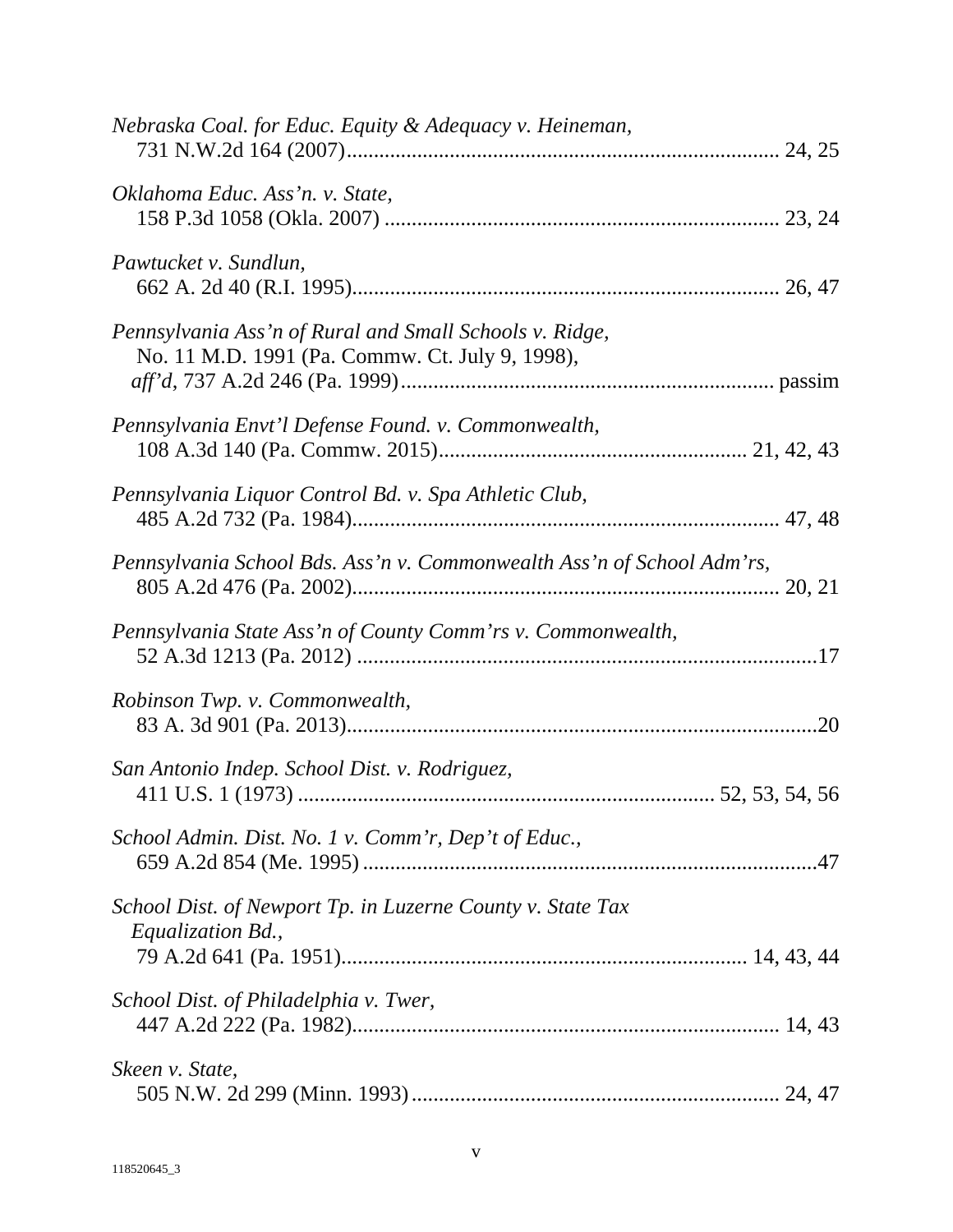| Nebraska Coal. for Educ. Equity & Adequacy v. Heineman,                                                    |
|------------------------------------------------------------------------------------------------------------|
| Oklahoma Educ. Ass'n. v. State,                                                                            |
| Pawtucket v. Sundlun,                                                                                      |
| Pennsylvania Ass'n of Rural and Small Schools v. Ridge,<br>No. 11 M.D. 1991 (Pa. Commw. Ct. July 9, 1998), |
| Pennsylvania Envt'l Defense Found. v. Commonwealth,                                                        |
| Pennsylvania Liquor Control Bd. v. Spa Athletic Club,                                                      |
| Pennsylvania School Bds. Ass'n v. Commonwealth Ass'n of School Adm'rs,                                     |
| Pennsylvania State Ass'n of County Comm'rs v. Commonwealth,                                                |
| Robinson Twp. v. Commonwealth,                                                                             |
| San Antonio Indep. School Dist. v. Rodriguez,                                                              |
| School Admin. Dist. No. 1 v. Comm'r, Dep't of Educ.,                                                       |
| School Dist. of Newport Tp. in Luzerne County v. State Tax<br>Equalization Bd.,                            |
| School Dist. of Philadelphia v. Twer,                                                                      |
| Skeen v. State,                                                                                            |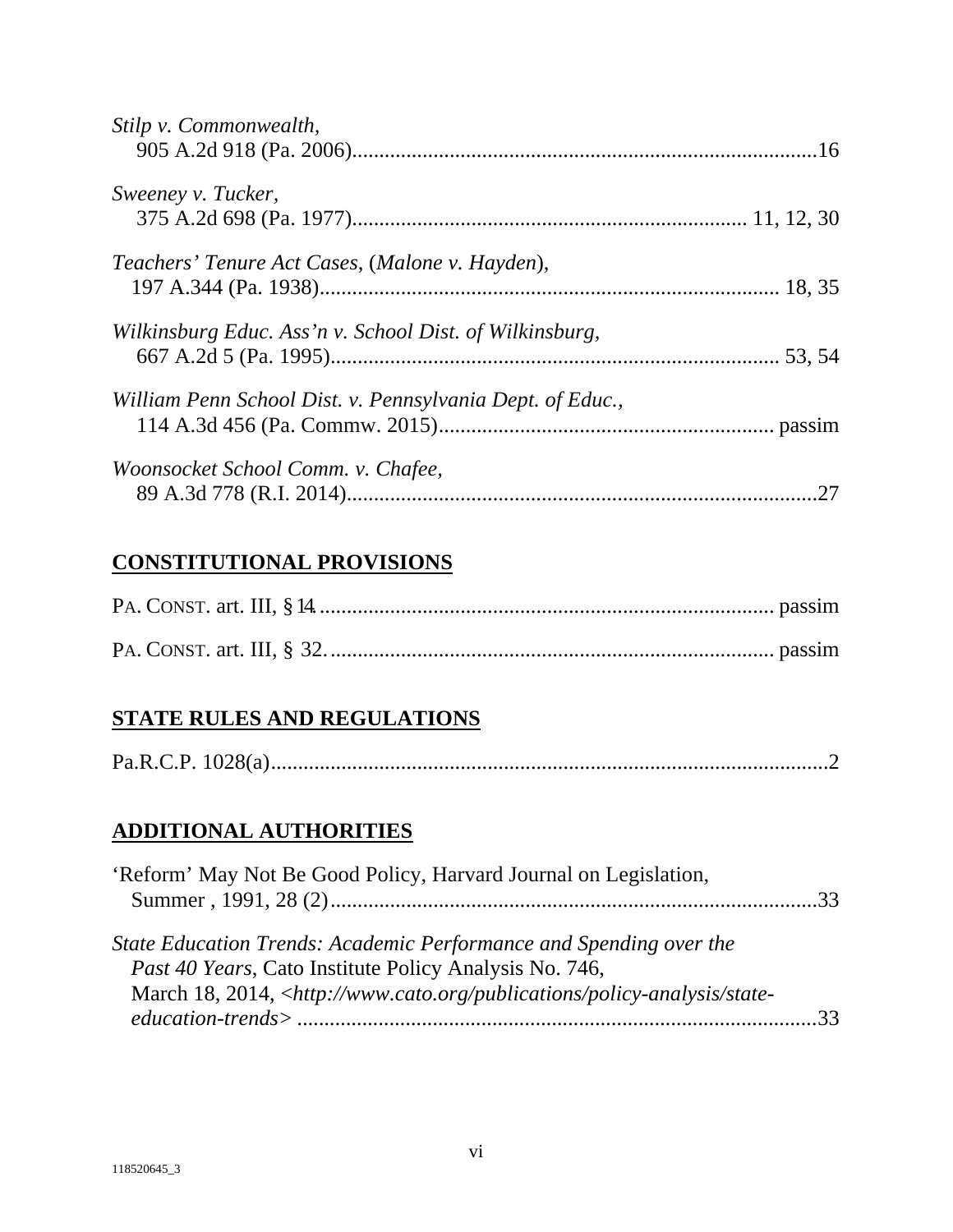| Stilp v. Commonwealth,                                    |     |
|-----------------------------------------------------------|-----|
| Sweeney v. Tucker,                                        |     |
| Teachers' Tenure Act Cases, (Malone v. Hayden),           |     |
| Wilkinsburg Educ. Ass'n v. School Dist. of Wilkinsburg,   |     |
| William Penn School Dist. v. Pennsylvania Dept. of Educ., |     |
| Woonsocket School Comm. v. Chafee,                        | .27 |

# **CONSTITUTIONAL PROVISIONS**

# **STATE RULES AND REGULATIONS**

|--|

# **ADDITIONAL AUTHORITIES**

| 'Reform' May Not Be Good Policy, Harvard Journal on Legislation,                                                                    |  |
|-------------------------------------------------------------------------------------------------------------------------------------|--|
| State Education Trends: Academic Performance and Spending over the<br><i>Past 40 Years, Cato Institute Policy Analysis No. 746,</i> |  |
| March 18, 2014, <http: policy-analysis="" publications="" state-<="" td="" www.cato.org=""><td></td></http:>                        |  |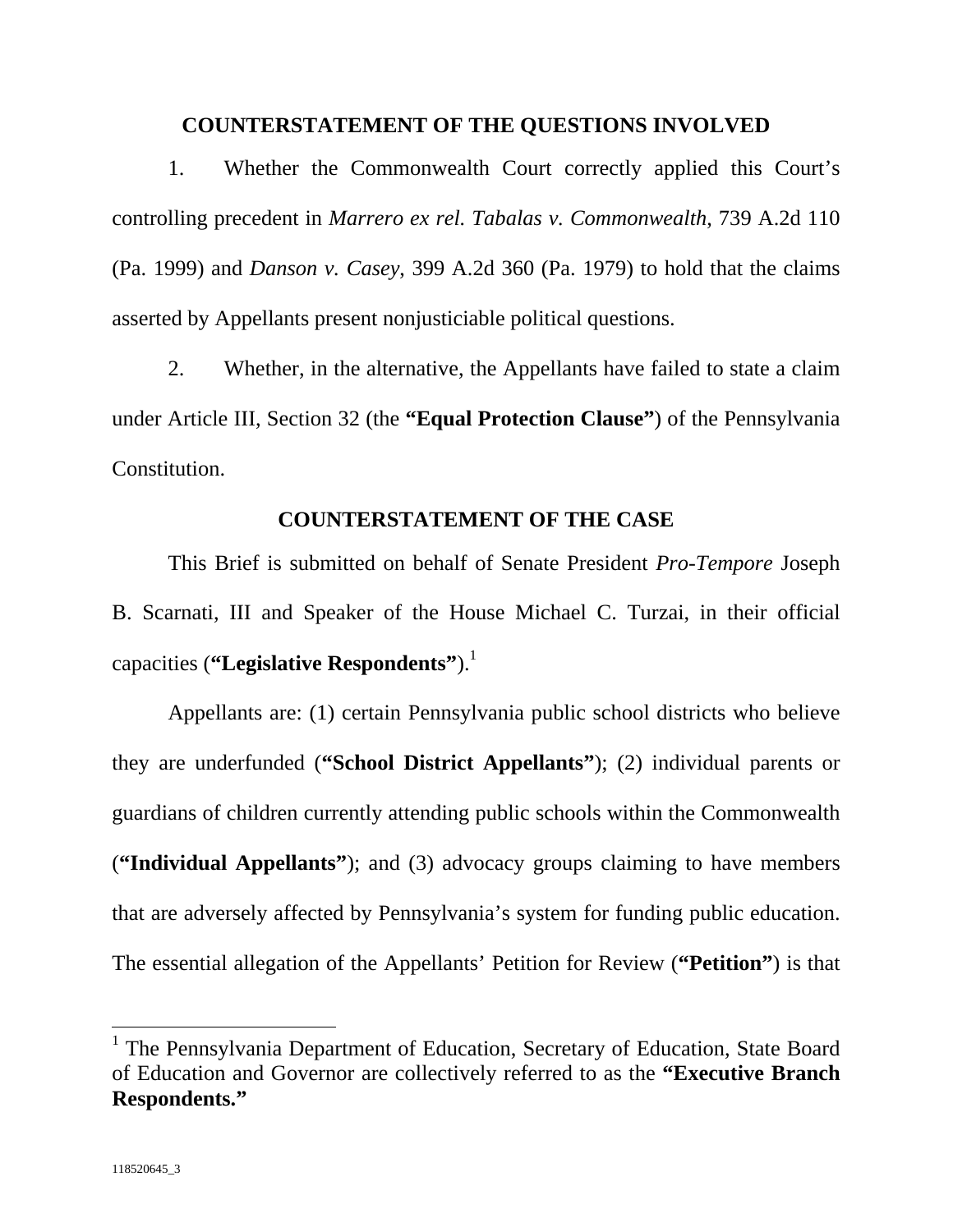#### **COUNTERSTATEMENT OF THE QUESTIONS INVOLVED**

1. Whether the Commonwealth Court correctly applied this Court's controlling precedent in *Marrero ex rel. Tabalas v. Commonwealth*, 739 A.2d 110 (Pa. 1999) and *Danson v. Casey*, 399 A.2d 360 (Pa. 1979) to hold that the claims asserted by Appellants present nonjusticiable political questions.

2. Whether, in the alternative, the Appellants have failed to state a claim under Article III, Section 32 (the **"Equal Protection Clause"**) of the Pennsylvania Constitution.

#### **COUNTERSTATEMENT OF THE CASE**

This Brief is submitted on behalf of Senate President *Pro-Tempore* Joseph B. Scarnati, III and Speaker of the House Michael C. Turzai, in their official capacities ("Legislative Respondents").<sup>1</sup>

Appellants are: (1) certain Pennsylvania public school districts who believe they are underfunded (**"School District Appellants"**); (2) individual parents or guardians of children currently attending public schools within the Commonwealth (**"Individual Appellants"**); and (3) advocacy groups claiming to have members that are adversely affected by Pennsylvania's system for funding public education. The essential allegation of the Appellants' Petition for Review (**"Petition"**) is that

<sup>&</sup>lt;sup>1</sup> The Pennsylvania Department of Education, Secretary of Education, State Board of Education and Governor are collectively referred to as the **"Executive Branch Respondents."**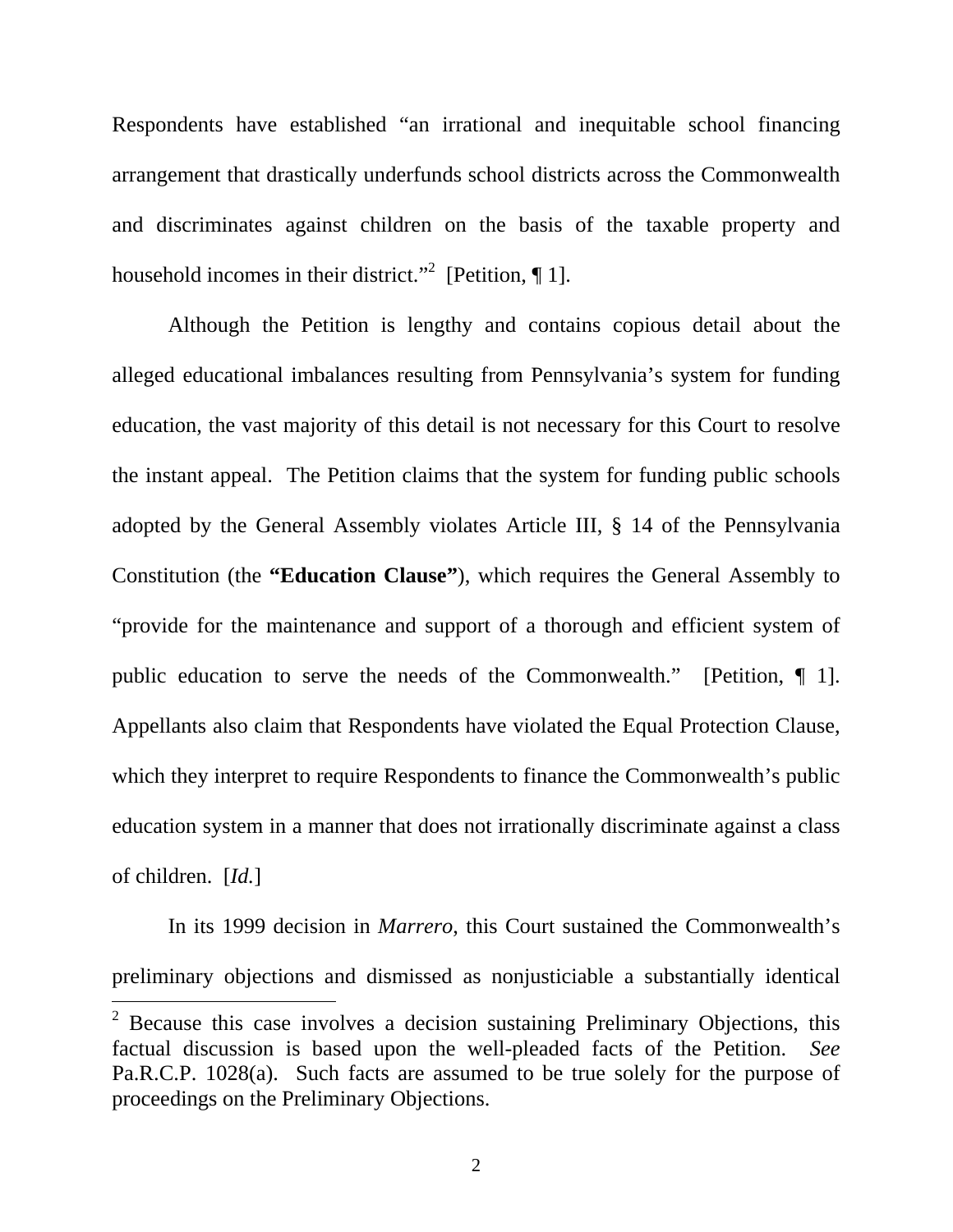Respondents have established "an irrational and inequitable school financing arrangement that drastically underfunds school districts across the Commonwealth and discriminates against children on the basis of the taxable property and household incomes in their district."<sup>2</sup> [Petition,  $\P$  1].

Although the Petition is lengthy and contains copious detail about the alleged educational imbalances resulting from Pennsylvania's system for funding education, the vast majority of this detail is not necessary for this Court to resolve the instant appeal. The Petition claims that the system for funding public schools adopted by the General Assembly violates Article III, § 14 of the Pennsylvania Constitution (the **"Education Clause"**), which requires the General Assembly to "provide for the maintenance and support of a thorough and efficient system of public education to serve the needs of the Commonwealth." [Petition, ¶ 1]. Appellants also claim that Respondents have violated the Equal Protection Clause, which they interpret to require Respondents to finance the Commonwealth's public education system in a manner that does not irrationally discriminate against a class of children. [*Id.*]

In its 1999 decision in *Marrero*, this Court sustained the Commonwealth's preliminary objections and dismissed as nonjusticiable a substantially identical

<sup>&</sup>lt;sup>2</sup> Because this case involves a decision sustaining Preliminary Objections, this factual discussion is based upon the well-pleaded facts of the Petition. *See* Pa.R.C.P. 1028(a). Such facts are assumed to be true solely for the purpose of proceedings on the Preliminary Objections.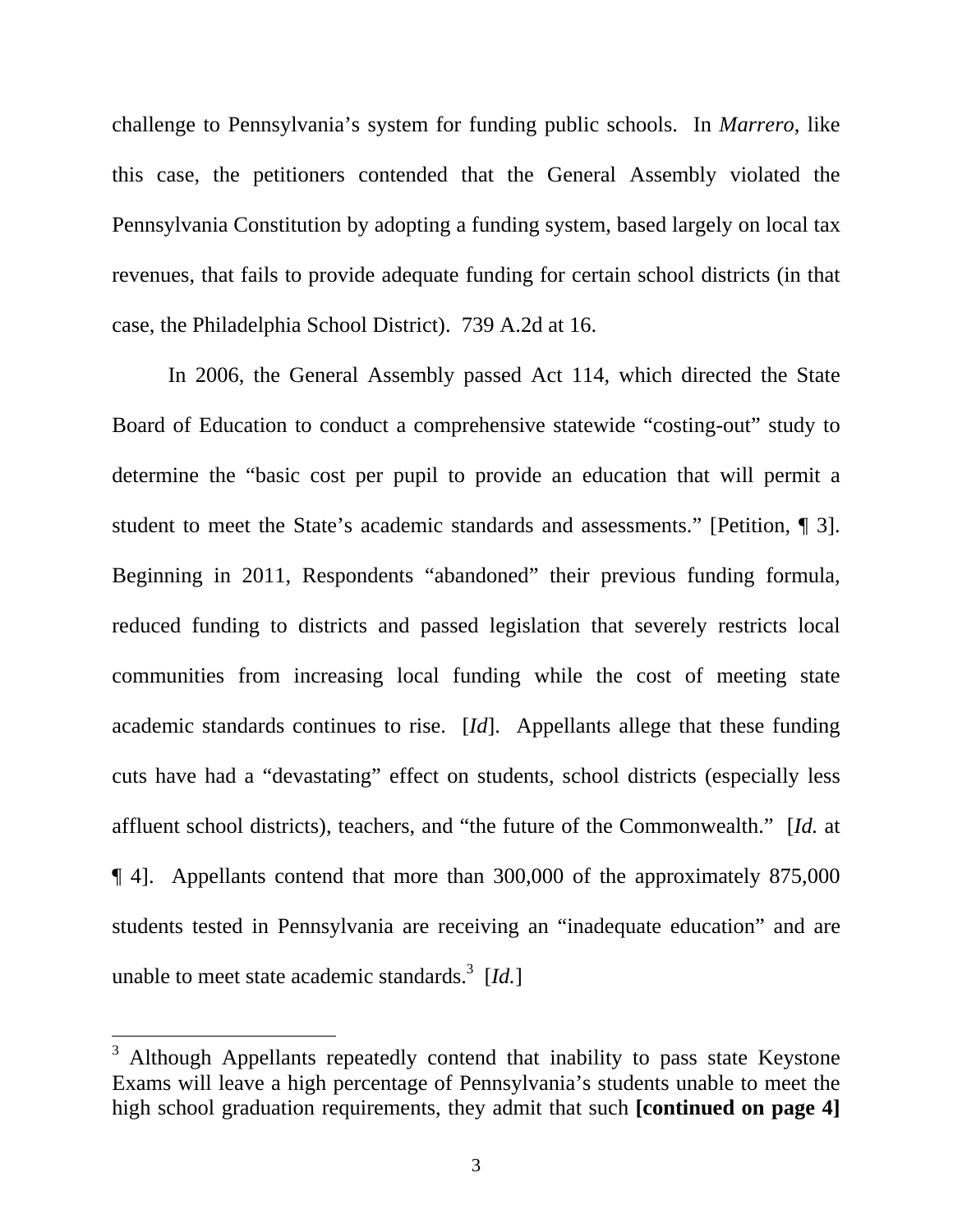challenge to Pennsylvania's system for funding public schools. In *Marrero*, like this case, the petitioners contended that the General Assembly violated the Pennsylvania Constitution by adopting a funding system, based largely on local tax revenues, that fails to provide adequate funding for certain school districts (in that case, the Philadelphia School District). 739 A.2d at 16.

In 2006, the General Assembly passed Act 114, which directed the State Board of Education to conduct a comprehensive statewide "costing-out" study to determine the "basic cost per pupil to provide an education that will permit a student to meet the State's academic standards and assessments." [Petition, ¶ 3]. Beginning in 2011, Respondents "abandoned" their previous funding formula, reduced funding to districts and passed legislation that severely restricts local communities from increasing local funding while the cost of meeting state academic standards continues to rise. [*Id*]. Appellants allege that these funding cuts have had a "devastating" effect on students, school districts (especially less affluent school districts), teachers, and "the future of the Commonwealth." [*Id.* at ¶ 4]. Appellants contend that more than 300,000 of the approximately 875,000 students tested in Pennsylvania are receiving an "inadequate education" and are unable to meet state academic standards.3 [*Id.*]

<sup>3</sup> Although Appellants repeatedly contend that inability to pass state Keystone Exams will leave a high percentage of Pennsylvania's students unable to meet the high school graduation requirements, they admit that such **[continued on page 4]**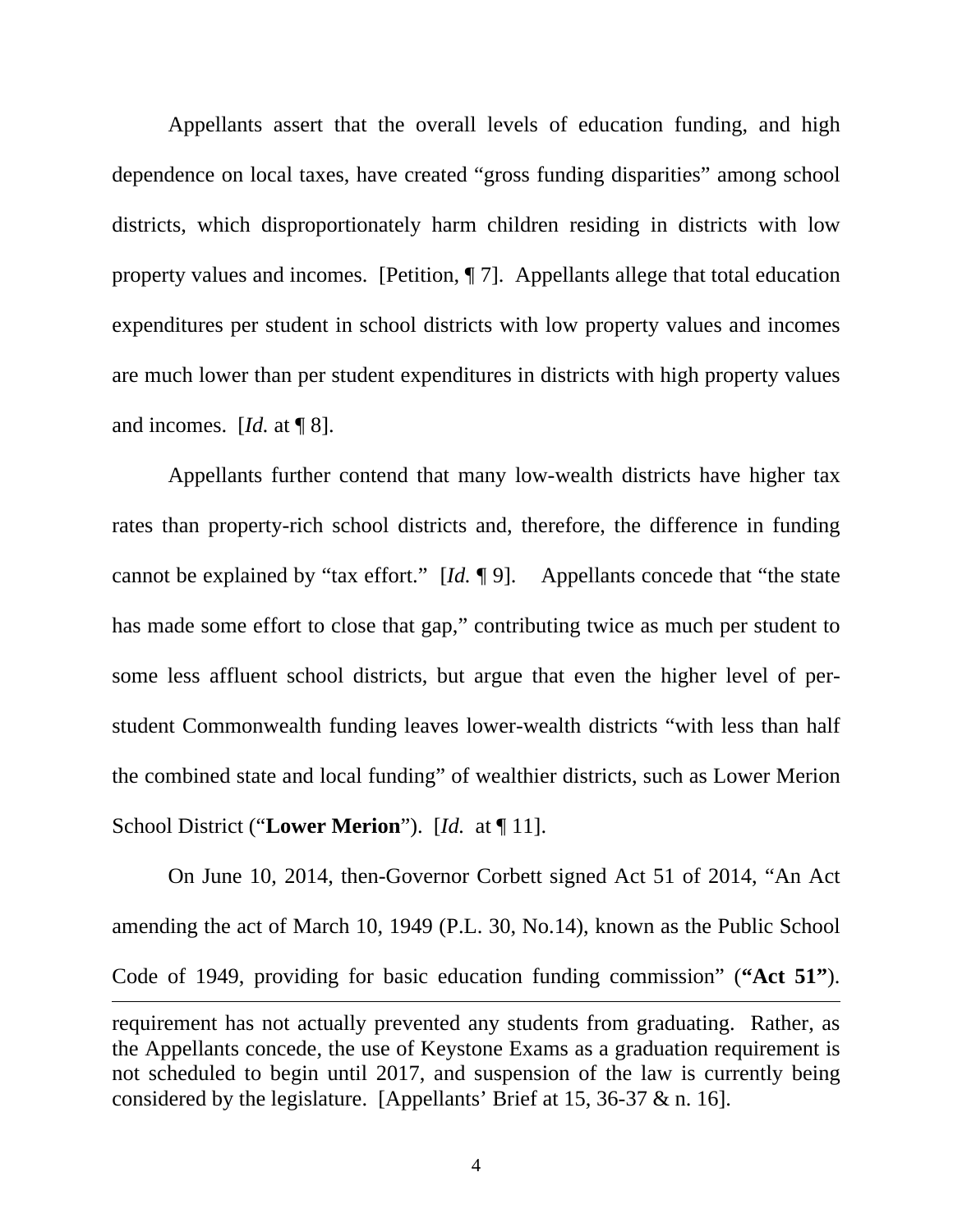Appellants assert that the overall levels of education funding, and high dependence on local taxes, have created "gross funding disparities" among school districts, which disproportionately harm children residing in districts with low property values and incomes. [Petition, ¶ 7]. Appellants allege that total education expenditures per student in school districts with low property values and incomes are much lower than per student expenditures in districts with high property values and incomes. [*Id.* at ¶ 8].

Appellants further contend that many low-wealth districts have higher tax rates than property-rich school districts and, therefore, the difference in funding cannot be explained by "tax effort." [*Id.* ¶ 9]. Appellants concede that "the state has made some effort to close that gap," contributing twice as much per student to some less affluent school districts, but argue that even the higher level of perstudent Commonwealth funding leaves lower-wealth districts "with less than half the combined state and local funding" of wealthier districts, such as Lower Merion School District ("**Lower Merion**"). [*Id.* at ¶ 11].

On June 10, 2014, then-Governor Corbett signed Act 51 of 2014, "An Act amending the act of March 10, 1949 (P.L. 30, No.14), known as the Public School Code of 1949, providing for basic education funding commission" (**"Act 51"**).  $\overline{a}$ requirement has not actually prevented any students from graduating. Rather, as the Appellants concede, the use of Keystone Exams as a graduation requirement is not scheduled to begin until 2017, and suspension of the law is currently being considered by the legislature. [Appellants' Brief at 15, 36-37 & n. 16].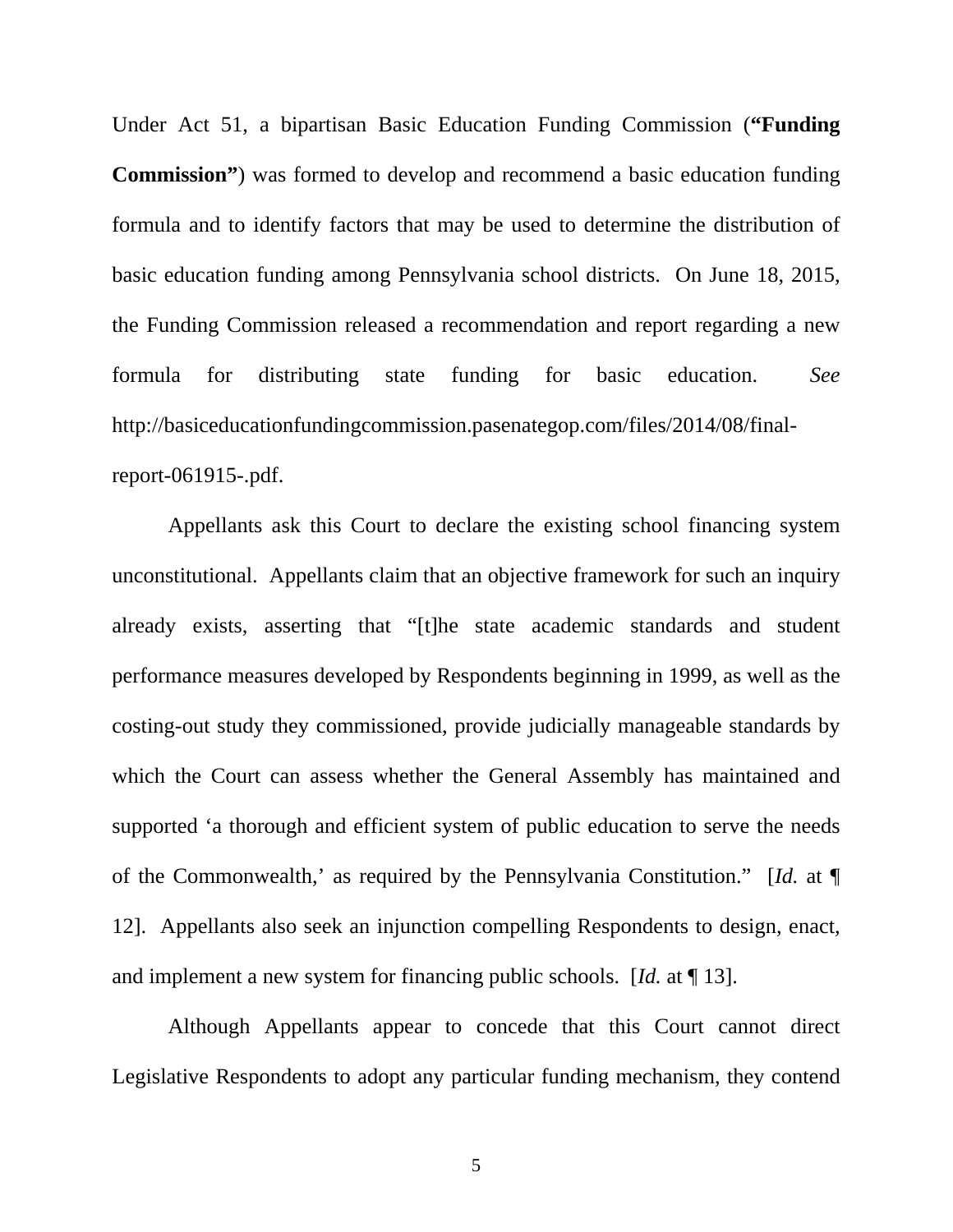Under Act 51, a bipartisan Basic Education Funding Commission (**"Funding Commission"**) was formed to develop and recommend a basic education funding formula and to identify factors that may be used to determine the distribution of basic education funding among Pennsylvania school districts. On June 18, 2015, the Funding Commission released a recommendation and report regarding a new formula for distributing state funding for basic education. *See* http://basiceducationfundingcommission.pasenategop.com/files/2014/08/finalreport-061915-.pdf.

Appellants ask this Court to declare the existing school financing system unconstitutional. Appellants claim that an objective framework for such an inquiry already exists, asserting that "[t]he state academic standards and student performance measures developed by Respondents beginning in 1999, as well as the costing-out study they commissioned, provide judicially manageable standards by which the Court can assess whether the General Assembly has maintained and supported 'a thorough and efficient system of public education to serve the needs of the Commonwealth,' as required by the Pennsylvania Constitution." [*Id.* at ¶ 12]. Appellants also seek an injunction compelling Respondents to design, enact, and implement a new system for financing public schools. [*Id.* at ¶ 13].

Although Appellants appear to concede that this Court cannot direct Legislative Respondents to adopt any particular funding mechanism, they contend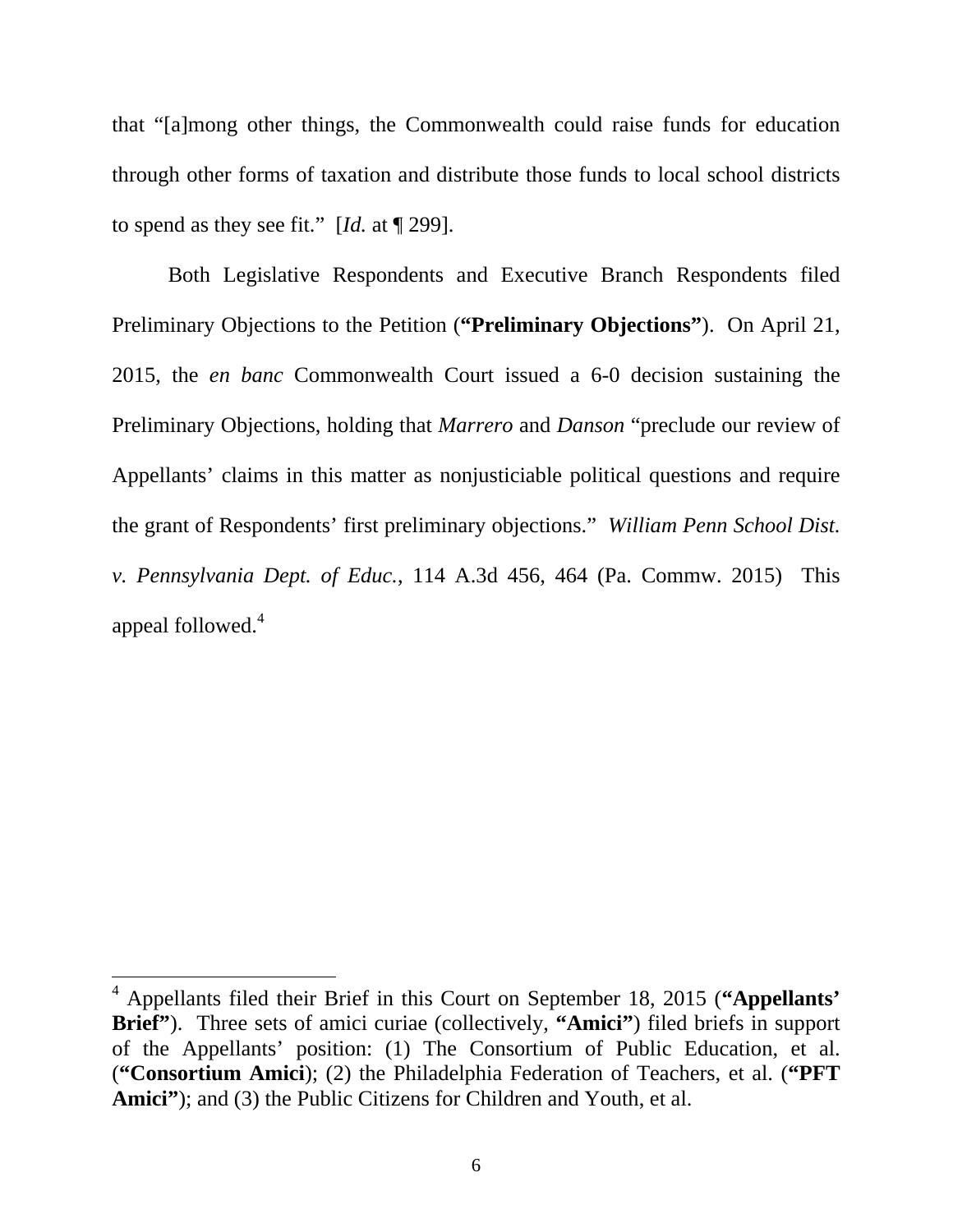that "[a]mong other things, the Commonwealth could raise funds for education through other forms of taxation and distribute those funds to local school districts to spend as they see fit." [*Id.* at ¶ 299].

Both Legislative Respondents and Executive Branch Respondents filed Preliminary Objections to the Petition (**"Preliminary Objections"**). On April 21, 2015, the *en banc* Commonwealth Court issued a 6-0 decision sustaining the Preliminary Objections, holding that *Marrero* and *Danson* "preclude our review of Appellants' claims in this matter as nonjusticiable political questions and require the grant of Respondents' first preliminary objections." *William Penn School Dist. v. Pennsylvania Dept. of Educ.*, 114 A.3d 456, 464 (Pa. Commw. 2015) This appeal followed.<sup>4</sup>

<sup>4</sup> Appellants filed their Brief in this Court on September 18, 2015 (**"Appellants' Brief"**). Three sets of amici curiae (collectively, **"Amici"**) filed briefs in support of the Appellants' position: (1) The Consortium of Public Education, et al. (**"Consortium Amici**); (2) the Philadelphia Federation of Teachers, et al. (**"PFT**  Amici"<sup>\*</sup>); and (3) the Public Citizens for Children and Youth, et al.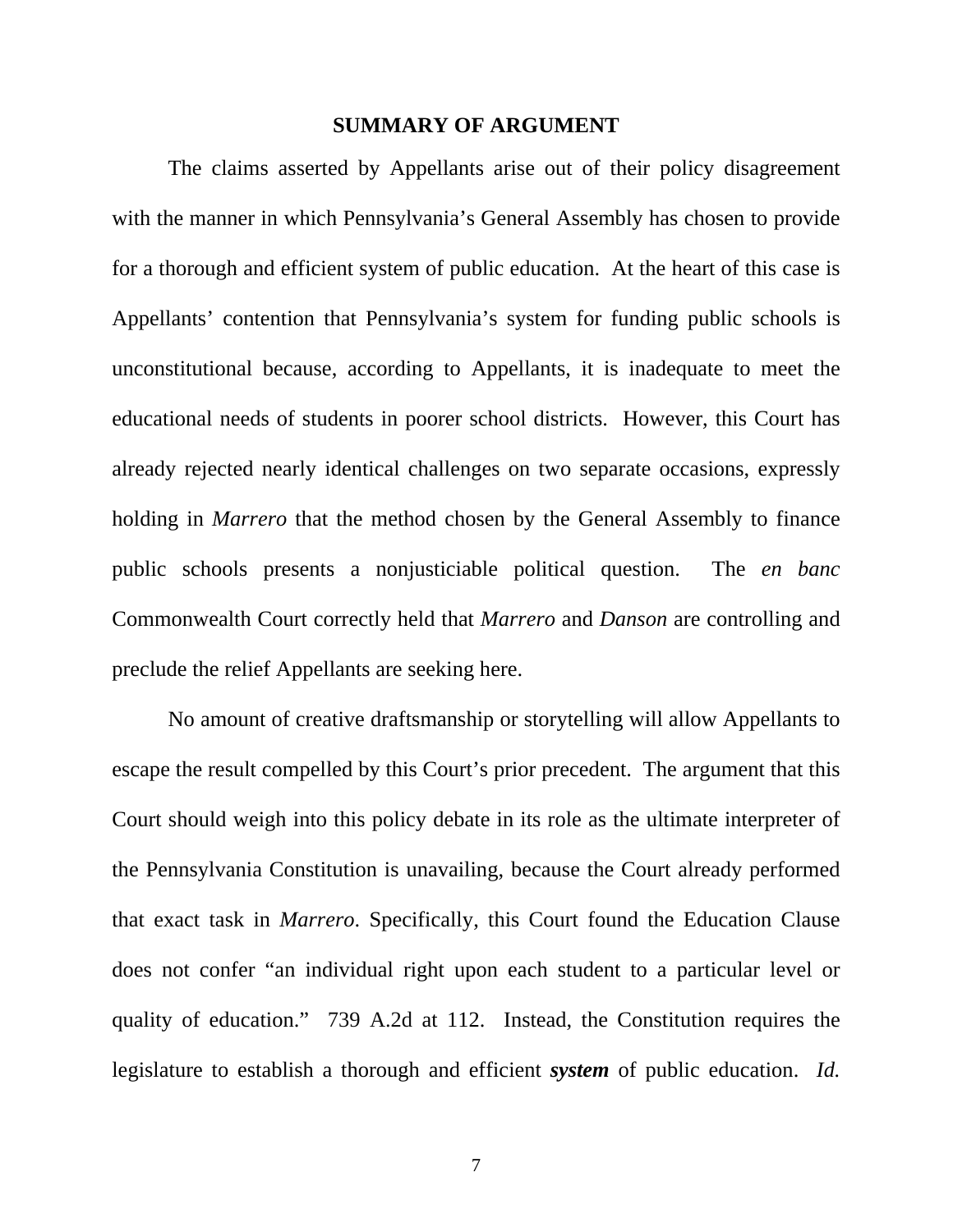#### **SUMMARY OF ARGUMENT**

The claims asserted by Appellants arise out of their policy disagreement with the manner in which Pennsylvania's General Assembly has chosen to provide for a thorough and efficient system of public education. At the heart of this case is Appellants' contention that Pennsylvania's system for funding public schools is unconstitutional because, according to Appellants, it is inadequate to meet the educational needs of students in poorer school districts. However, this Court has already rejected nearly identical challenges on two separate occasions, expressly holding in *Marrero* that the method chosen by the General Assembly to finance public schools presents a nonjusticiable political question. The *en banc*  Commonwealth Court correctly held that *Marrero* and *Danson* are controlling and preclude the relief Appellants are seeking here.

No amount of creative draftsmanship or storytelling will allow Appellants to escape the result compelled by this Court's prior precedent. The argument that this Court should weigh into this policy debate in its role as the ultimate interpreter of the Pennsylvania Constitution is unavailing, because the Court already performed that exact task in *Marrero*. Specifically, this Court found the Education Clause does not confer "an individual right upon each student to a particular level or quality of education." 739 A.2d at 112. Instead, the Constitution requires the legislature to establish a thorough and efficient *system* of public education. *Id.*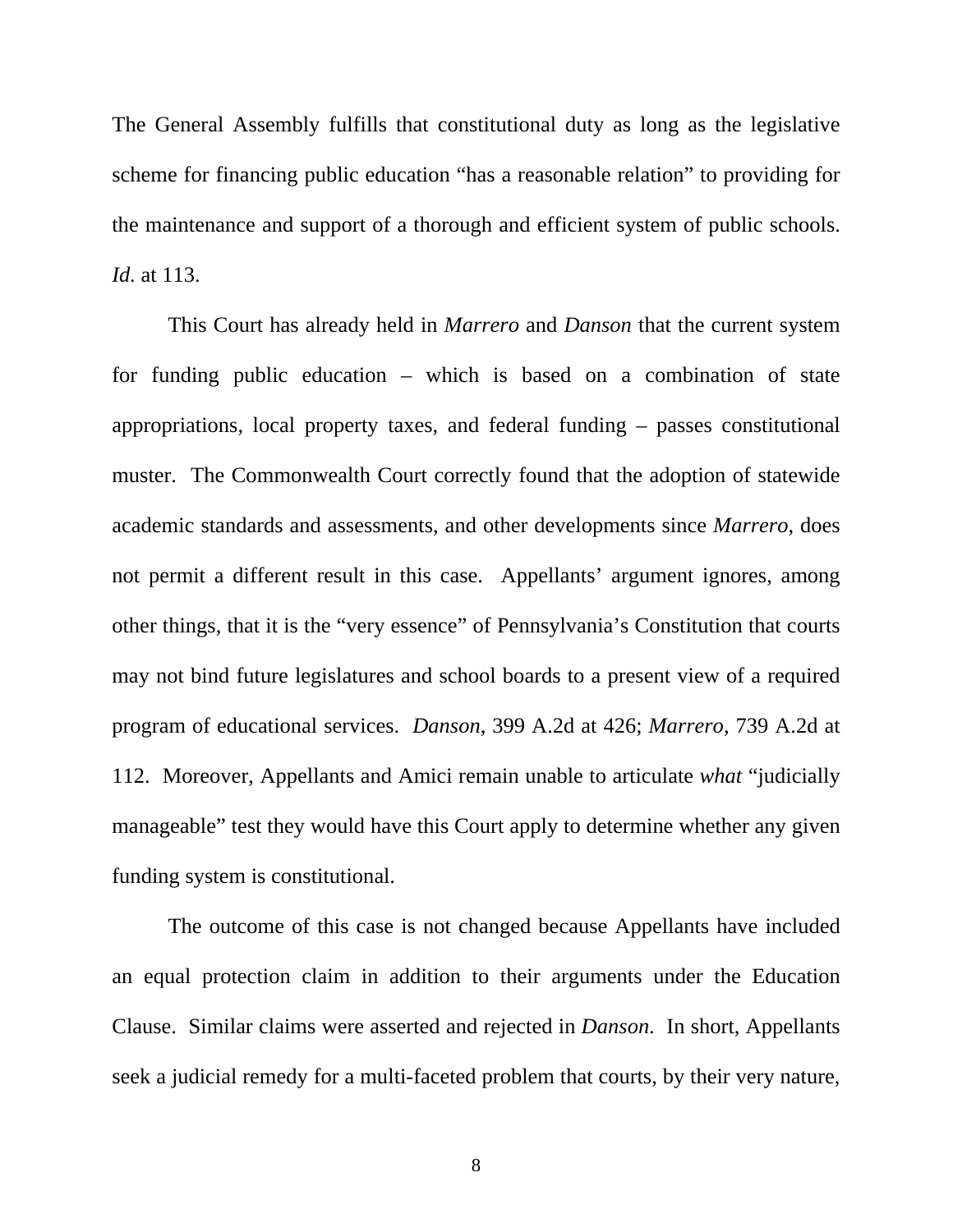The General Assembly fulfills that constitutional duty as long as the legislative scheme for financing public education "has a reasonable relation" to providing for the maintenance and support of a thorough and efficient system of public schools. *Id.* at 113.

This Court has already held in *Marrero* and *Danson* that the current system for funding public education – which is based on a combination of state appropriations, local property taxes, and federal funding – passes constitutional muster. The Commonwealth Court correctly found that the adoption of statewide academic standards and assessments, and other developments since *Marrero*, does not permit a different result in this case. Appellants' argument ignores, among other things, that it is the "very essence" of Pennsylvania's Constitution that courts may not bind future legislatures and school boards to a present view of a required program of educational services. *Danson*, 399 A.2d at 426; *Marrero*, 739 A.2d at 112. Moreover, Appellants and Amici remain unable to articulate *what* "judicially manageable" test they would have this Court apply to determine whether any given funding system is constitutional.

The outcome of this case is not changed because Appellants have included an equal protection claim in addition to their arguments under the Education Clause. Similar claims were asserted and rejected in *Danson*. In short, Appellants seek a judicial remedy for a multi-faceted problem that courts, by their very nature,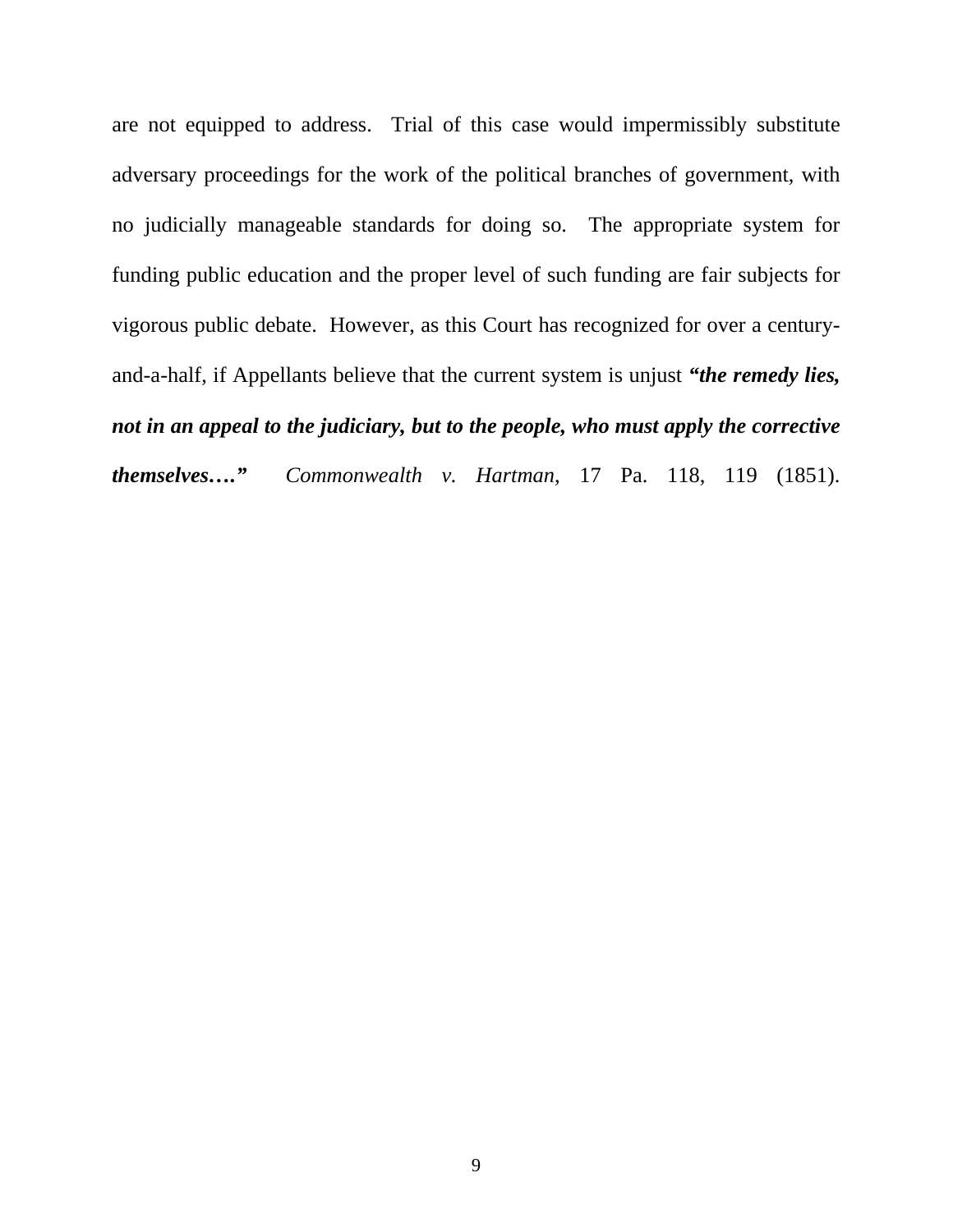are not equipped to address. Trial of this case would impermissibly substitute adversary proceedings for the work of the political branches of government, with no judicially manageable standards for doing so. The appropriate system for funding public education and the proper level of such funding are fair subjects for vigorous public debate. However, as this Court has recognized for over a centuryand-a-half, if Appellants believe that the current system is unjust *"the remedy lies, not in an appeal to the judiciary, but to the people, who must apply the corrective themselves…." Commonwealth v. Hartman*, 17 Pa. 118, 119 (1851).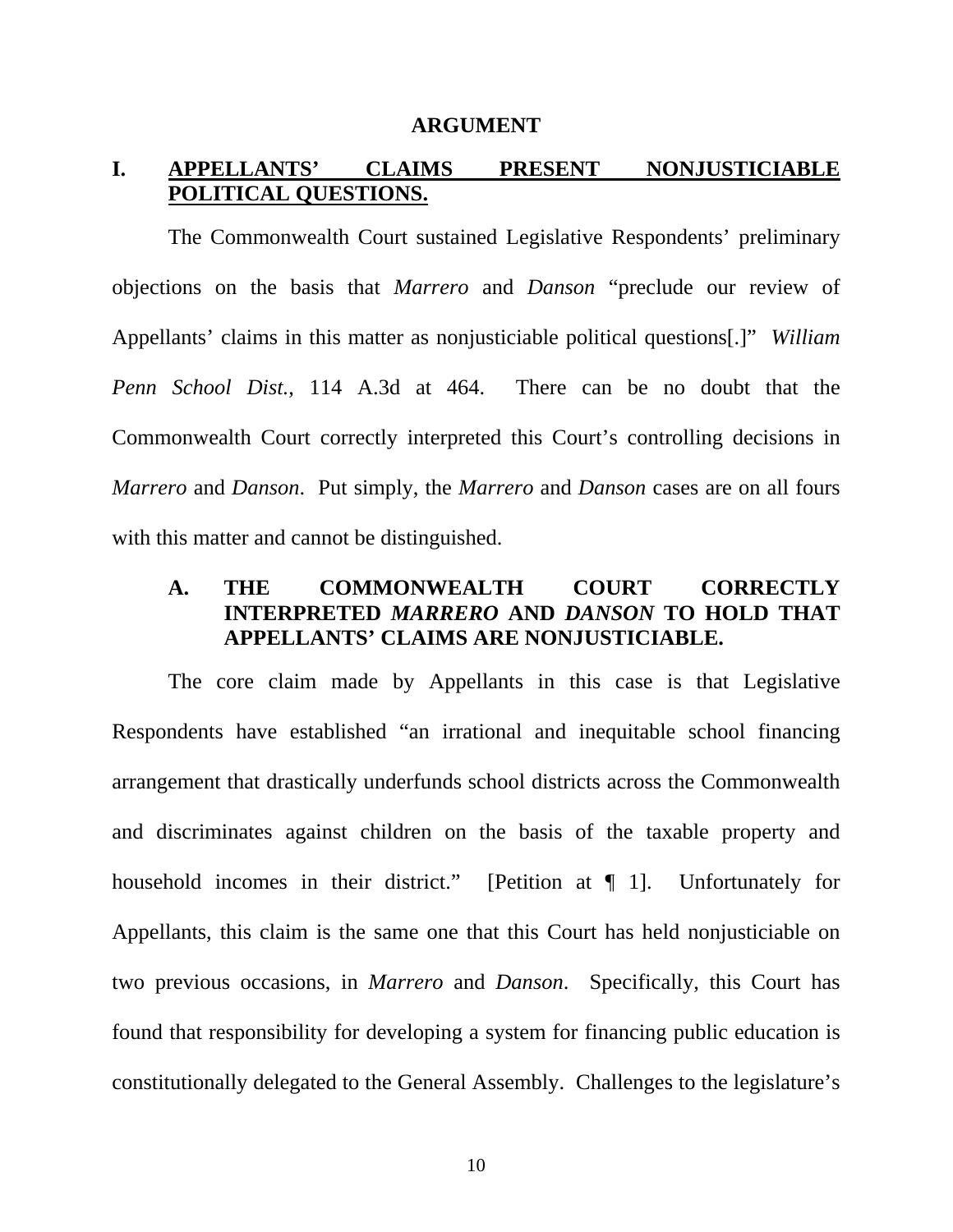#### **ARGUMENT**

#### **I. APPELLANTS' CLAIMS PRESENT NONJUSTICIABLE POLITICAL QUESTIONS.**

The Commonwealth Court sustained Legislative Respondents' preliminary objections on the basis that *Marrero* and *Danson* "preclude our review of Appellants' claims in this matter as nonjusticiable political questions[.]" *William Penn School Dist.*, 114 A.3d at 464. There can be no doubt that the Commonwealth Court correctly interpreted this Court's controlling decisions in *Marrero* and *Danson*. Put simply, the *Marrero* and *Danson* cases are on all fours with this matter and cannot be distinguished.

#### **A. THE COMMONWEALTH COURT CORRECTLY INTERPRETED** *MARRERO* **AND** *DANSON* **TO HOLD THAT APPELLANTS' CLAIMS ARE NONJUSTICIABLE.**

The core claim made by Appellants in this case is that Legislative Respondents have established "an irrational and inequitable school financing arrangement that drastically underfunds school districts across the Commonwealth and discriminates against children on the basis of the taxable property and household incomes in their district." [Petition at ¶ 1]. Unfortunately for Appellants, this claim is the same one that this Court has held nonjusticiable on two previous occasions, in *Marrero* and *Danson*. Specifically, this Court has found that responsibility for developing a system for financing public education is constitutionally delegated to the General Assembly. Challenges to the legislature's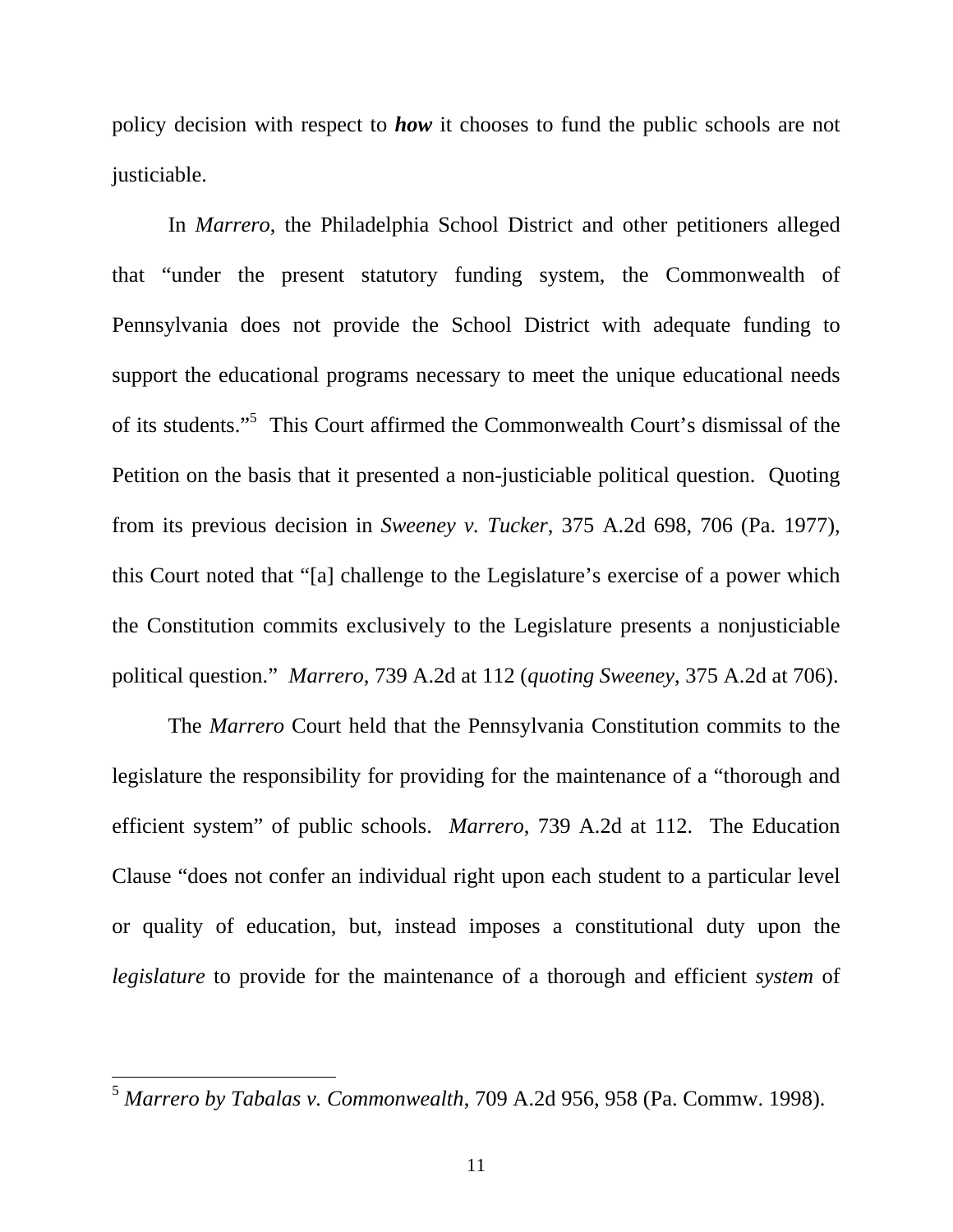policy decision with respect to *how* it chooses to fund the public schools are not justiciable.

In *Marrero*, the Philadelphia School District and other petitioners alleged that "under the present statutory funding system, the Commonwealth of Pennsylvania does not provide the School District with adequate funding to support the educational programs necessary to meet the unique educational needs of its students."<sup>5</sup> This Court affirmed the Commonwealth Court's dismissal of the Petition on the basis that it presented a non-justiciable political question. Quoting from its previous decision in *Sweeney v. Tucker*, 375 A.2d 698, 706 (Pa. 1977), this Court noted that "[a] challenge to the Legislature's exercise of a power which the Constitution commits exclusively to the Legislature presents a nonjusticiable political question." *Marrero*, 739 A.2d at 112 (*quoting Sweeney*, 375 A.2d at 706).

The *Marrero* Court held that the Pennsylvania Constitution commits to the legislature the responsibility for providing for the maintenance of a "thorough and efficient system" of public schools. *Marrero*, 739 A.2d at 112. The Education Clause "does not confer an individual right upon each student to a particular level or quality of education, but, instead imposes a constitutional duty upon the *legislature* to provide for the maintenance of a thorough and efficient *system* of

<sup>5</sup> *Marrero by Tabalas v. Commonwealth*, 709 A.2d 956, 958 (Pa. Commw. 1998).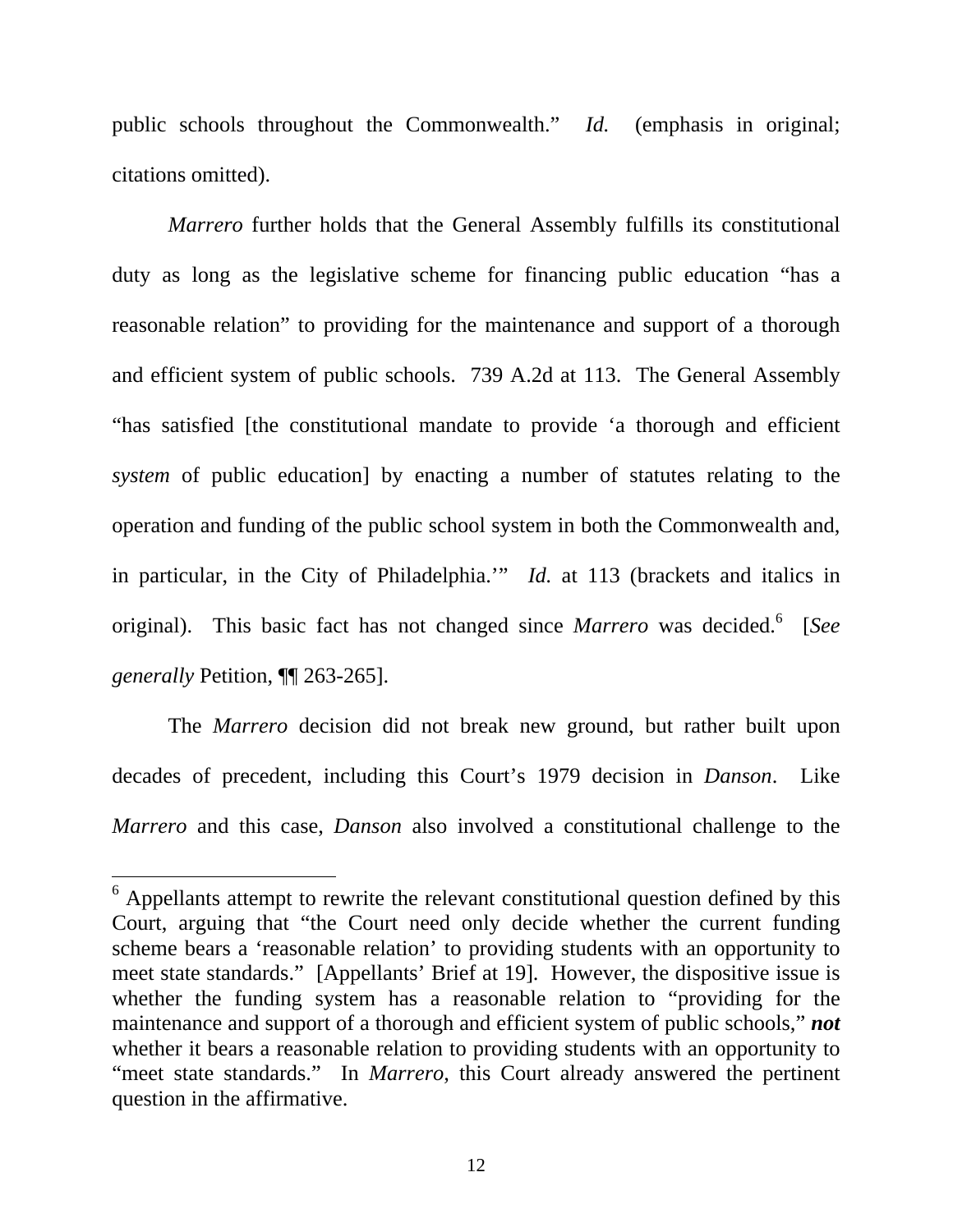public schools throughout the Commonwealth." *Id.* (emphasis in original; citations omitted).

*Marrero* further holds that the General Assembly fulfills its constitutional duty as long as the legislative scheme for financing public education "has a reasonable relation" to providing for the maintenance and support of a thorough and efficient system of public schools. 739 A.2d at 113. The General Assembly "has satisfied [the constitutional mandate to provide 'a thorough and efficient *system* of public education] by enacting a number of statutes relating to the operation and funding of the public school system in both the Commonwealth and, in particular, in the City of Philadelphia.'" *Id.* at 113 (brackets and italics in original). This basic fact has not changed since *Marrero* was decided.<sup>6</sup> [See *generally* Petition, ¶¶ 263-265].

The *Marrero* decision did not break new ground, but rather built upon decades of precedent, including this Court's 1979 decision in *Danson*. Like *Marrero* and this case, *Danson* also involved a constitutional challenge to the

<sup>&</sup>lt;sup>6</sup> Appellants attempt to rewrite the relevant constitutional question defined by this Court, arguing that "the Court need only decide whether the current funding scheme bears a 'reasonable relation' to providing students with an opportunity to meet state standards." [Appellants' Brief at 19]. However, the dispositive issue is whether the funding system has a reasonable relation to "providing for the maintenance and support of a thorough and efficient system of public schools," *not* whether it bears a reasonable relation to providing students with an opportunity to "meet state standards." In *Marrero*, this Court already answered the pertinent question in the affirmative.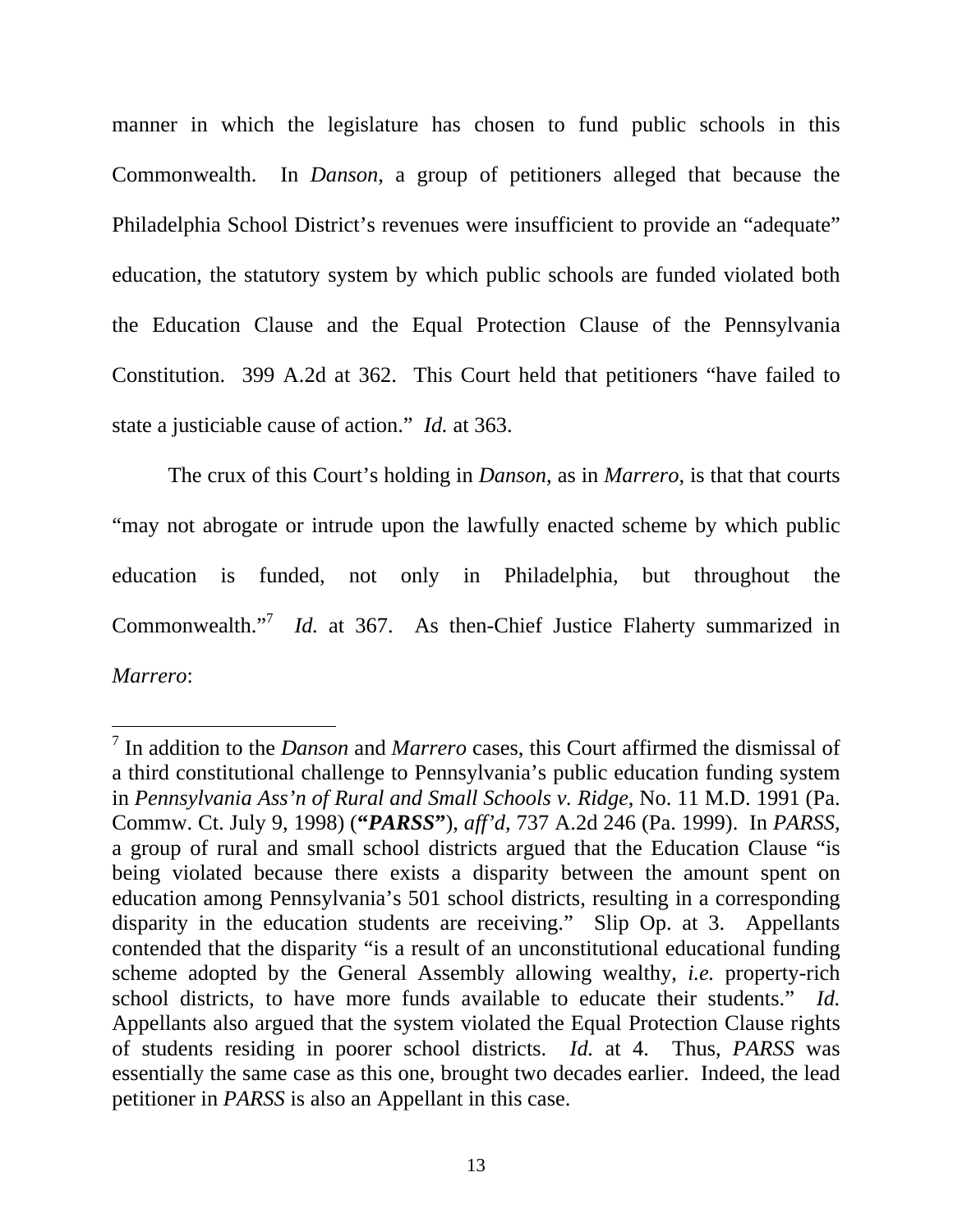manner in which the legislature has chosen to fund public schools in this Commonwealth. In *Danson*, a group of petitioners alleged that because the Philadelphia School District's revenues were insufficient to provide an "adequate" education, the statutory system by which public schools are funded violated both the Education Clause and the Equal Protection Clause of the Pennsylvania Constitution. 399 A.2d at 362. This Court held that petitioners "have failed to state a justiciable cause of action." *Id.* at 363.

The crux of this Court's holding in *Danson*, as in *Marrero*, is that that courts "may not abrogate or intrude upon the lawfully enacted scheme by which public education is funded, not only in Philadelphia, but throughout the Commonwealth."<sup>7</sup> *Id.* at 367. As then-Chief Justice Flaherty summarized in *Marrero*:

<sup>7</sup> In addition to the *Danson* and *Marrero* cases, this Court affirmed the dismissal of a third constitutional challenge to Pennsylvania's public education funding system in *Pennsylvania Ass'n of Rural and Small Schools v. Ridge*, No. 11 M.D. 1991 (Pa. Commw. Ct. July 9, 1998) (**"***PARSS***"**), *aff'd*, 737 A.2d 246 (Pa. 1999). In *PARSS*, a group of rural and small school districts argued that the Education Clause "is being violated because there exists a disparity between the amount spent on education among Pennsylvania's 501 school districts, resulting in a corresponding disparity in the education students are receiving." Slip Op. at 3. Appellants contended that the disparity "is a result of an unconstitutional educational funding scheme adopted by the General Assembly allowing wealthy, *i.e.* property-rich school districts, to have more funds available to educate their students." *Id.* Appellants also argued that the system violated the Equal Protection Clause rights of students residing in poorer school districts. *Id.* at 4. Thus, *PARSS* was essentially the same case as this one, brought two decades earlier. Indeed, the lead petitioner in *PARSS* is also an Appellant in this case.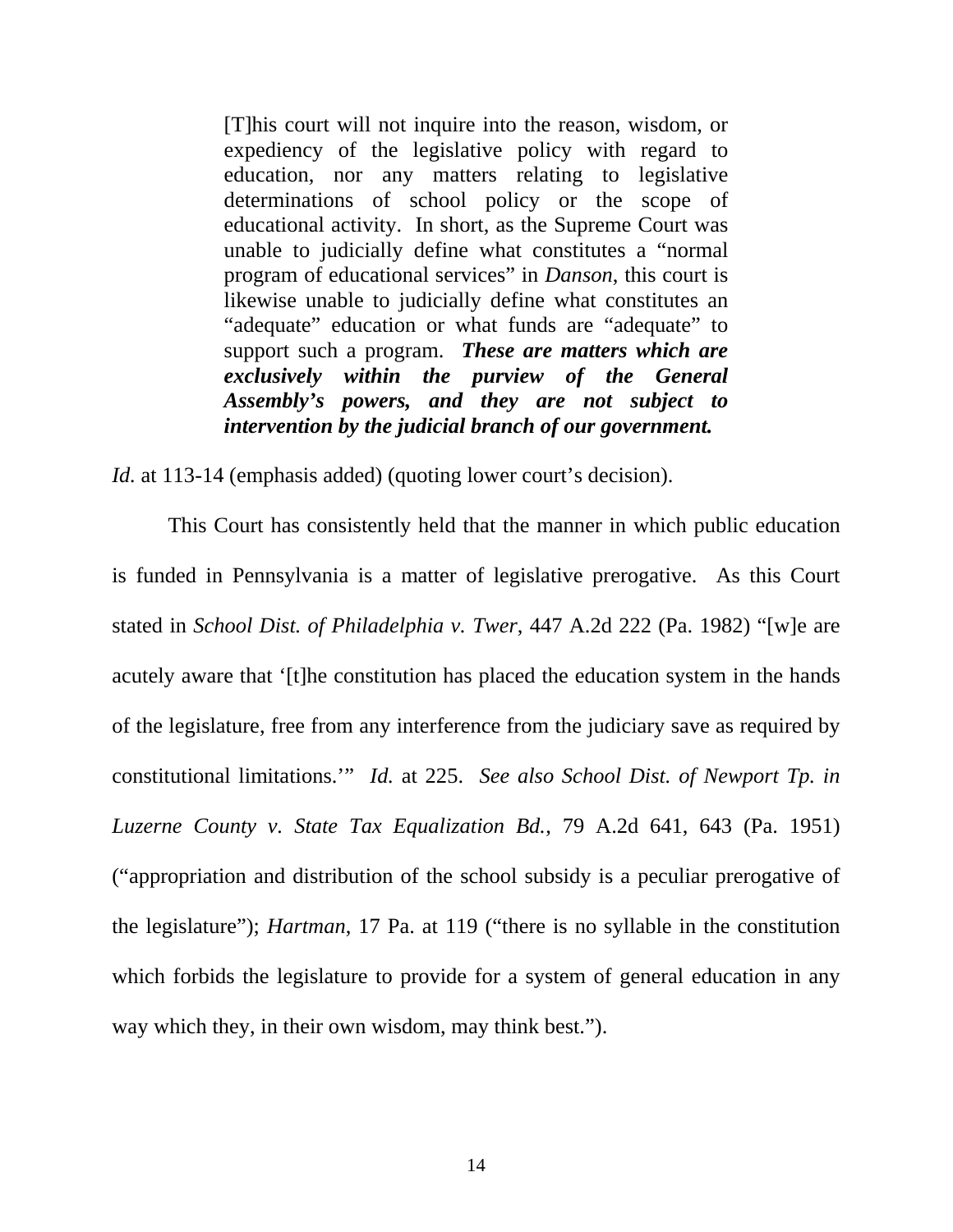[T]his court will not inquire into the reason, wisdom, or expediency of the legislative policy with regard to education, nor any matters relating to legislative determinations of school policy or the scope of educational activity. In short, as the Supreme Court was unable to judicially define what constitutes a "normal program of educational services" in *Danson*, this court is likewise unable to judicially define what constitutes an "adequate" education or what funds are "adequate" to support such a program. *These are matters which are exclusively within the purview of the General Assembly's powers, and they are not subject to intervention by the judicial branch of our government.* 

*Id.* at 113-14 (emphasis added) (quoting lower court's decision).

This Court has consistently held that the manner in which public education is funded in Pennsylvania is a matter of legislative prerogative. As this Court stated in *School Dist. of Philadelphia v. Twer*, 447 A.2d 222 (Pa. 1982) "[w]e are acutely aware that '[t]he constitution has placed the education system in the hands of the legislature, free from any interference from the judiciary save as required by constitutional limitations.'" *Id.* at 225. *See also School Dist. of Newport Tp. in Luzerne County v. State Tax Equalization Bd.*, 79 A.2d 641, 643 (Pa. 1951) ("appropriation and distribution of the school subsidy is a peculiar prerogative of the legislature"); *Hartman*, 17 Pa. at 119 ("there is no syllable in the constitution which forbids the legislature to provide for a system of general education in any way which they, in their own wisdom, may think best.").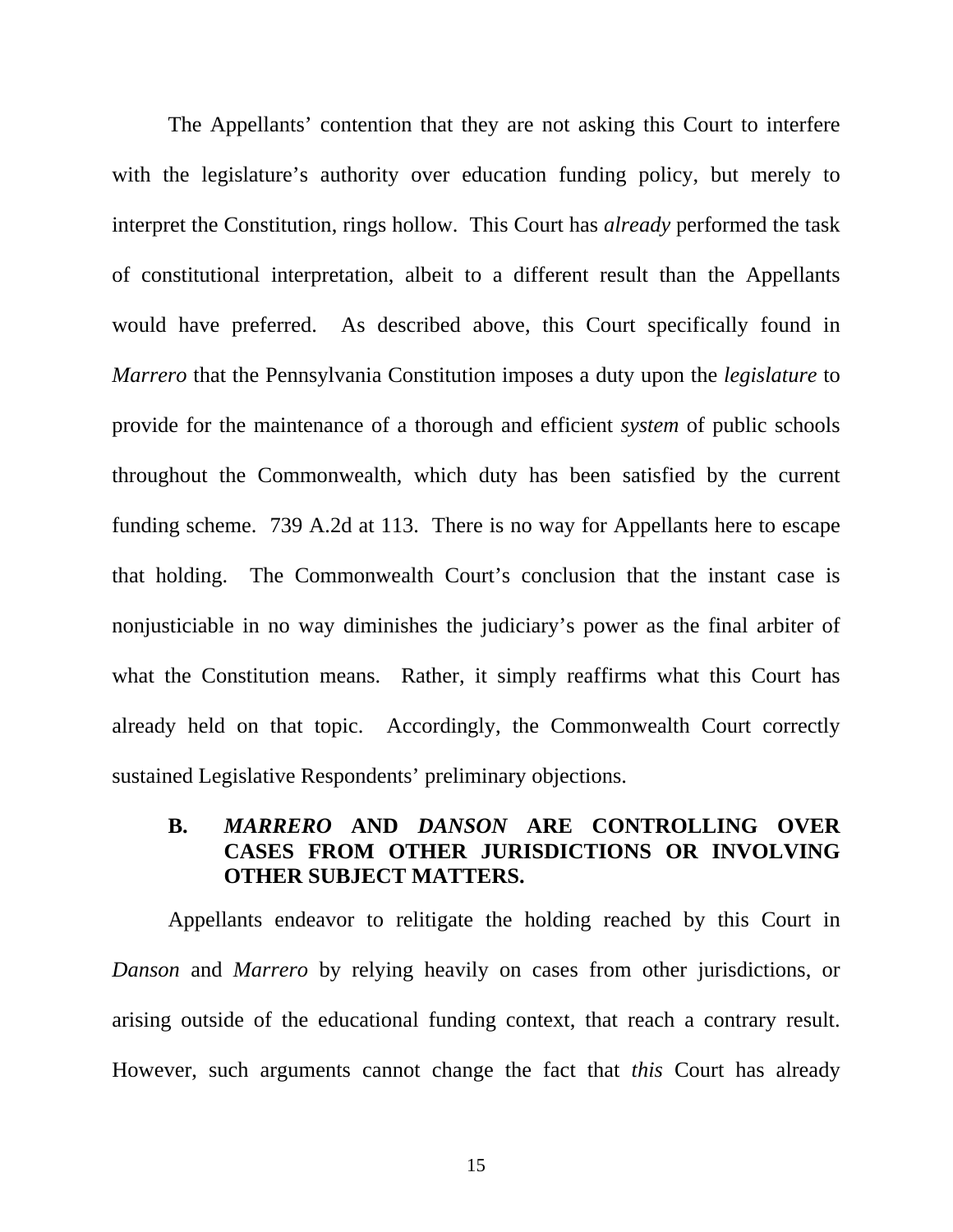The Appellants' contention that they are not asking this Court to interfere with the legislature's authority over education funding policy, but merely to interpret the Constitution, rings hollow. This Court has *already* performed the task of constitutional interpretation, albeit to a different result than the Appellants would have preferred. As described above, this Court specifically found in *Marrero* that the Pennsylvania Constitution imposes a duty upon the *legislature* to provide for the maintenance of a thorough and efficient *system* of public schools throughout the Commonwealth, which duty has been satisfied by the current funding scheme. 739 A.2d at 113. There is no way for Appellants here to escape that holding. The Commonwealth Court's conclusion that the instant case is nonjusticiable in no way diminishes the judiciary's power as the final arbiter of what the Constitution means. Rather, it simply reaffirms what this Court has already held on that topic. Accordingly, the Commonwealth Court correctly sustained Legislative Respondents' preliminary objections.

## **B.** *MARRERO* **AND** *DANSON* **ARE CONTROLLING OVER CASES FROM OTHER JURISDICTIONS OR INVOLVING OTHER SUBJECT MATTERS.**

Appellants endeavor to relitigate the holding reached by this Court in *Danson* and *Marrero* by relying heavily on cases from other jurisdictions, or arising outside of the educational funding context, that reach a contrary result. However, such arguments cannot change the fact that *this* Court has already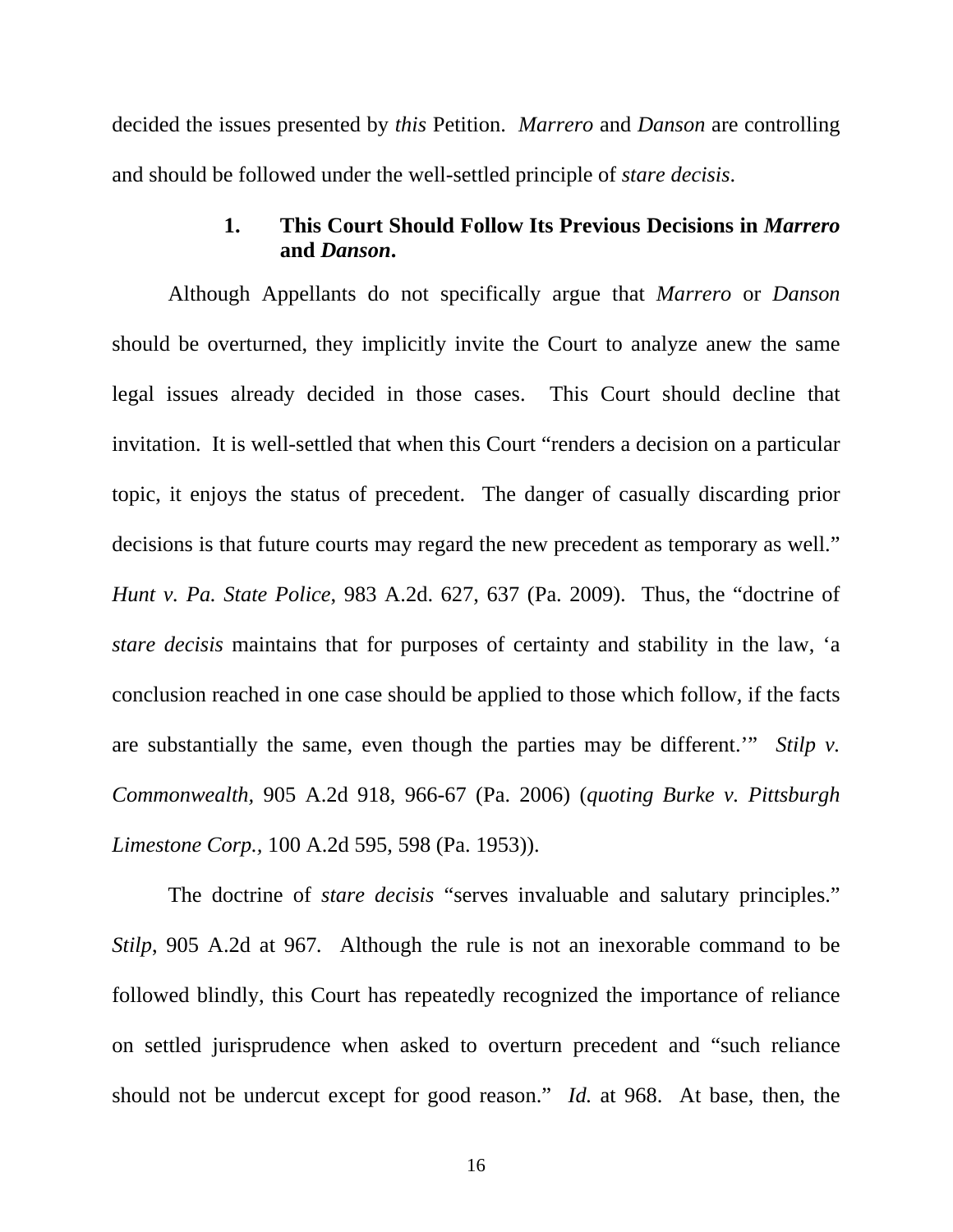decided the issues presented by *this* Petition. *Marrero* and *Danson* are controlling and should be followed under the well-settled principle of *stare decisis*.

### **1. This Court Should Follow Its Previous Decisions in** *Marrero*  **and** *Danson***.**

Although Appellants do not specifically argue that *Marrero* or *Danson* should be overturned, they implicitly invite the Court to analyze anew the same legal issues already decided in those cases. This Court should decline that invitation. It is well-settled that when this Court "renders a decision on a particular topic, it enjoys the status of precedent. The danger of casually discarding prior decisions is that future courts may regard the new precedent as temporary as well." *Hunt v. Pa. State Police*, 983 A.2d. 627, 637 (Pa. 2009). Thus, the "doctrine of *stare decisis* maintains that for purposes of certainty and stability in the law, 'a conclusion reached in one case should be applied to those which follow, if the facts are substantially the same, even though the parties may be different.'" *Stilp v. Commonwealth,* 905 A.2d 918, 966-67 (Pa. 2006) (*quoting Burke v. Pittsburgh Limestone Corp.,* 100 A.2d 595, 598 (Pa. 1953)).

The doctrine of *stare decisis* "serves invaluable and salutary principles." *Stilp*, 905 A.2d at 967*.* Although the rule is not an inexorable command to be followed blindly, this Court has repeatedly recognized the importance of reliance on settled jurisprudence when asked to overturn precedent and "such reliance should not be undercut except for good reason." *Id.* at 968. At base, then, the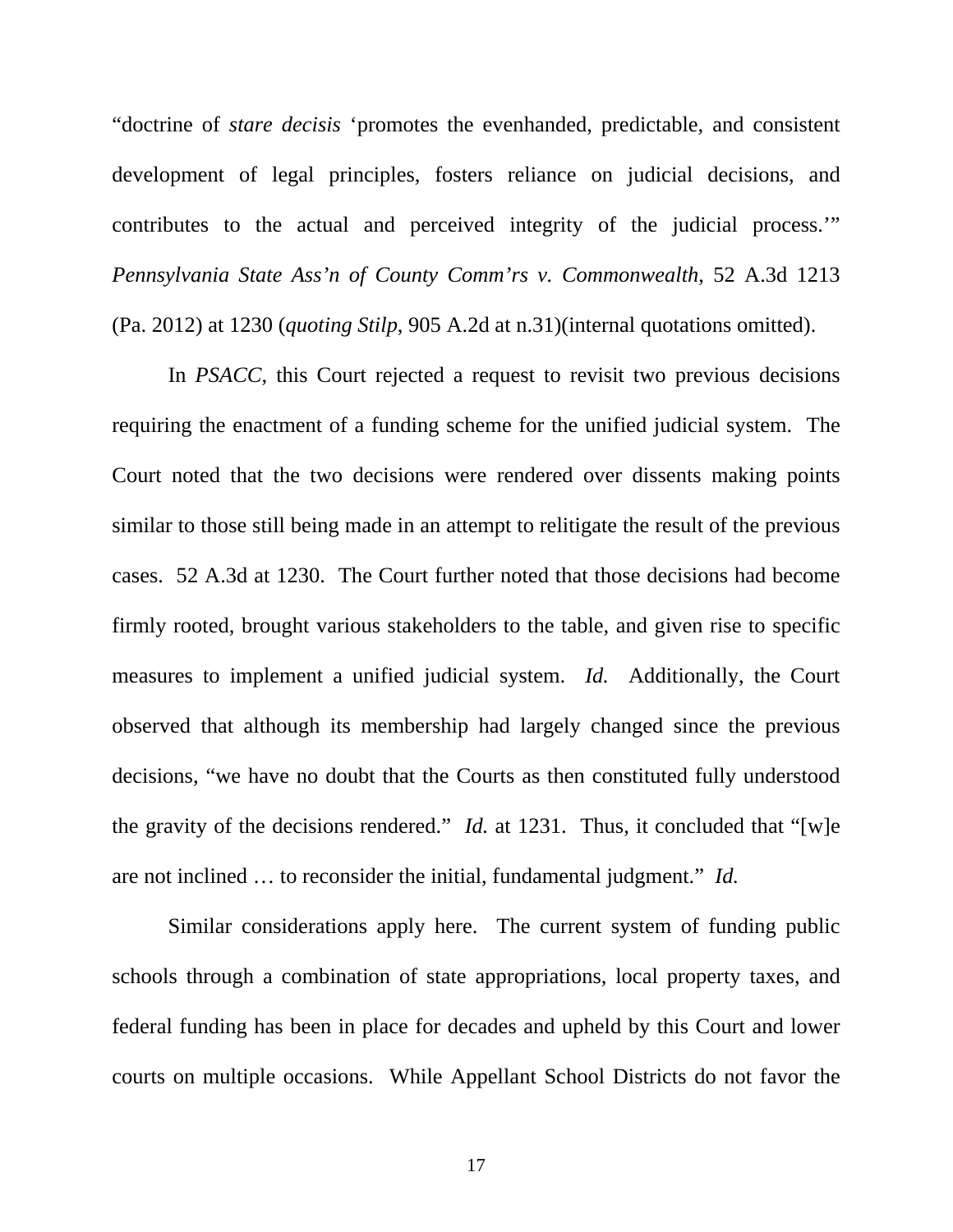"doctrine of *stare decisis* 'promotes the evenhanded, predictable, and consistent development of legal principles, fosters reliance on judicial decisions, and contributes to the actual and perceived integrity of the judicial process.'" *Pennsylvania State Ass'n of County Comm'rs v. Commonwealth*, 52 A.3d 1213 (Pa. 2012) at 1230 (*quoting Stilp*, 905 A.2d at n.31)(internal quotations omitted).

In *PSACC*, this Court rejected a request to revisit two previous decisions requiring the enactment of a funding scheme for the unified judicial system. The Court noted that the two decisions were rendered over dissents making points similar to those still being made in an attempt to relitigate the result of the previous cases. 52 A.3d at 1230. The Court further noted that those decisions had become firmly rooted, brought various stakeholders to the table, and given rise to specific measures to implement a unified judicial system. *Id.* Additionally, the Court observed that although its membership had largely changed since the previous decisions, "we have no doubt that the Courts as then constituted fully understood the gravity of the decisions rendered." *Id.* at 1231. Thus, it concluded that "[w]e are not inclined … to reconsider the initial, fundamental judgment." *Id.* 

Similar considerations apply here. The current system of funding public schools through a combination of state appropriations, local property taxes, and federal funding has been in place for decades and upheld by this Court and lower courts on multiple occasions. While Appellant School Districts do not favor the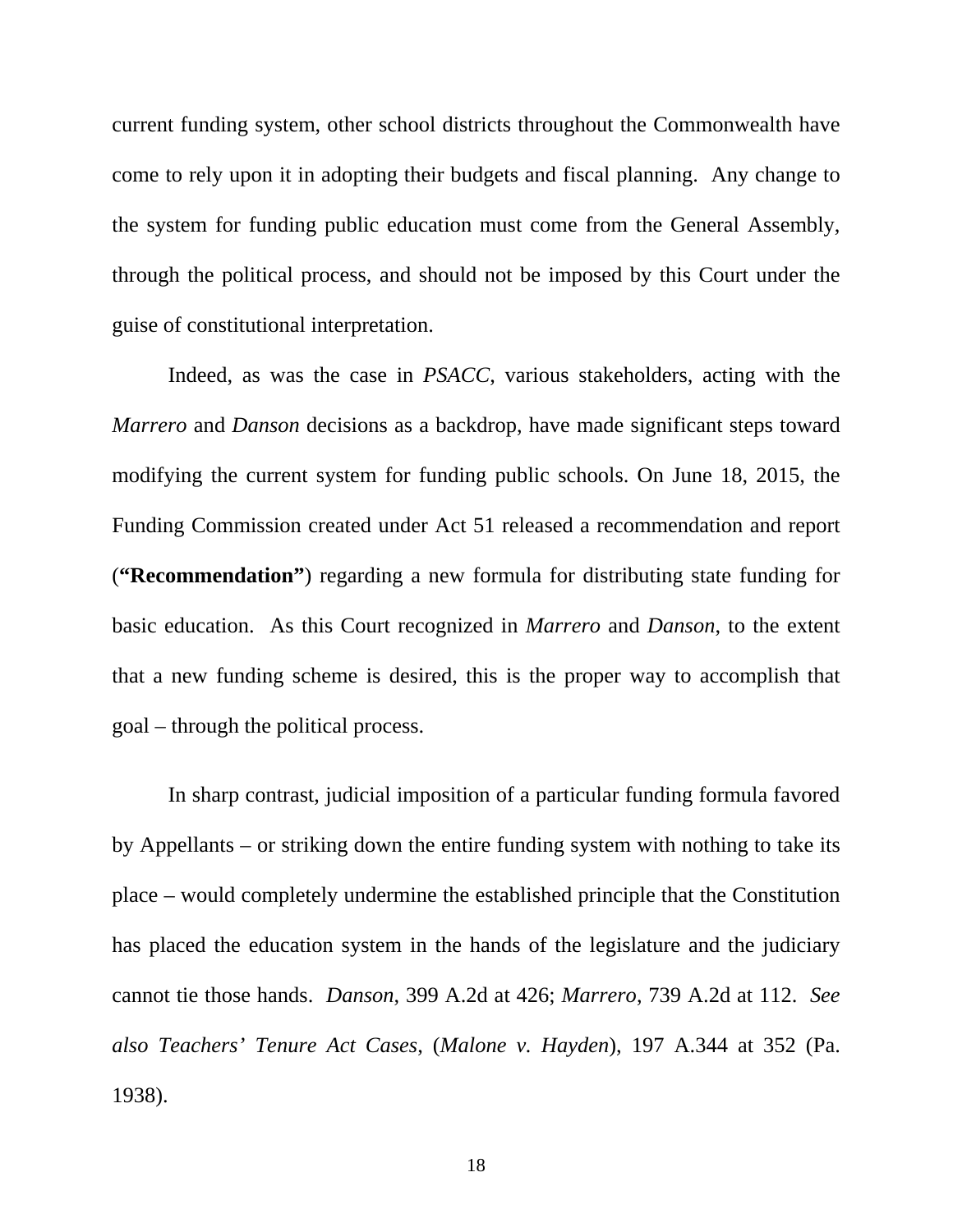current funding system, other school districts throughout the Commonwealth have come to rely upon it in adopting their budgets and fiscal planning. Any change to the system for funding public education must come from the General Assembly, through the political process, and should not be imposed by this Court under the guise of constitutional interpretation.

Indeed, as was the case in *PSACC*, various stakeholders, acting with the *Marrero* and *Danson* decisions as a backdrop, have made significant steps toward modifying the current system for funding public schools. On June 18, 2015, the Funding Commission created under Act 51 released a recommendation and report (**"Recommendation"**) regarding a new formula for distributing state funding for basic education. As this Court recognized in *Marrero* and *Danson*, to the extent that a new funding scheme is desired, this is the proper way to accomplish that goal – through the political process.

In sharp contrast, judicial imposition of a particular funding formula favored by Appellants – or striking down the entire funding system with nothing to take its place – would completely undermine the established principle that the Constitution has placed the education system in the hands of the legislature and the judiciary cannot tie those hands. *Danson*, 399 A.2d at 426; *Marrero*, 739 A.2d at 112. *See also Teachers' Tenure Act Cases*, (*Malone v. Hayden*), 197 A.344 at 352 (Pa. 1938).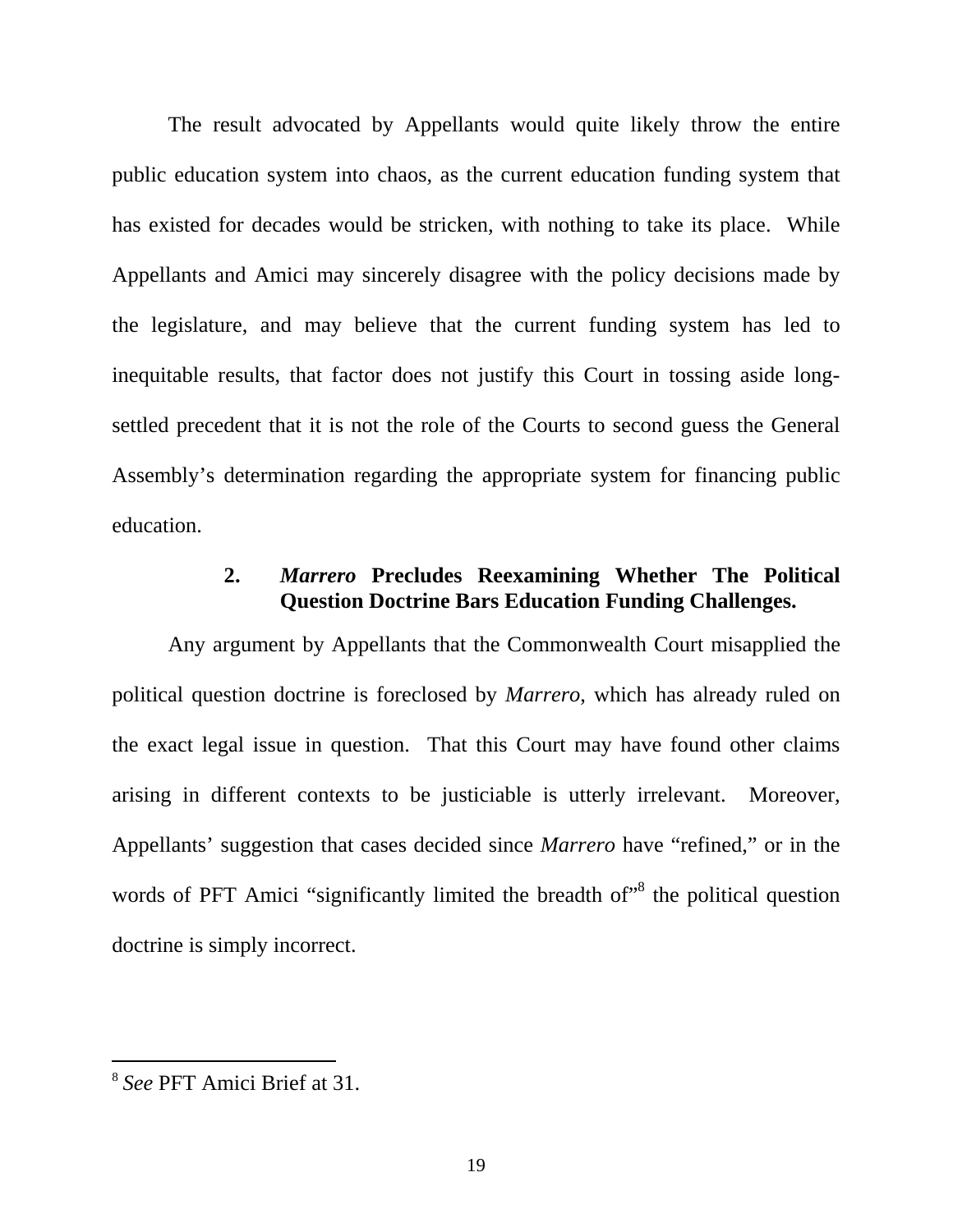The result advocated by Appellants would quite likely throw the entire public education system into chaos, as the current education funding system that has existed for decades would be stricken, with nothing to take its place. While Appellants and Amici may sincerely disagree with the policy decisions made by the legislature, and may believe that the current funding system has led to inequitable results, that factor does not justify this Court in tossing aside longsettled precedent that it is not the role of the Courts to second guess the General Assembly's determination regarding the appropriate system for financing public education.

## **2.** *Marrero* **Precludes Reexamining Whether The Political Question Doctrine Bars Education Funding Challenges.**

Any argument by Appellants that the Commonwealth Court misapplied the political question doctrine is foreclosed by *Marrero*, which has already ruled on the exact legal issue in question. That this Court may have found other claims arising in different contexts to be justiciable is utterly irrelevant. Moreover, Appellants' suggestion that cases decided since *Marrero* have "refined," or in the words of PFT Amici "significantly limited the breadth of"<sup>8</sup> the political question doctrine is simply incorrect.

<sup>8</sup> *See* PFT Amici Brief at 31.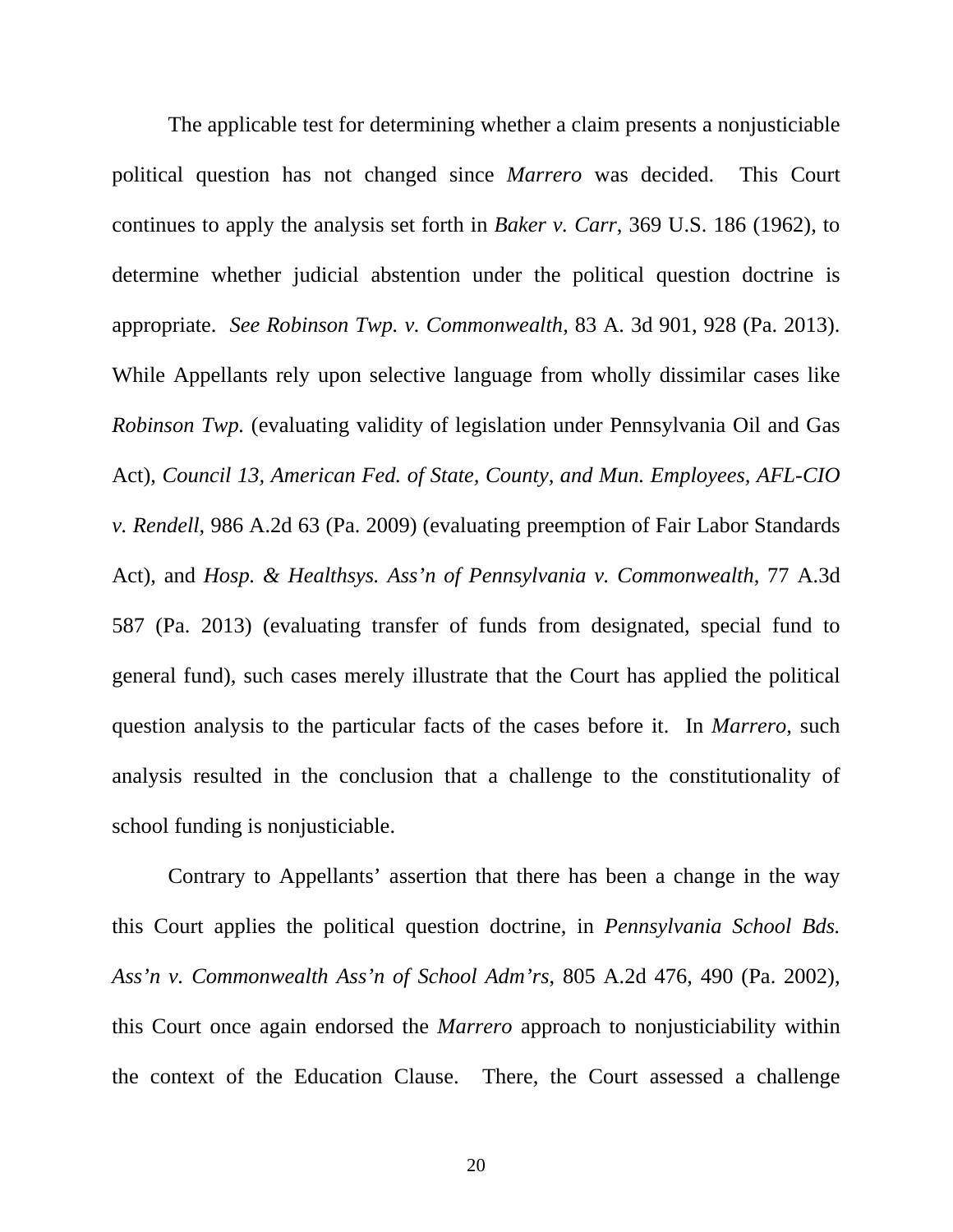The applicable test for determining whether a claim presents a nonjusticiable political question has not changed since *Marrero* was decided. This Court continues to apply the analysis set forth in *Baker v. Carr*, 369 U.S. 186 (1962), to determine whether judicial abstention under the political question doctrine is appropriate. *See Robinson Twp. v. Commonwealth*, 83 A. 3d 901, 928 (Pa. 2013). While Appellants rely upon selective language from wholly dissimilar cases like *Robinson Twp.* (evaluating validity of legislation under Pennsylvania Oil and Gas Act), *Council 13, American Fed. of State, County, and Mun. Employees, AFL-CIO v. Rendell*, 986 A.2d 63 (Pa. 2009) (evaluating preemption of Fair Labor Standards Act), and *Hosp. & Healthsys. Ass'n of Pennsylvania v. Commonwealth*, 77 A.3d 587 (Pa. 2013) (evaluating transfer of funds from designated, special fund to general fund), such cases merely illustrate that the Court has applied the political question analysis to the particular facts of the cases before it. In *Marrero*, such analysis resulted in the conclusion that a challenge to the constitutionality of school funding is nonjusticiable.

Contrary to Appellants' assertion that there has been a change in the way this Court applies the political question doctrine, in *Pennsylvania School Bds. Ass'n v. Commonwealth Ass'n of School Adm'rs*, 805 A.2d 476, 490 (Pa. 2002), this Court once again endorsed the *Marrero* approach to nonjusticiability within the context of the Education Clause. There, the Court assessed a challenge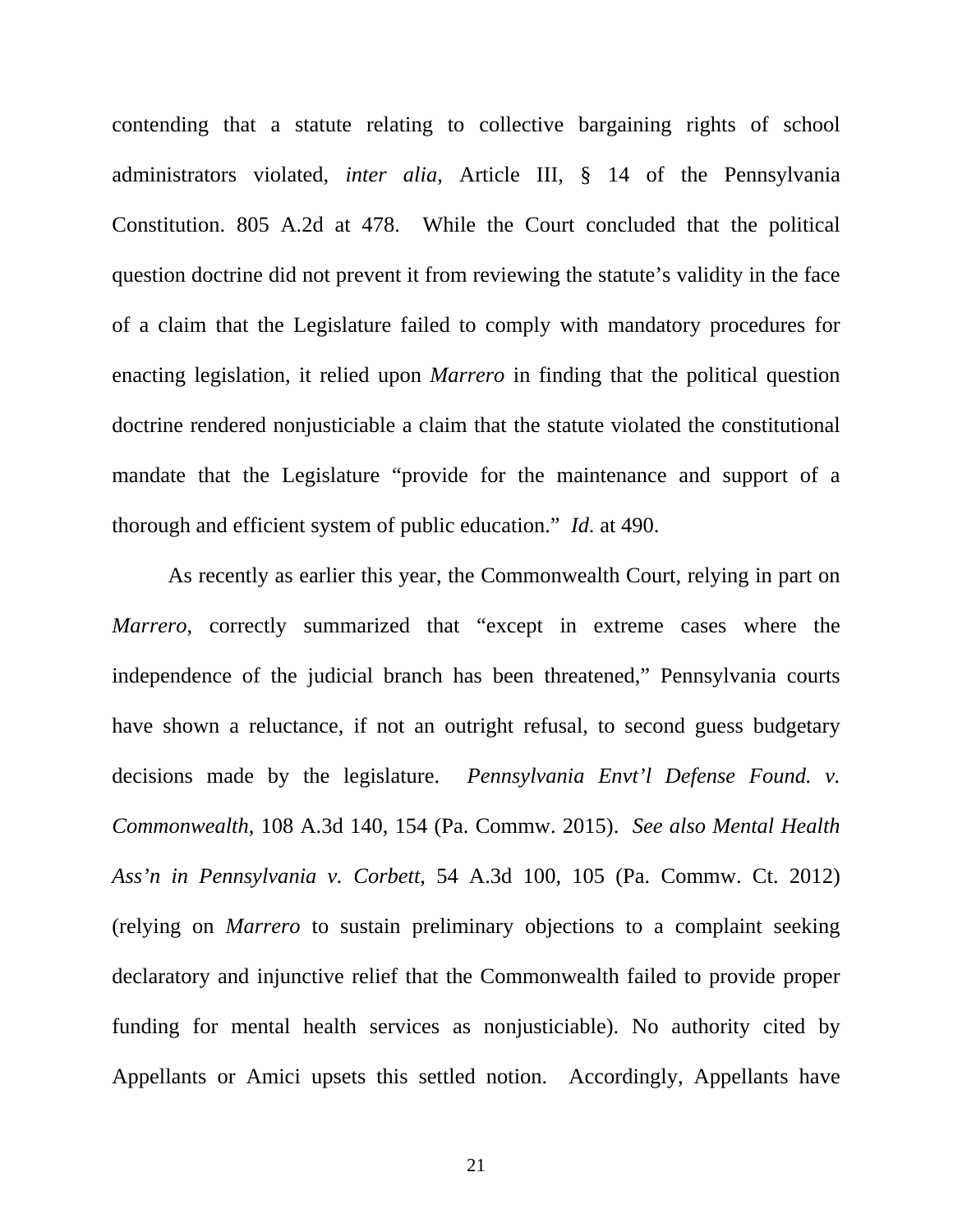contending that a statute relating to collective bargaining rights of school administrators violated, *inter alia*, Article III, § 14 of the Pennsylvania Constitution. 805 A.2d at 478. While the Court concluded that the political question doctrine did not prevent it from reviewing the statute's validity in the face of a claim that the Legislature failed to comply with mandatory procedures for enacting legislation, it relied upon *Marrero* in finding that the political question doctrine rendered nonjusticiable a claim that the statute violated the constitutional mandate that the Legislature "provide for the maintenance and support of a thorough and efficient system of public education." *Id.* at 490.

As recently as earlier this year, the Commonwealth Court, relying in part on *Marrero*, correctly summarized that "except in extreme cases where the independence of the judicial branch has been threatened," Pennsylvania courts have shown a reluctance, if not an outright refusal, to second guess budgetary decisions made by the legislature. *Pennsylvania Envt'l Defense Found. v. Commonwealth*, 108 A.3d 140, 154 (Pa. Commw. 2015). *See also Mental Health Ass'n in Pennsylvania v. Corbett*, 54 A.3d 100, 105 (Pa. Commw. Ct. 2012) (relying on *Marrero* to sustain preliminary objections to a complaint seeking declaratory and injunctive relief that the Commonwealth failed to provide proper funding for mental health services as nonjusticiable). No authority cited by Appellants or Amici upsets this settled notion. Accordingly, Appellants have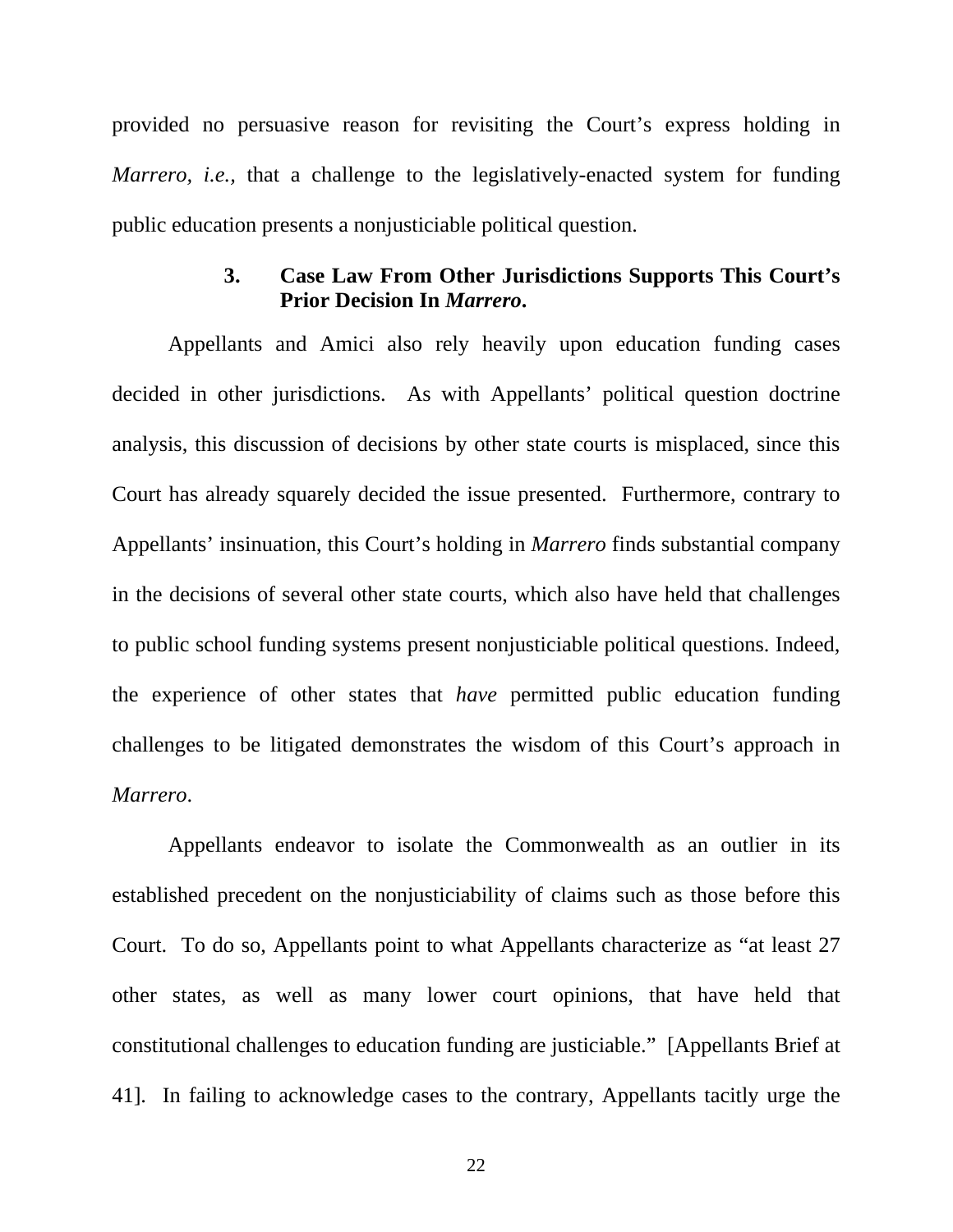provided no persuasive reason for revisiting the Court's express holding in *Marrero, i.e., that a challenge to the legislatively-enacted system for funding* public education presents a nonjusticiable political question.

## **3. Case Law From Other Jurisdictions Supports This Court's Prior Decision In** *Marrero***.**

Appellants and Amici also rely heavily upon education funding cases decided in other jurisdictions. As with Appellants' political question doctrine analysis, this discussion of decisions by other state courts is misplaced, since this Court has already squarely decided the issue presented. Furthermore, contrary to Appellants' insinuation, this Court's holding in *Marrero* finds substantial company in the decisions of several other state courts, which also have held that challenges to public school funding systems present nonjusticiable political questions. Indeed, the experience of other states that *have* permitted public education funding challenges to be litigated demonstrates the wisdom of this Court's approach in *Marrero*.

Appellants endeavor to isolate the Commonwealth as an outlier in its established precedent on the nonjusticiability of claims such as those before this Court. To do so, Appellants point to what Appellants characterize as "at least 27 other states, as well as many lower court opinions, that have held that constitutional challenges to education funding are justiciable." [Appellants Brief at 41]. In failing to acknowledge cases to the contrary, Appellants tacitly urge the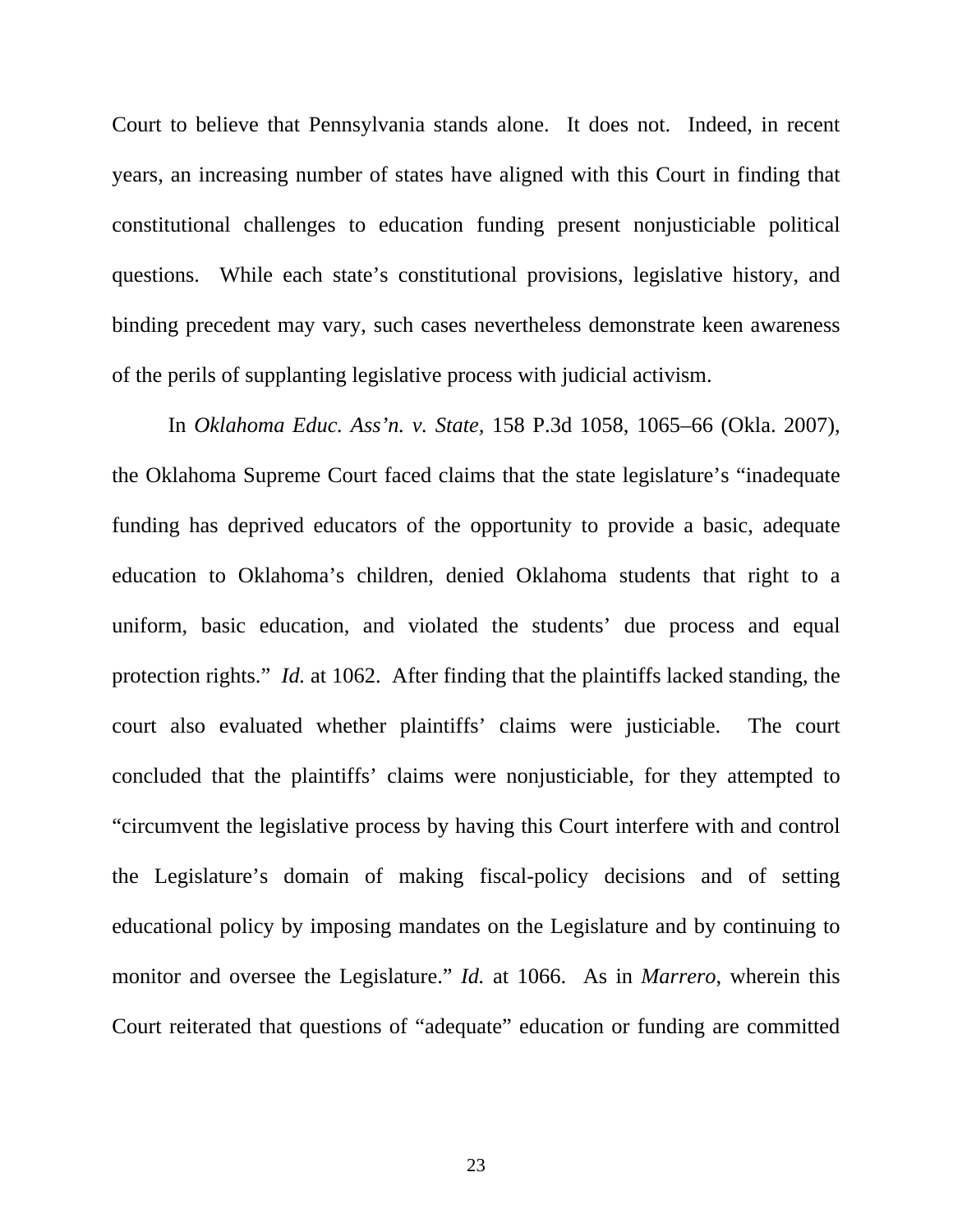Court to believe that Pennsylvania stands alone. It does not. Indeed, in recent years, an increasing number of states have aligned with this Court in finding that constitutional challenges to education funding present nonjusticiable political questions. While each state's constitutional provisions, legislative history, and binding precedent may vary, such cases nevertheless demonstrate keen awareness of the perils of supplanting legislative process with judicial activism.

In *Oklahoma Educ. Ass'n. v. State,* 158 P.3d 1058, 1065–66 (Okla. 2007), the Oklahoma Supreme Court faced claims that the state legislature's "inadequate funding has deprived educators of the opportunity to provide a basic, adequate education to Oklahoma's children, denied Oklahoma students that right to a uniform, basic education, and violated the students' due process and equal protection rights." *Id.* at 1062. After finding that the plaintiffs lacked standing, the court also evaluated whether plaintiffs' claims were justiciable. The court concluded that the plaintiffs' claims were nonjusticiable, for they attempted to "circumvent the legislative process by having this Court interfere with and control the Legislature's domain of making fiscal-policy decisions and of setting educational policy by imposing mandates on the Legislature and by continuing to monitor and oversee the Legislature." *Id.* at 1066. As in *Marrero*, wherein this Court reiterated that questions of "adequate" education or funding are committed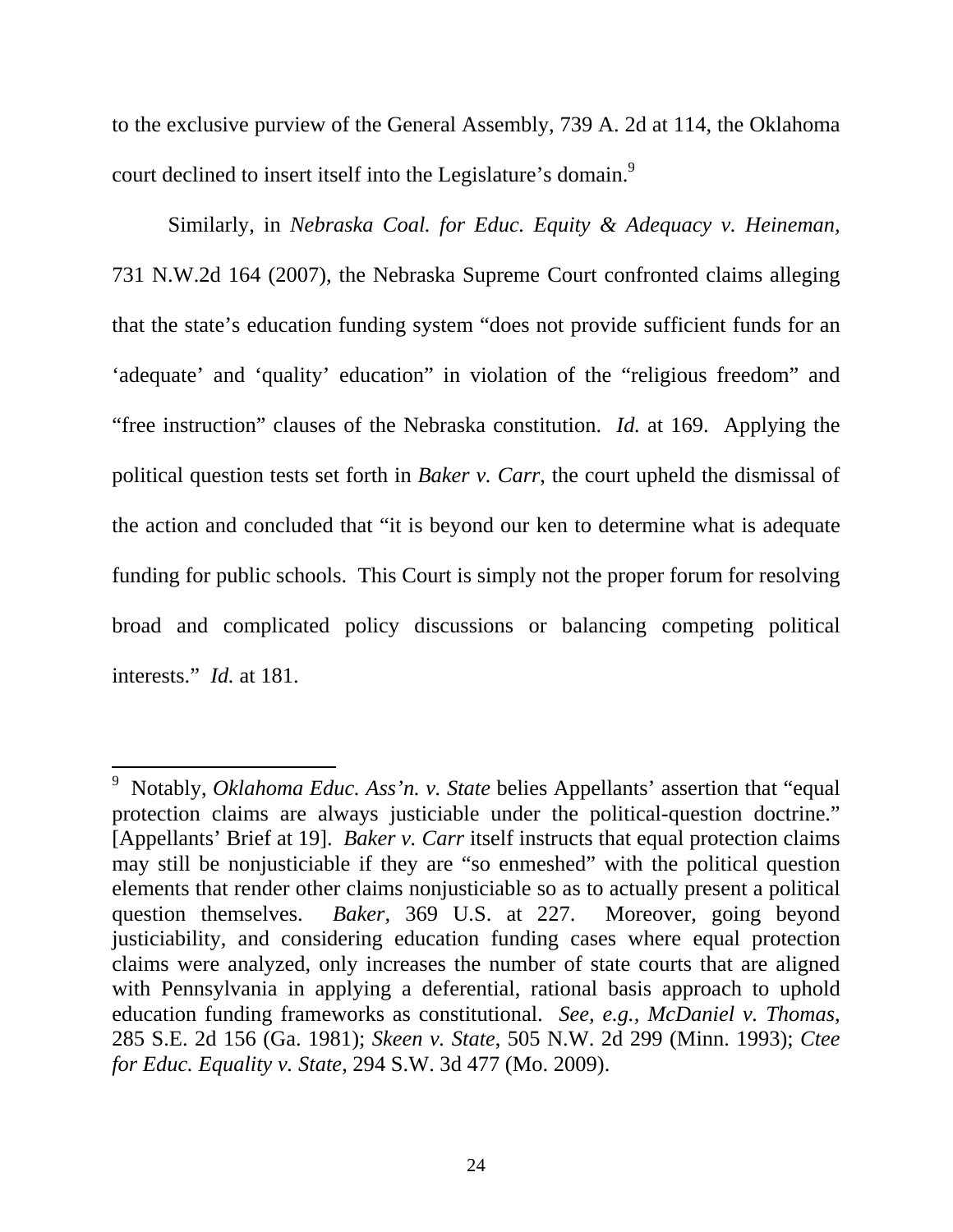to the exclusive purview of the General Assembly, 739 A. 2d at 114, the Oklahoma court declined to insert itself into the Legislature's domain.<sup>9</sup>

Similarly, in *Nebraska Coal. for Educ. Equity & Adequacy v. Heineman,* 731 N.W.2d 164 (2007), the Nebraska Supreme Court confronted claims alleging that the state's education funding system "does not provide sufficient funds for an 'adequate' and 'quality' education" in violation of the "religious freedom" and "free instruction" clauses of the Nebraska constitution. *Id.* at 169. Applying the political question tests set forth in *Baker v. Carr*, the court upheld the dismissal of the action and concluded that "it is beyond our ken to determine what is adequate funding for public schools. This Court is simply not the proper forum for resolving broad and complicated policy discussions or balancing competing political interests." *Id.* at 181.

<sup>&</sup>lt;sup>9</sup> Notably, *Oklahoma Educ. Ass'n. v. State* belies Appellants' assertion that "equal protection claims are always justiciable under the political-question doctrine." [Appellants' Brief at 19]. *Baker v. Carr* itself instructs that equal protection claims may still be nonjusticiable if they are "so enmeshed" with the political question elements that render other claims nonjusticiable so as to actually present a political question themselves. *Baker*, 369 U.S. at 227. Moreover, going beyond justiciability, and considering education funding cases where equal protection claims were analyzed, only increases the number of state courts that are aligned with Pennsylvania in applying a deferential, rational basis approach to uphold education funding frameworks as constitutional. *See, e.g., McDaniel v. Thomas*, 285 S.E. 2d 156 (Ga. 1981); *Skeen v. State*, 505 N.W. 2d 299 (Minn. 1993); *Ctee for Educ. Equality v. State*, 294 S.W. 3d 477 (Mo. 2009).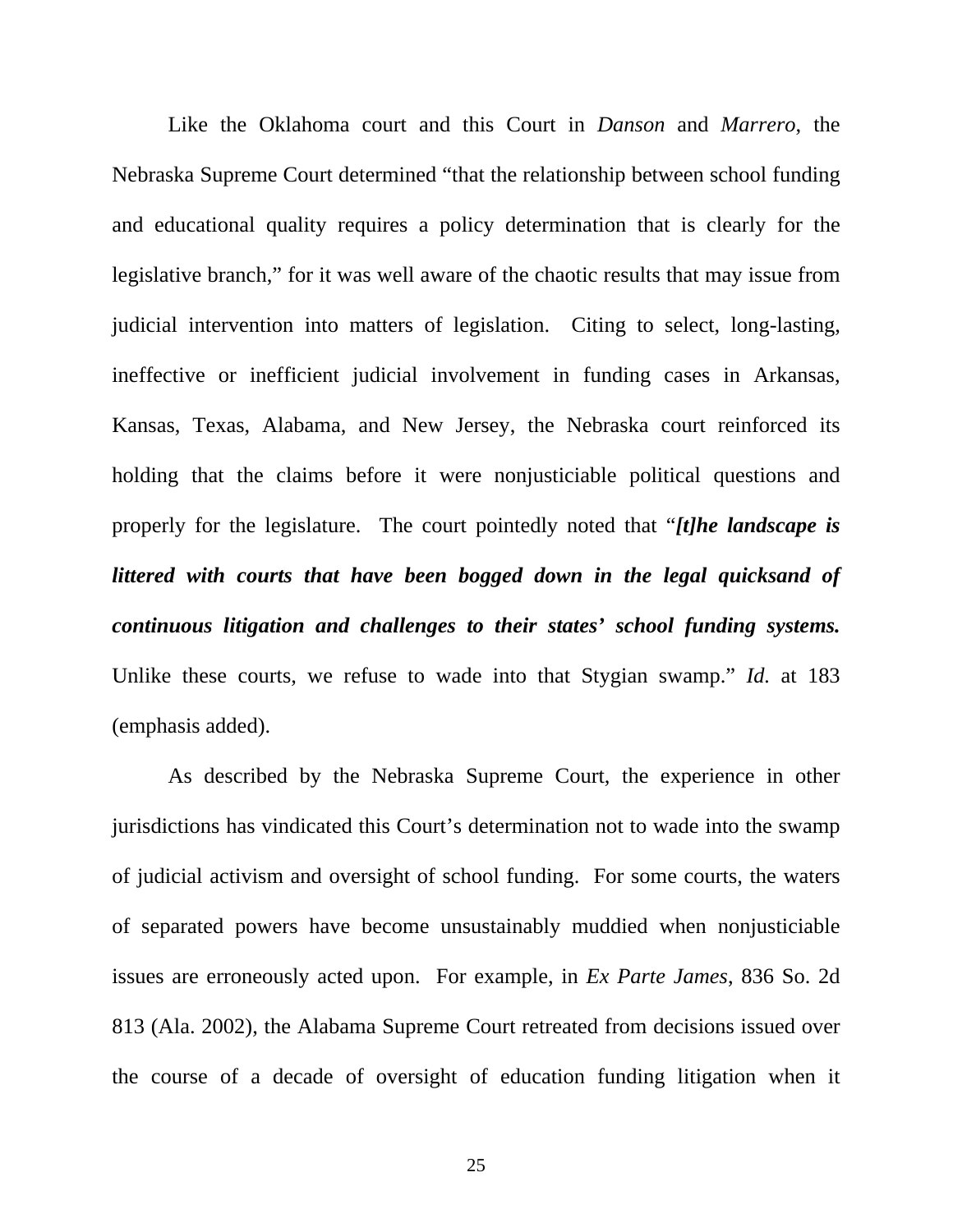Like the Oklahoma court and this Court in *Danson* and *Marrero*, the Nebraska Supreme Court determined "that the relationship between school funding and educational quality requires a policy determination that is clearly for the legislative branch," for it was well aware of the chaotic results that may issue from judicial intervention into matters of legislation. Citing to select, long-lasting, ineffective or inefficient judicial involvement in funding cases in Arkansas, Kansas, Texas, Alabama, and New Jersey, the Nebraska court reinforced its holding that the claims before it were nonjusticiable political questions and properly for the legislature. The court pointedly noted that "*[t]he landscape is littered with courts that have been bogged down in the legal quicksand of continuous litigation and challenges to their states' school funding systems.* Unlike these courts, we refuse to wade into that Stygian swamp." *Id.* at 183 (emphasis added).

As described by the Nebraska Supreme Court, the experience in other jurisdictions has vindicated this Court's determination not to wade into the swamp of judicial activism and oversight of school funding. For some courts, the waters of separated powers have become unsustainably muddied when nonjusticiable issues are erroneously acted upon. For example, in *Ex Parte James*, 836 So. 2d 813 (Ala. 2002), the Alabama Supreme Court retreated from decisions issued over the course of a decade of oversight of education funding litigation when it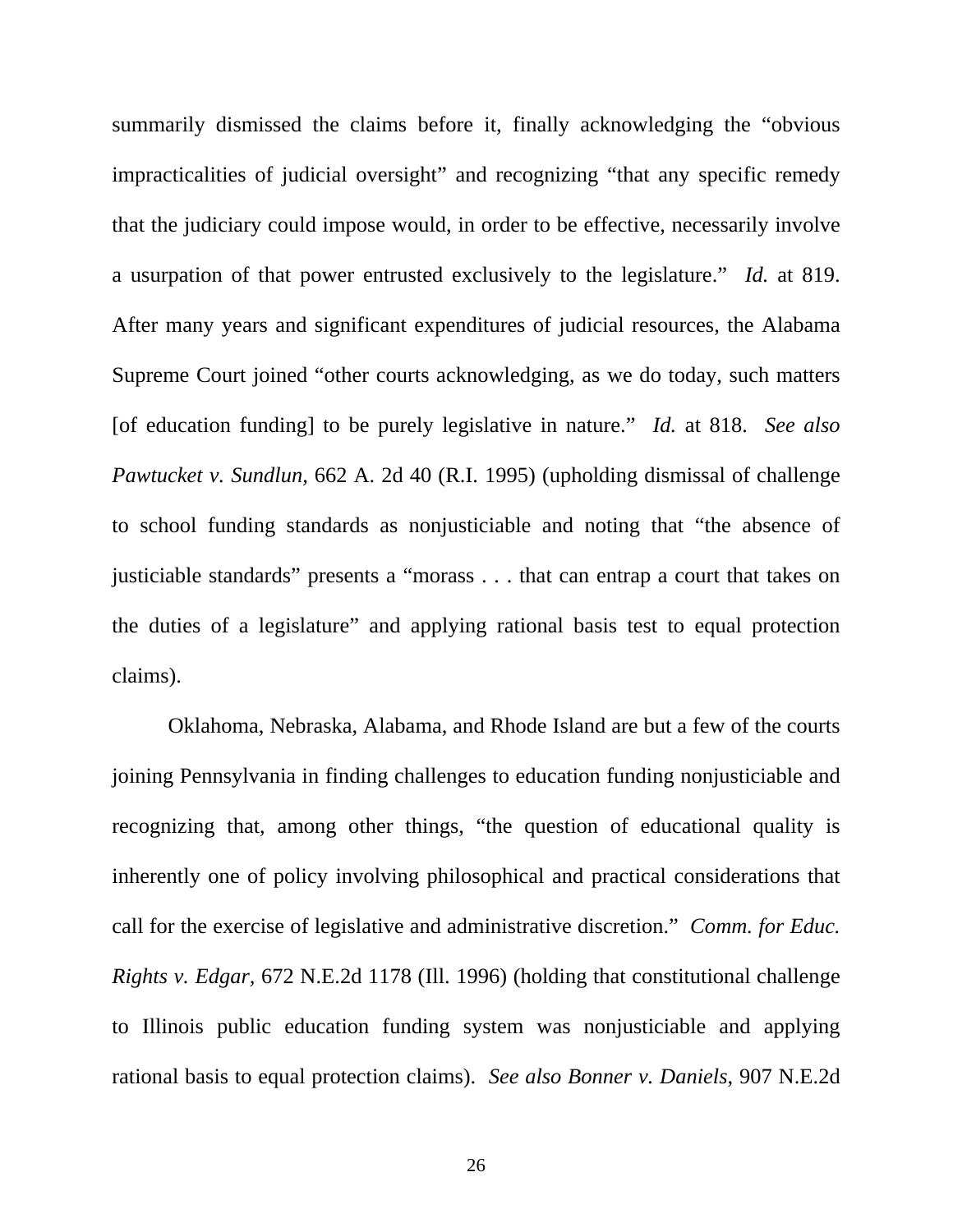summarily dismissed the claims before it, finally acknowledging the "obvious impracticalities of judicial oversight" and recognizing "that any specific remedy that the judiciary could impose would, in order to be effective, necessarily involve a usurpation of that power entrusted exclusively to the legislature." *Id.* at 819. After many years and significant expenditures of judicial resources, the Alabama Supreme Court joined "other courts acknowledging, as we do today, such matters [of education funding] to be purely legislative in nature." *Id.* at 818. *See also Pawtucket v. Sundlun,* 662 A. 2d 40 (R.I. 1995) (upholding dismissal of challenge to school funding standards as nonjusticiable and noting that "the absence of justiciable standards" presents a "morass . . . that can entrap a court that takes on the duties of a legislature" and applying rational basis test to equal protection claims).

Oklahoma, Nebraska, Alabama, and Rhode Island are but a few of the courts joining Pennsylvania in finding challenges to education funding nonjusticiable and recognizing that, among other things, "the question of educational quality is inherently one of policy involving philosophical and practical considerations that call for the exercise of legislative and administrative discretion." *Comm. for Educ. Rights v. Edgar,* 672 N.E.2d 1178 (Ill. 1996) (holding that constitutional challenge to Illinois public education funding system was nonjusticiable and applying rational basis to equal protection claims). *See also Bonner v. Daniels*, 907 N.E.2d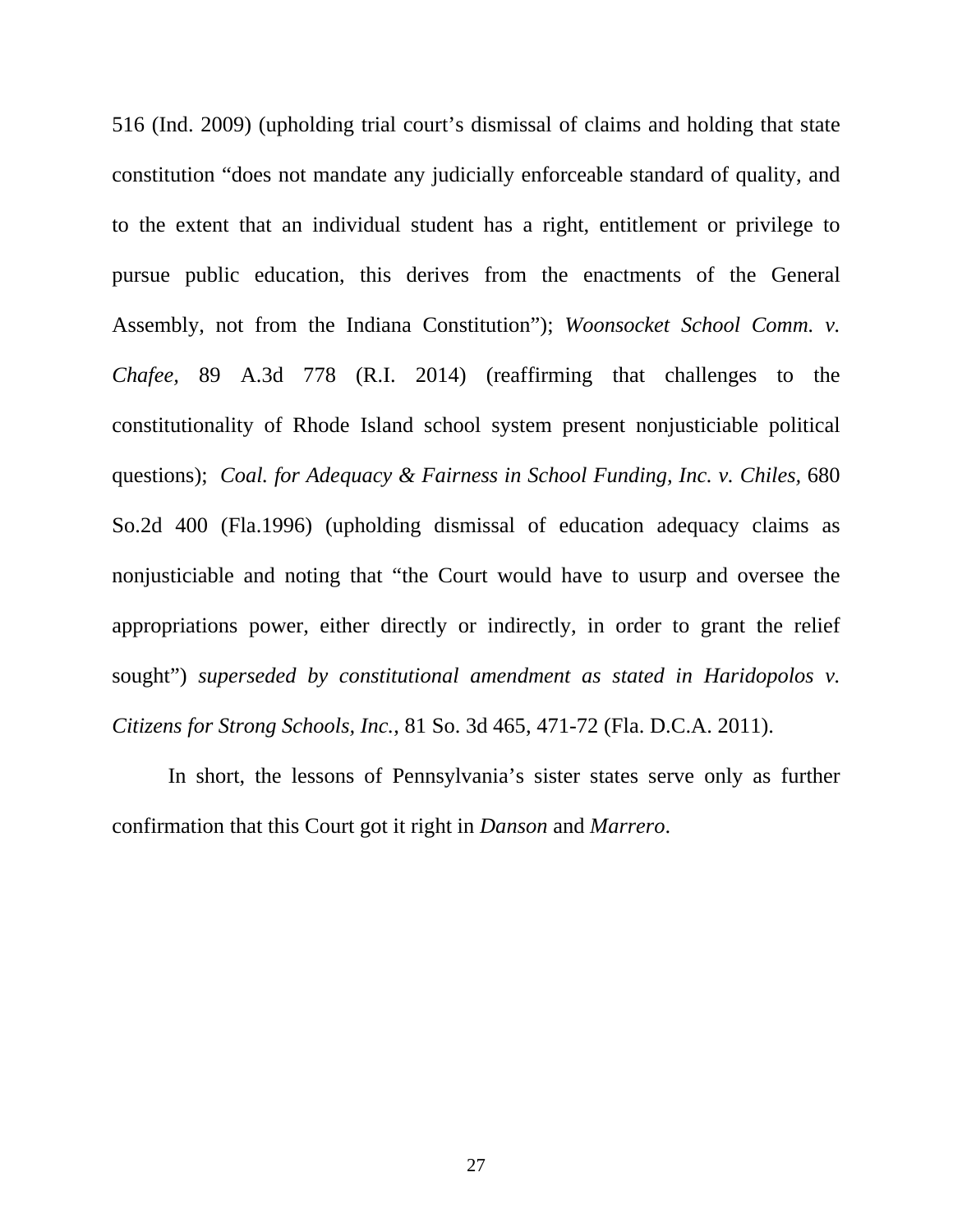516 (Ind. 2009) (upholding trial court's dismissal of claims and holding that state constitution "does not mandate any judicially enforceable standard of quality, and to the extent that an individual student has a right, entitlement or privilege to pursue public education, this derives from the enactments of the General Assembly, not from the Indiana Constitution"); *Woonsocket School Comm. v. Chafee,* 89 A.3d 778 (R.I. 2014) (reaffirming that challenges to the constitutionality of Rhode Island school system present nonjusticiable political questions); *Coal. for Adequacy & Fairness in School Funding, Inc. v. Chiles,* 680 So.2d 400 (Fla.1996) (upholding dismissal of education adequacy claims as nonjusticiable and noting that "the Court would have to usurp and oversee the appropriations power, either directly or indirectly, in order to grant the relief sought") *superseded by constitutional amendment as stated in Haridopolos v. Citizens for Strong Schools, Inc.*, 81 So. 3d 465, 471-72 (Fla. D.C.A. 2011).

In short, the lessons of Pennsylvania's sister states serve only as further confirmation that this Court got it right in *Danson* and *Marrero*.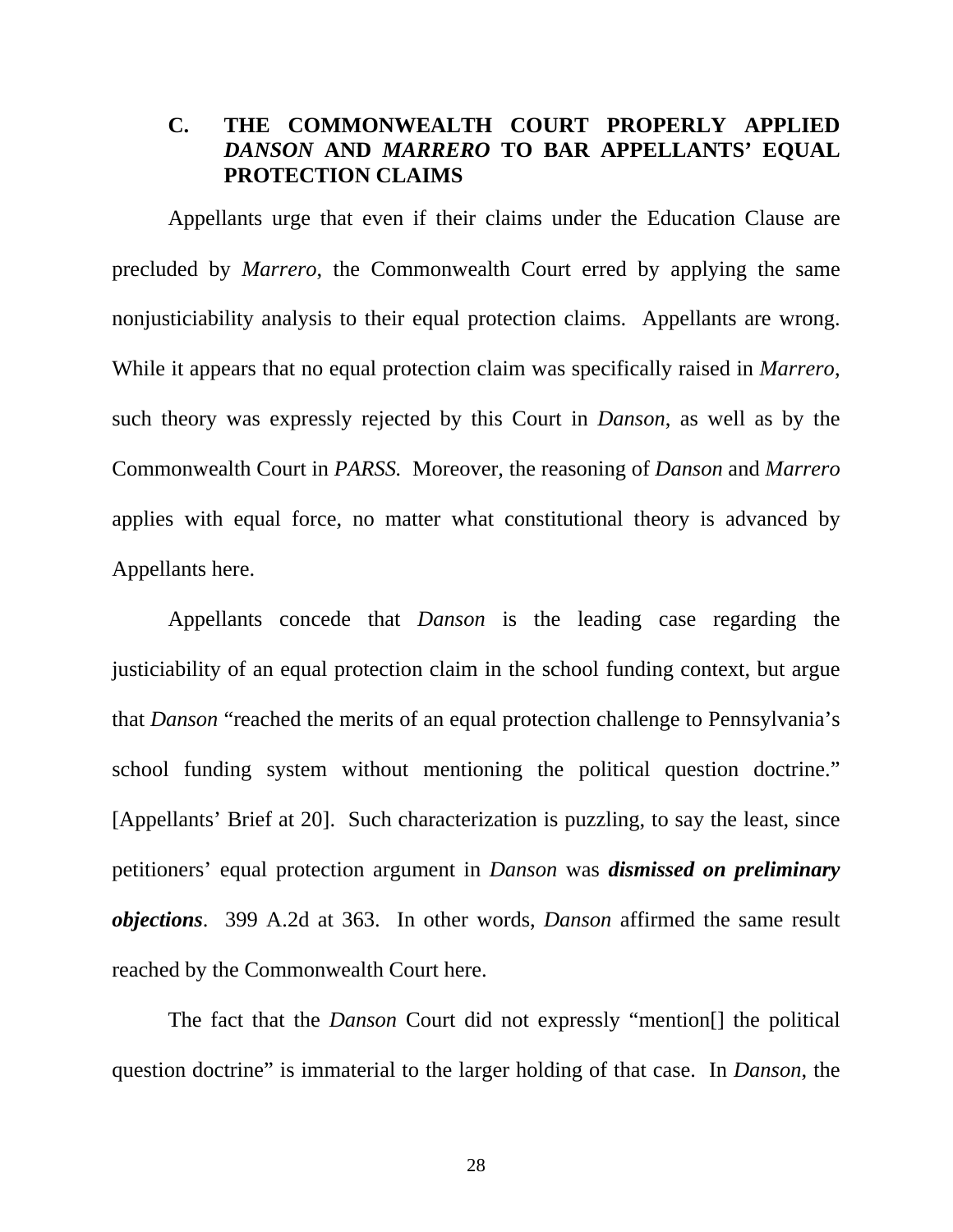## **C. THE COMMONWEALTH COURT PROPERLY APPLIED**  *DANSON* **AND** *MARRERO* **TO BAR APPELLANTS' EQUAL PROTECTION CLAIMS**

Appellants urge that even if their claims under the Education Clause are precluded by *Marrero*, the Commonwealth Court erred by applying the same nonjusticiability analysis to their equal protection claims. Appellants are wrong. While it appears that no equal protection claim was specifically raised in *Marrero*, such theory was expressly rejected by this Court in *Danson*, as well as by the Commonwealth Court in *PARSS.* Moreover, the reasoning of *Danson* and *Marrero* applies with equal force, no matter what constitutional theory is advanced by Appellants here.

Appellants concede that *Danson* is the leading case regarding the justiciability of an equal protection claim in the school funding context, but argue that *Danson* "reached the merits of an equal protection challenge to Pennsylvania's school funding system without mentioning the political question doctrine." [Appellants' Brief at 20]. Such characterization is puzzling, to say the least, since petitioners' equal protection argument in *Danson* was *dismissed on preliminary objections*. 399 A.2d at 363. In other words, *Danson* affirmed the same result reached by the Commonwealth Court here.

The fact that the *Danson* Court did not expressly "mention[] the political question doctrine" is immaterial to the larger holding of that case. In *Danson*, the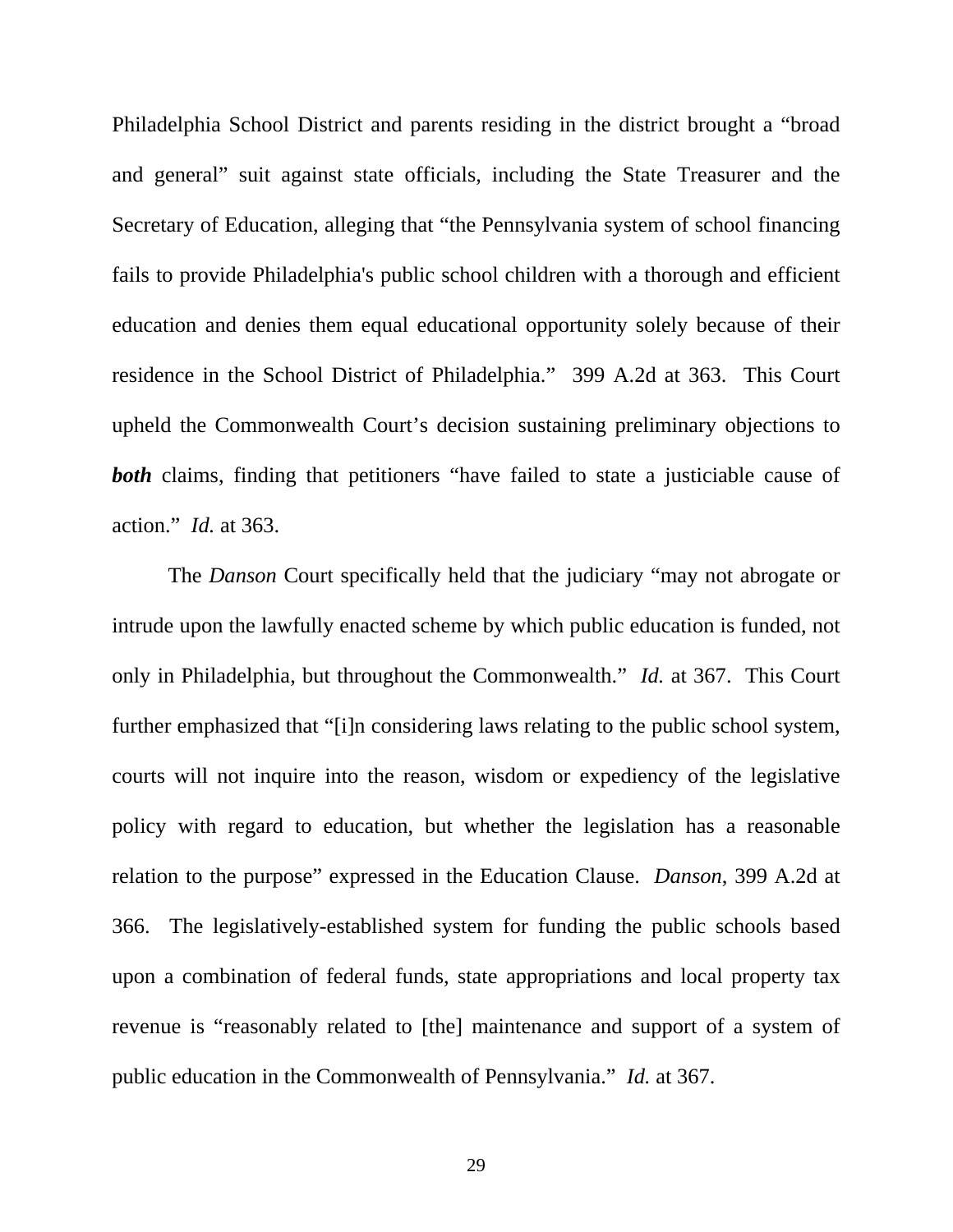Philadelphia School District and parents residing in the district brought a "broad and general" suit against state officials, including the State Treasurer and the Secretary of Education, alleging that "the Pennsylvania system of school financing fails to provide Philadelphia's public school children with a thorough and efficient education and denies them equal educational opportunity solely because of their residence in the School District of Philadelphia." 399 A.2d at 363. This Court upheld the Commonwealth Court's decision sustaining preliminary objections to **both** claims, finding that petitioners "have failed to state a justiciable cause of action." *Id.* at 363.

The *Danson* Court specifically held that the judiciary "may not abrogate or intrude upon the lawfully enacted scheme by which public education is funded, not only in Philadelphia, but throughout the Commonwealth." *Id.* at 367. This Court further emphasized that "[i]n considering laws relating to the public school system, courts will not inquire into the reason, wisdom or expediency of the legislative policy with regard to education, but whether the legislation has a reasonable relation to the purpose" expressed in the Education Clause. *Danson*, 399 A.2d at 366. The legislatively-established system for funding the public schools based upon a combination of federal funds, state appropriations and local property tax revenue is "reasonably related to [the] maintenance and support of a system of public education in the Commonwealth of Pennsylvania." *Id.* at 367.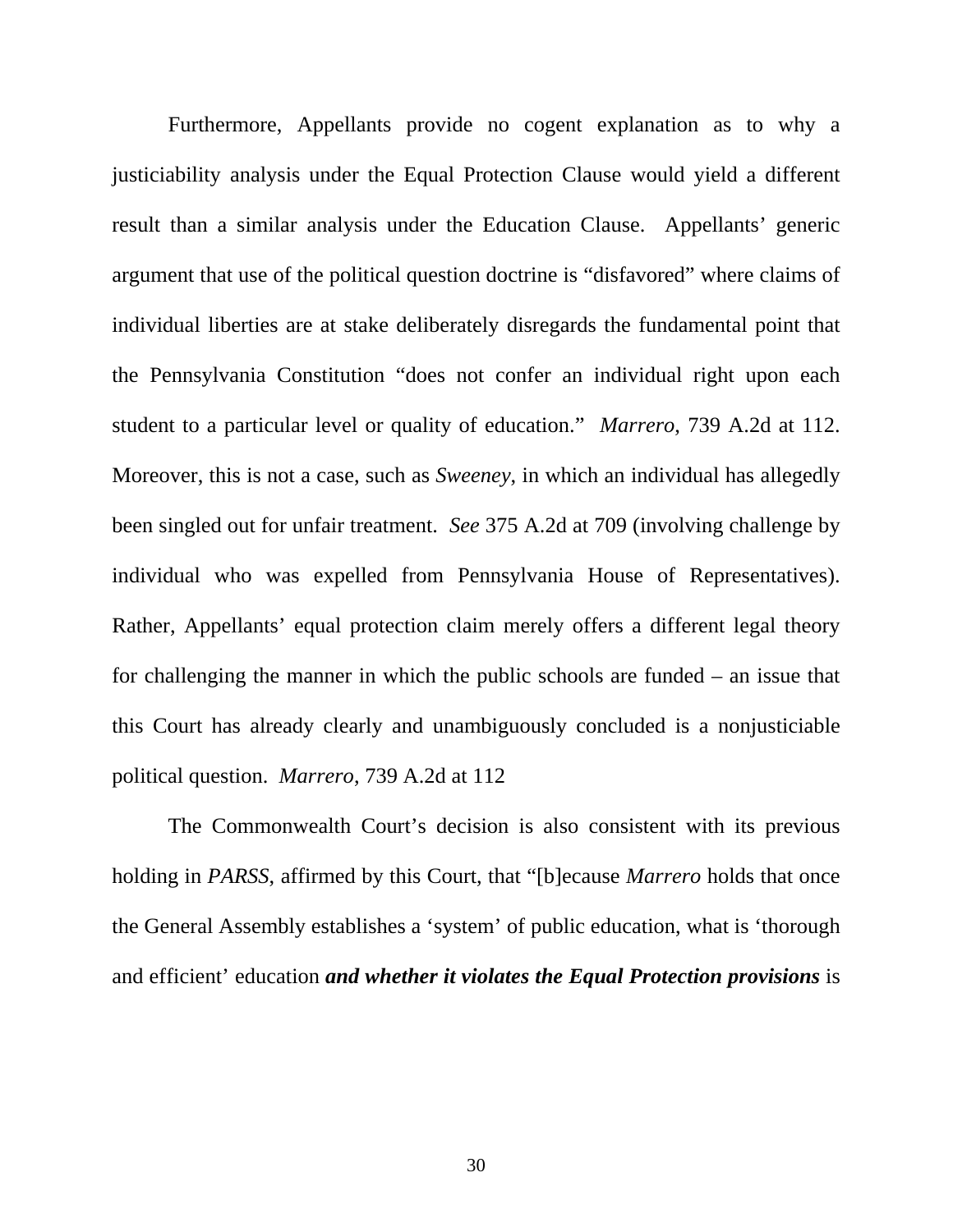Furthermore, Appellants provide no cogent explanation as to why a justiciability analysis under the Equal Protection Clause would yield a different result than a similar analysis under the Education Clause. Appellants' generic argument that use of the political question doctrine is "disfavored" where claims of individual liberties are at stake deliberately disregards the fundamental point that the Pennsylvania Constitution "does not confer an individual right upon each student to a particular level or quality of education." *Marrero*, 739 A.2d at 112. Moreover, this is not a case, such as *Sweeney*, in which an individual has allegedly been singled out for unfair treatment. *See* 375 A.2d at 709 (involving challenge by individual who was expelled from Pennsylvania House of Representatives). Rather, Appellants' equal protection claim merely offers a different legal theory for challenging the manner in which the public schools are funded – an issue that this Court has already clearly and unambiguously concluded is a nonjusticiable political question. *Marrero*, 739 A.2d at 112

The Commonwealth Court's decision is also consistent with its previous holding in *PARSS*, affirmed by this Court, that "[b]ecause *Marrero* holds that once the General Assembly establishes a 'system' of public education, what is 'thorough and efficient' education *and whether it violates the Equal Protection provisions* is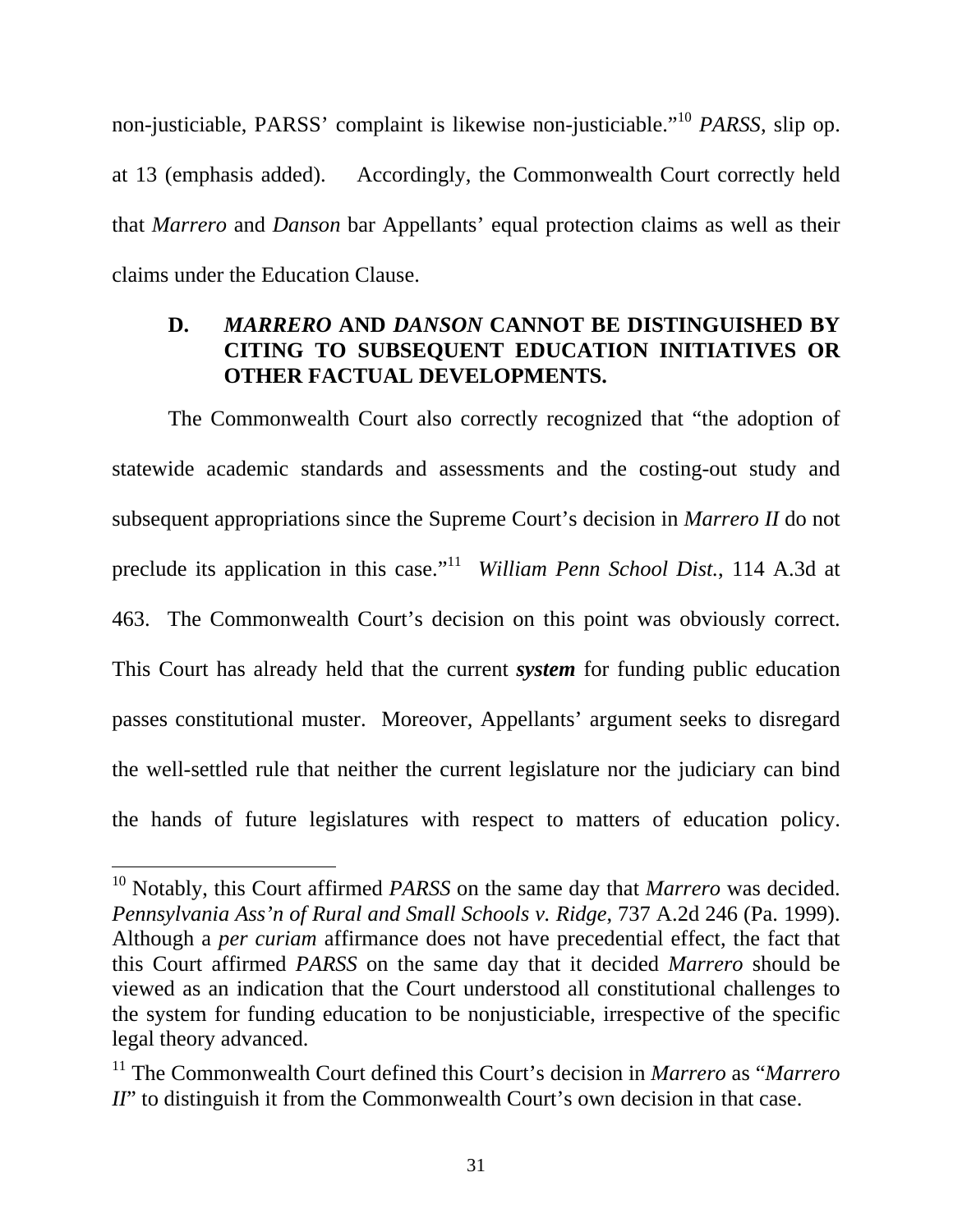non-justiciable, PARSS' complaint is likewise non-justiciable."<sup>10</sup> *PARSS*, slip op. at 13 (emphasis added). Accordingly, the Commonwealth Court correctly held that *Marrero* and *Danson* bar Appellants' equal protection claims as well as their claims under the Education Clause.

## **D.** *MARRERO* **AND** *DANSON* **CANNOT BE DISTINGUISHED BY CITING TO SUBSEQUENT EDUCATION INITIATIVES OR OTHER FACTUAL DEVELOPMENTS.**

The Commonwealth Court also correctly recognized that "the adoption of statewide academic standards and assessments and the costing-out study and subsequent appropriations since the Supreme Court's decision in *Marrero II* do not preclude its application in this case."11 *William Penn School Dist.*, 114 A.3d at 463. The Commonwealth Court's decision on this point was obviously correct. This Court has already held that the current *system* for funding public education passes constitutional muster. Moreover, Appellants' argument seeks to disregard the well-settled rule that neither the current legislature nor the judiciary can bind the hands of future legislatures with respect to matters of education policy.

<sup>10</sup> Notably, this Court affirmed *PARSS* on the same day that *Marrero* was decided. *Pennsylvania Ass'n of Rural and Small Schools v. Ridge*, 737 A.2d 246 (Pa. 1999). Although a *per curiam* affirmance does not have precedential effect, the fact that this Court affirmed *PARSS* on the same day that it decided *Marrero* should be viewed as an indication that the Court understood all constitutional challenges to the system for funding education to be nonjusticiable, irrespective of the specific legal theory advanced.

<sup>11</sup> The Commonwealth Court defined this Court's decision in *Marrero* as "*Marrero II*" to distinguish it from the Commonwealth Court's own decision in that case.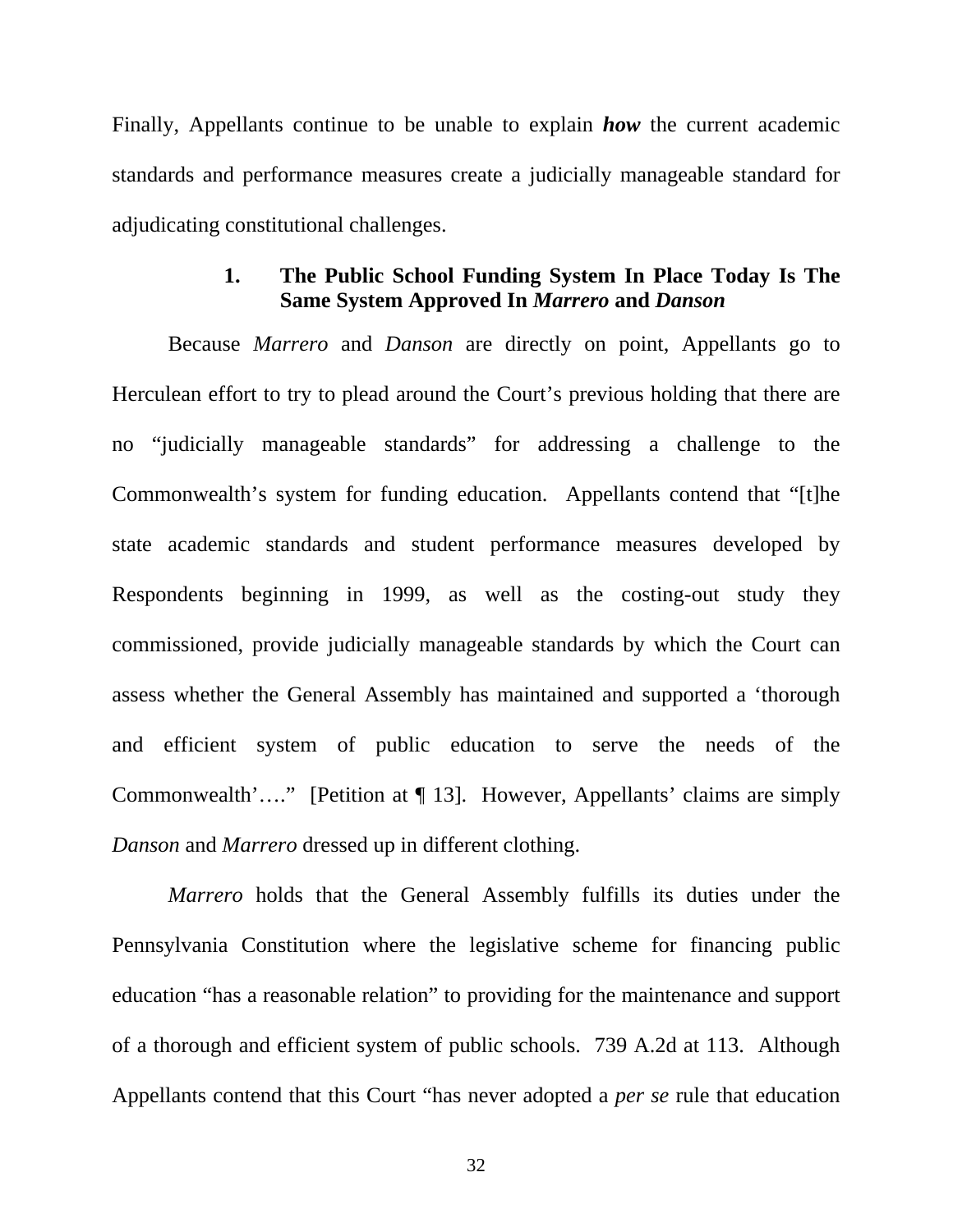Finally, Appellants continue to be unable to explain *how* the current academic standards and performance measures create a judicially manageable standard for adjudicating constitutional challenges.

## **1. The Public School Funding System In Place Today Is The Same System Approved In** *Marrero* **and** *Danson*

Because *Marrero* and *Danson* are directly on point, Appellants go to Herculean effort to try to plead around the Court's previous holding that there are no "judicially manageable standards" for addressing a challenge to the Commonwealth's system for funding education. Appellants contend that "[t]he state academic standards and student performance measures developed by Respondents beginning in 1999, as well as the costing-out study they commissioned, provide judicially manageable standards by which the Court can assess whether the General Assembly has maintained and supported a 'thorough and efficient system of public education to serve the needs of the Commonwealth'…." [Petition at ¶ 13]. However, Appellants' claims are simply *Danson* and *Marrero* dressed up in different clothing.

*Marrero* holds that the General Assembly fulfills its duties under the Pennsylvania Constitution where the legislative scheme for financing public education "has a reasonable relation" to providing for the maintenance and support of a thorough and efficient system of public schools. 739 A.2d at 113. Although Appellants contend that this Court "has never adopted a *per se* rule that education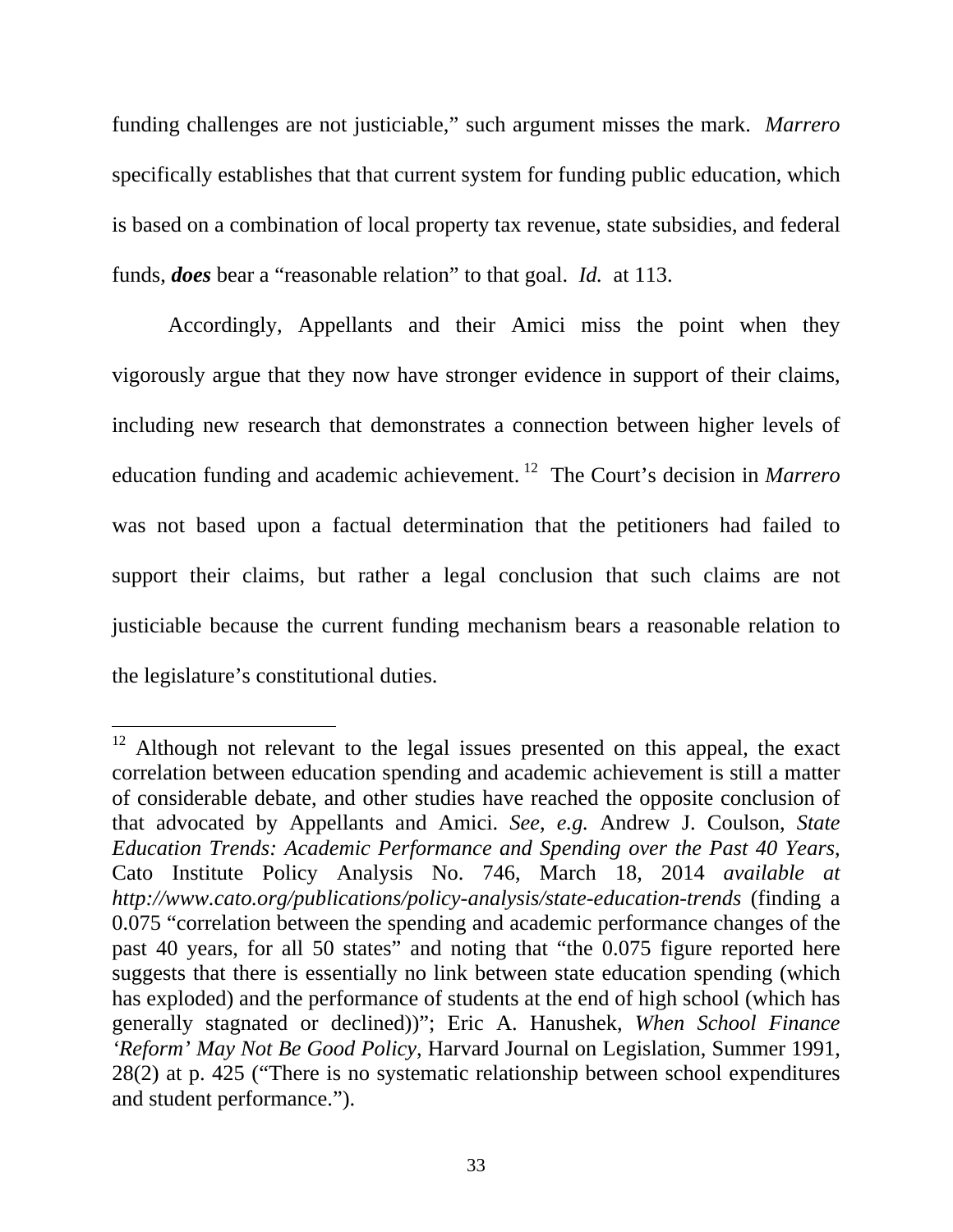funding challenges are not justiciable," such argument misses the mark. *Marrero* specifically establishes that that current system for funding public education, which is based on a combination of local property tax revenue, state subsidies, and federal funds, *does* bear a "reasonable relation" to that goal. *Id.* at 113.

Accordingly, Appellants and their Amici miss the point when they vigorously argue that they now have stronger evidence in support of their claims, including new research that demonstrates a connection between higher levels of education funding and academic achievement. 12 The Court's decision in *Marrero* was not based upon a factual determination that the petitioners had failed to support their claims, but rather a legal conclusion that such claims are not justiciable because the current funding mechanism bears a reasonable relation to the legislature's constitutional duties.

<sup>&</sup>lt;sup>12</sup> Although not relevant to the legal issues presented on this appeal, the exact correlation between education spending and academic achievement is still a matter of considerable debate, and other studies have reached the opposite conclusion of that advocated by Appellants and Amici. *See*, *e.g.* Andrew J. Coulson, *State Education Trends: Academic Performance and Spending over the Past 40 Years*, Cato Institute Policy Analysis No. 746, March 18, 2014 *available at http://www.cato.org/publications/policy-analysis/state-education-trends* (finding a 0.075 "correlation between the spending and academic performance changes of the past 40 years, for all 50 states" and noting that "the 0.075 figure reported here suggests that there is essentially no link between state education spending (which has exploded) and the performance of students at the end of high school (which has generally stagnated or declined))"; Eric A. Hanushek, *When School Finance 'Reform' May Not Be Good Policy*, Harvard Journal on Legislation, Summer 1991, 28(2) at p. 425 ("There is no systematic relationship between school expenditures and student performance.").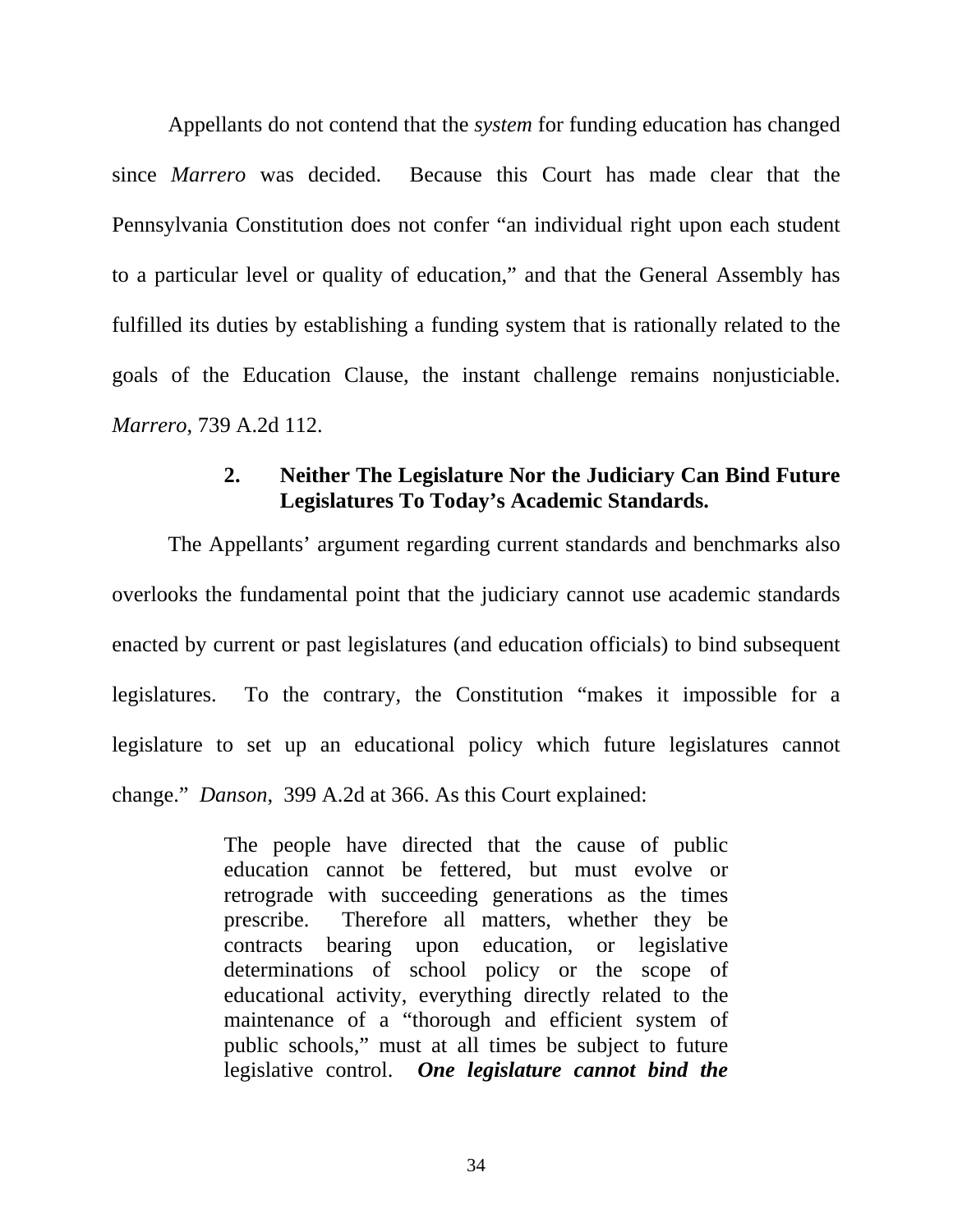Appellants do not contend that the *system* for funding education has changed since *Marrero* was decided. Because this Court has made clear that the Pennsylvania Constitution does not confer "an individual right upon each student to a particular level or quality of education," and that the General Assembly has fulfilled its duties by establishing a funding system that is rationally related to the goals of the Education Clause, the instant challenge remains nonjusticiable. *Marrero*, 739 A.2d 112.

#### **2. Neither The Legislature Nor the Judiciary Can Bind Future Legislatures To Today's Academic Standards.**

The Appellants' argument regarding current standards and benchmarks also overlooks the fundamental point that the judiciary cannot use academic standards enacted by current or past legislatures (and education officials) to bind subsequent legislatures. To the contrary, the Constitution "makes it impossible for a legislature to set up an educational policy which future legislatures cannot change." *Danson*, 399 A.2d at 366. As this Court explained:

> The people have directed that the cause of public education cannot be fettered, but must evolve or retrograde with succeeding generations as the times prescribe. Therefore all matters, whether they be contracts bearing upon education, or legislative determinations of school policy or the scope of educational activity, everything directly related to the maintenance of a "thorough and efficient system of public schools," must at all times be subject to future legislative control. *One legislature cannot bind the*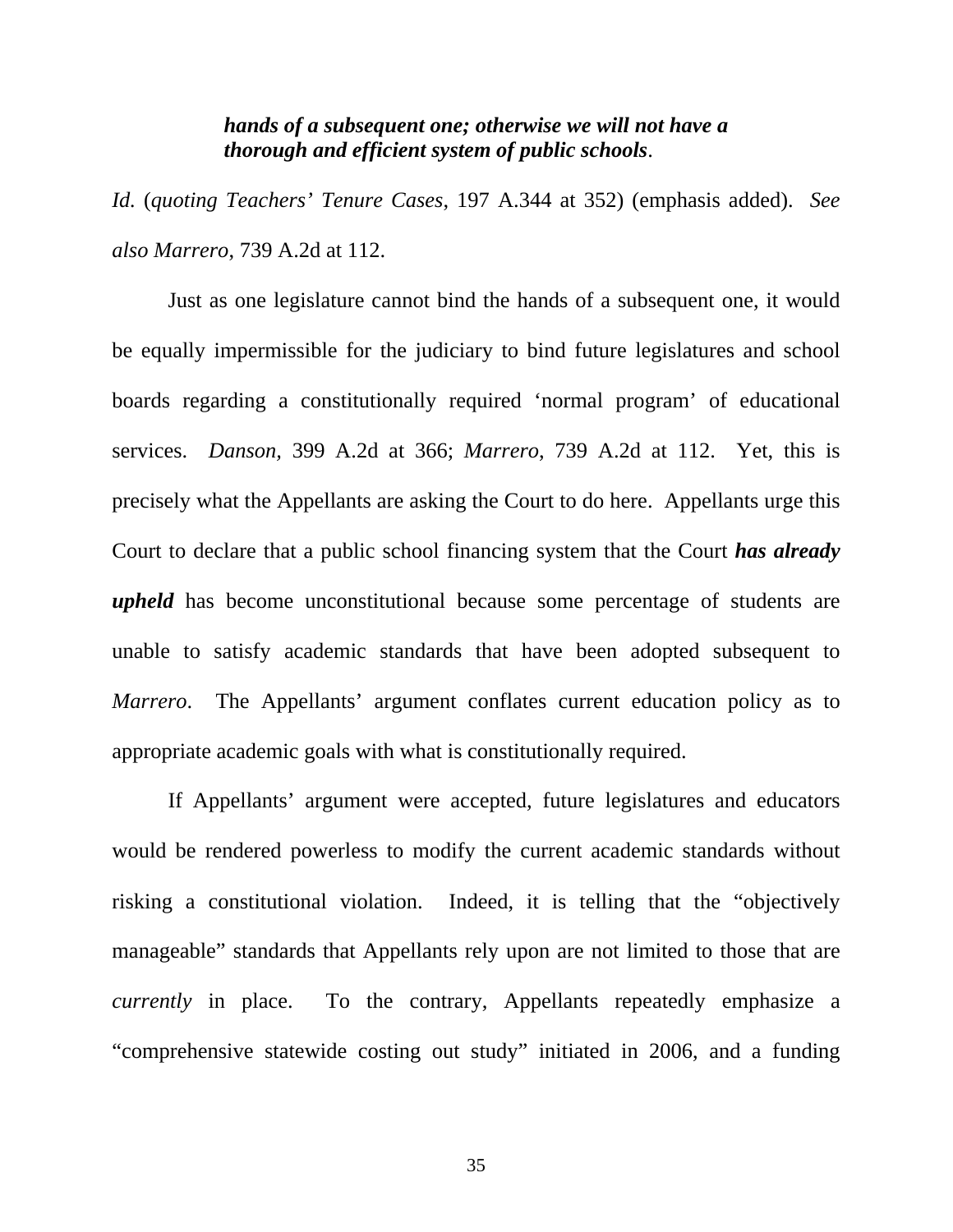#### *hands of a subsequent one; otherwise we will not have a thorough and efficient system of public schools*.

*Id.* (*quoting Teachers' Tenure Cases*, 197 A.344 at 352) (emphasis added). *See also Marrero*, 739 A.2d at 112.

Just as one legislature cannot bind the hands of a subsequent one, it would be equally impermissible for the judiciary to bind future legislatures and school boards regarding a constitutionally required 'normal program' of educational services. *Danson,* 399 A.2d at 366; *Marrero*, 739 A.2d at 112. Yet, this is precisely what the Appellants are asking the Court to do here. Appellants urge this Court to declare that a public school financing system that the Court *has already upheld* has become unconstitutional because some percentage of students are unable to satisfy academic standards that have been adopted subsequent to *Marrero*. The Appellants' argument conflates current education policy as to appropriate academic goals with what is constitutionally required.

If Appellants' argument were accepted, future legislatures and educators would be rendered powerless to modify the current academic standards without risking a constitutional violation. Indeed, it is telling that the "objectively manageable" standards that Appellants rely upon are not limited to those that are *currently* in place. To the contrary, Appellants repeatedly emphasize a "comprehensive statewide costing out study" initiated in 2006, and a funding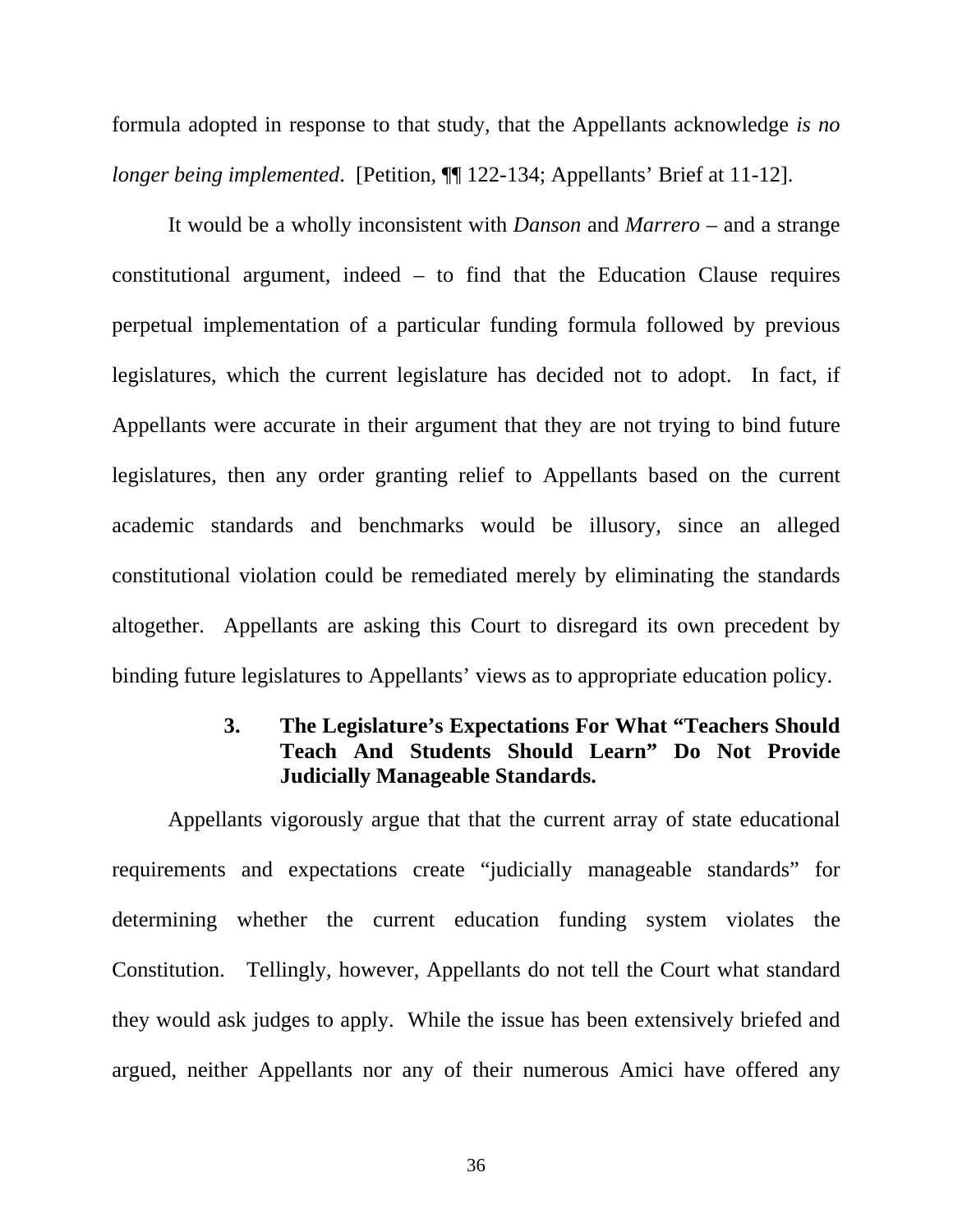formula adopted in response to that study, that the Appellants acknowledge *is no longer being implemented.* [Petition,  $\P$ ] 122-134; Appellants' Brief at 11-12].

It would be a wholly inconsistent with *Danson* and *Marrero* – and a strange constitutional argument, indeed – to find that the Education Clause requires perpetual implementation of a particular funding formula followed by previous legislatures, which the current legislature has decided not to adopt. In fact, if Appellants were accurate in their argument that they are not trying to bind future legislatures, then any order granting relief to Appellants based on the current academic standards and benchmarks would be illusory, since an alleged constitutional violation could be remediated merely by eliminating the standards altogether. Appellants are asking this Court to disregard its own precedent by binding future legislatures to Appellants' views as to appropriate education policy.

## **3. The Legislature's Expectations For What "Teachers Should Teach And Students Should Learn" Do Not Provide Judicially Manageable Standards.**

Appellants vigorously argue that that the current array of state educational requirements and expectations create "judicially manageable standards" for determining whether the current education funding system violates the Constitution. Tellingly, however, Appellants do not tell the Court what standard they would ask judges to apply. While the issue has been extensively briefed and argued, neither Appellants nor any of their numerous Amici have offered any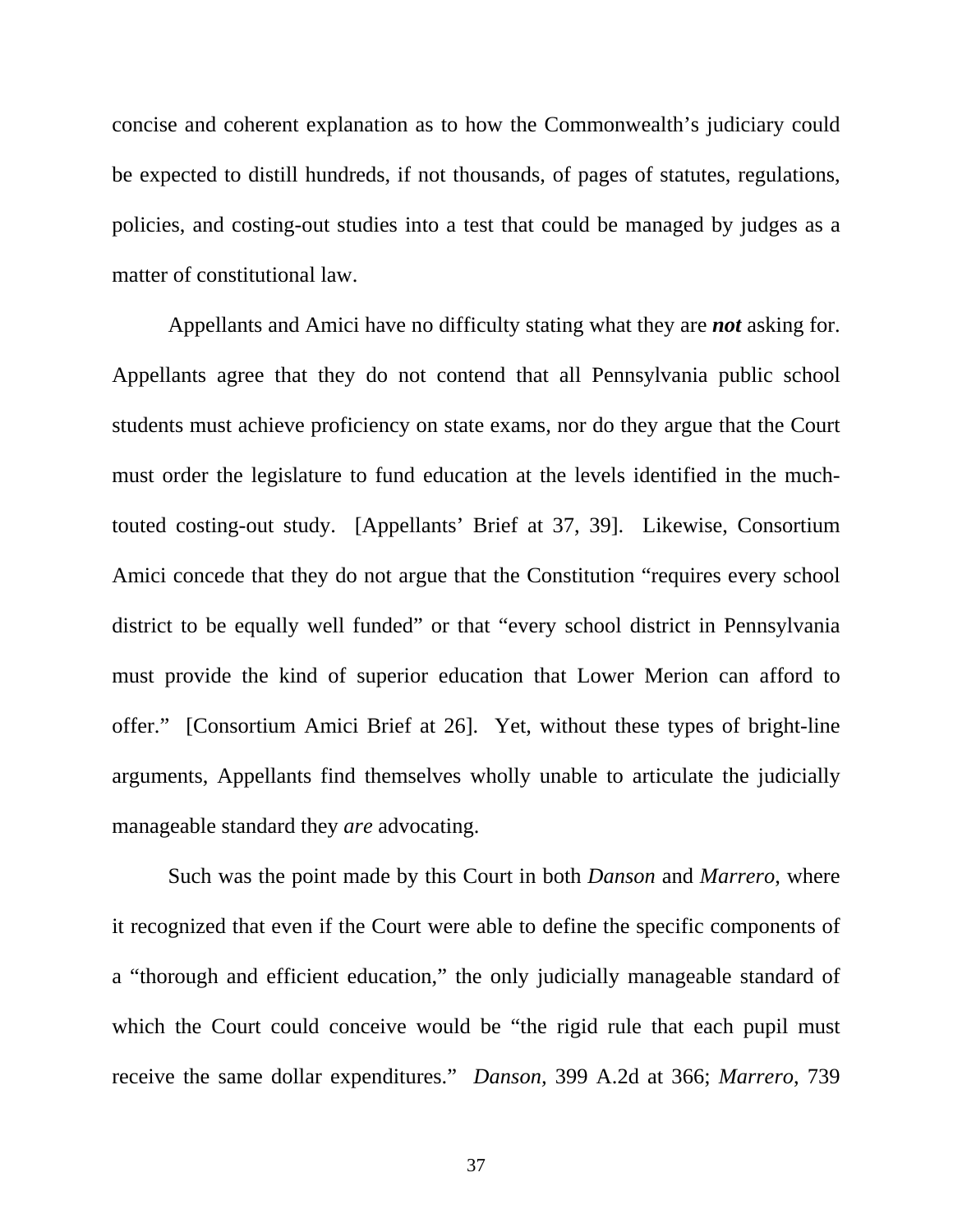concise and coherent explanation as to how the Commonwealth's judiciary could be expected to distill hundreds, if not thousands, of pages of statutes, regulations, policies, and costing-out studies into a test that could be managed by judges as a matter of constitutional law.

Appellants and Amici have no difficulty stating what they are *not* asking for. Appellants agree that they do not contend that all Pennsylvania public school students must achieve proficiency on state exams, nor do they argue that the Court must order the legislature to fund education at the levels identified in the muchtouted costing-out study. [Appellants' Brief at 37, 39]. Likewise, Consortium Amici concede that they do not argue that the Constitution "requires every school district to be equally well funded" or that "every school district in Pennsylvania must provide the kind of superior education that Lower Merion can afford to offer." [Consortium Amici Brief at 26]. Yet, without these types of bright-line arguments, Appellants find themselves wholly unable to articulate the judicially manageable standard they *are* advocating.

Such was the point made by this Court in both *Danson* and *Marrero*, where it recognized that even if the Court were able to define the specific components of a "thorough and efficient education," the only judicially manageable standard of which the Court could conceive would be "the rigid rule that each pupil must receive the same dollar expenditures." *Danson,* 399 A.2d at 366; *Marrero*, 739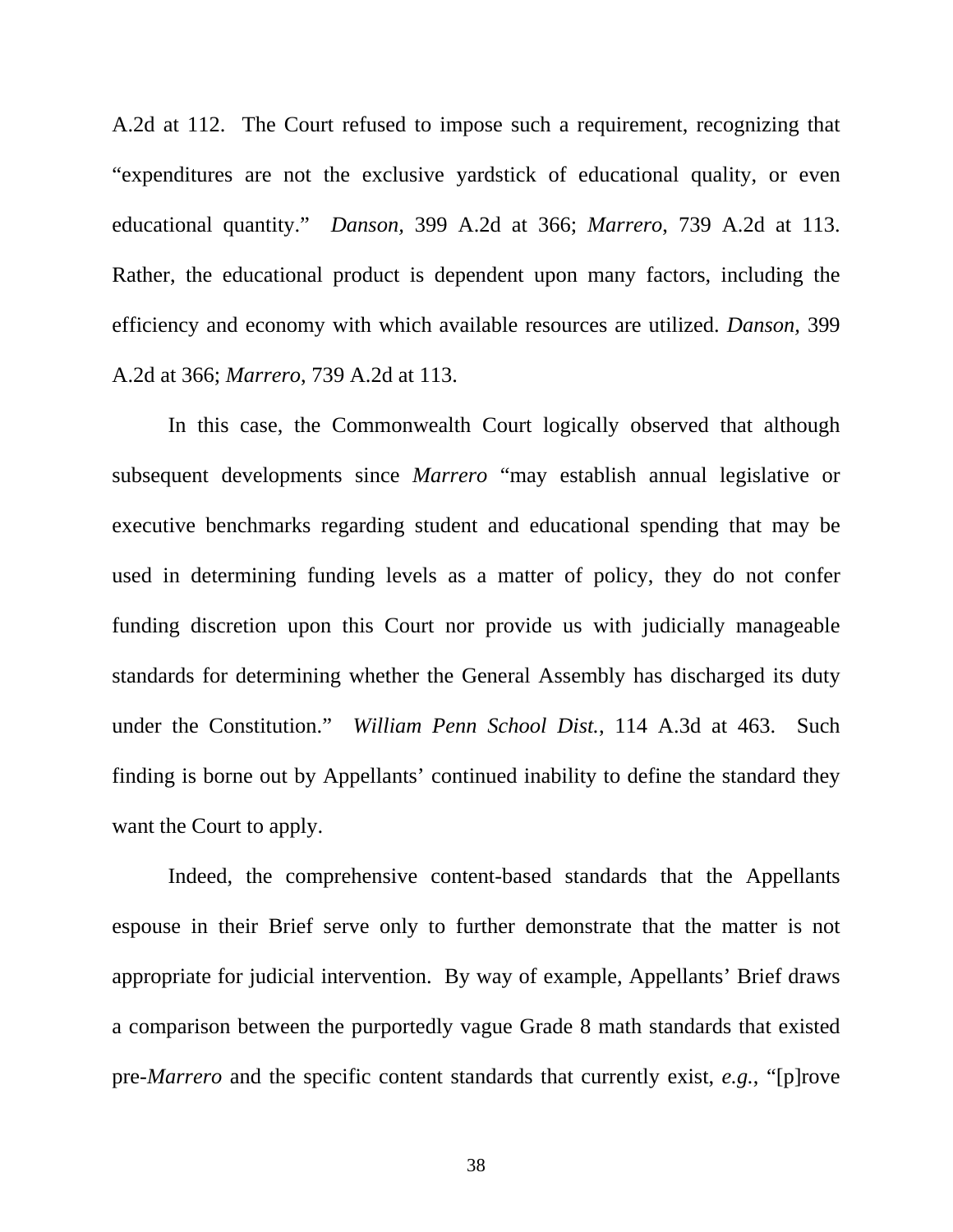A.2d at 112.The Court refused to impose such a requirement, recognizing that "expenditures are not the exclusive yardstick of educational quality, or even educational quantity." *Danson,* 399 A.2d at 366; *Marrero*, 739 A.2d at 113. Rather, the educational product is dependent upon many factors, including the efficiency and economy with which available resources are utilized. *Danson,* 399 A.2d at 366; *Marrero*, 739 A.2d at 113.

In this case, the Commonwealth Court logically observed that although subsequent developments since *Marrero* "may establish annual legislative or executive benchmarks regarding student and educational spending that may be used in determining funding levels as a matter of policy, they do not confer funding discretion upon this Court nor provide us with judicially manageable standards for determining whether the General Assembly has discharged its duty under the Constitution." *William Penn School Dist.*, 114 A.3d at 463. Such finding is borne out by Appellants' continued inability to define the standard they want the Court to apply.

Indeed, the comprehensive content-based standards that the Appellants espouse in their Brief serve only to further demonstrate that the matter is not appropriate for judicial intervention. By way of example, Appellants' Brief draws a comparison between the purportedly vague Grade 8 math standards that existed pre-*Marrero* and the specific content standards that currently exist, *e.g.*, "[p]rove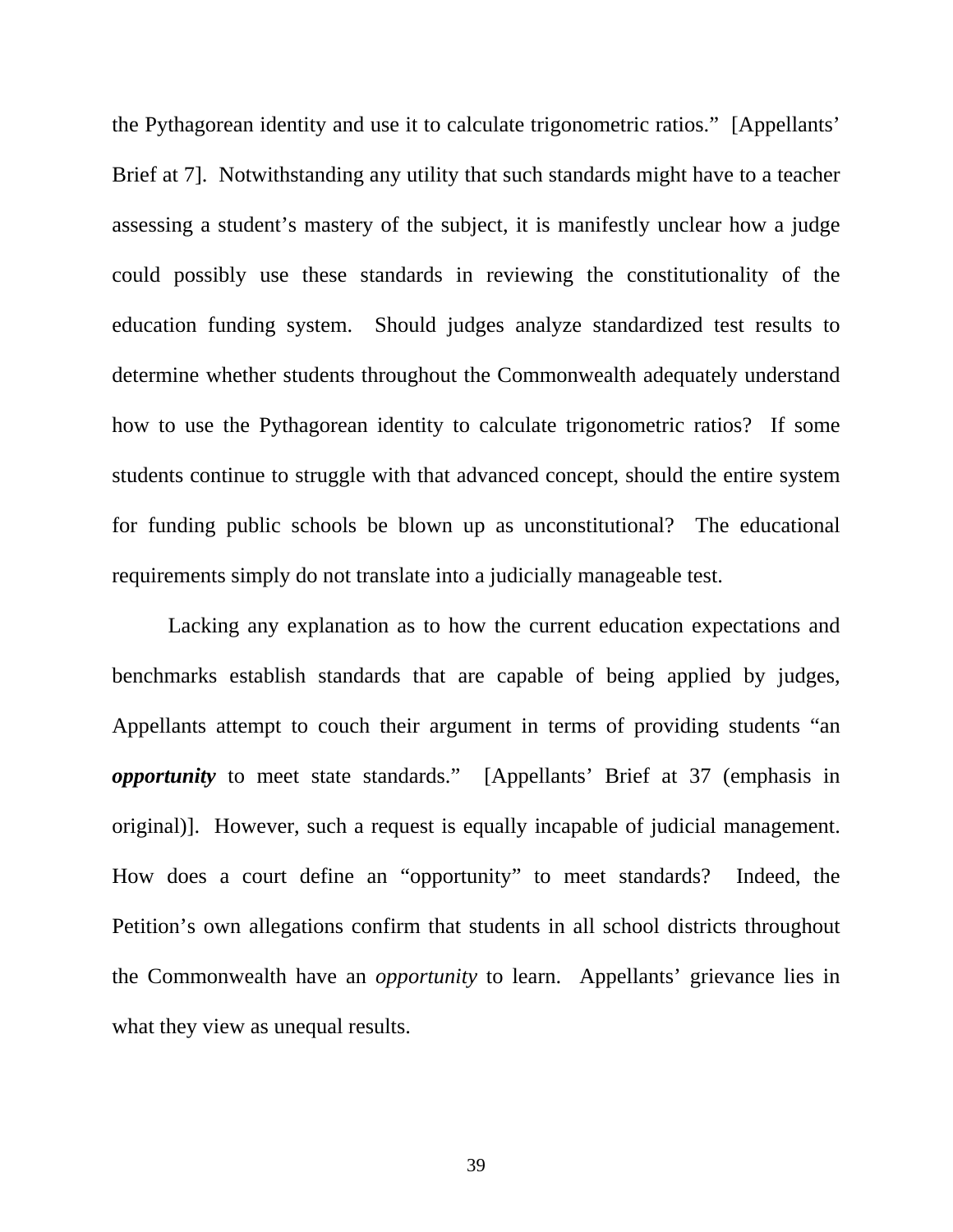the Pythagorean identity and use it to calculate trigonometric ratios." [Appellants' Brief at 7]. Notwithstanding any utility that such standards might have to a teacher assessing a student's mastery of the subject, it is manifestly unclear how a judge could possibly use these standards in reviewing the constitutionality of the education funding system. Should judges analyze standardized test results to determine whether students throughout the Commonwealth adequately understand how to use the Pythagorean identity to calculate trigonometric ratios? If some students continue to struggle with that advanced concept, should the entire system for funding public schools be blown up as unconstitutional? The educational requirements simply do not translate into a judicially manageable test.

Lacking any explanation as to how the current education expectations and benchmarks establish standards that are capable of being applied by judges, Appellants attempt to couch their argument in terms of providing students "an *opportunity* to meet state standards." [Appellants' Brief at 37 (emphasis in original)]. However, such a request is equally incapable of judicial management. How does a court define an "opportunity" to meet standards? Indeed, the Petition's own allegations confirm that students in all school districts throughout the Commonwealth have an *opportunity* to learn. Appellants' grievance lies in what they view as unequal results.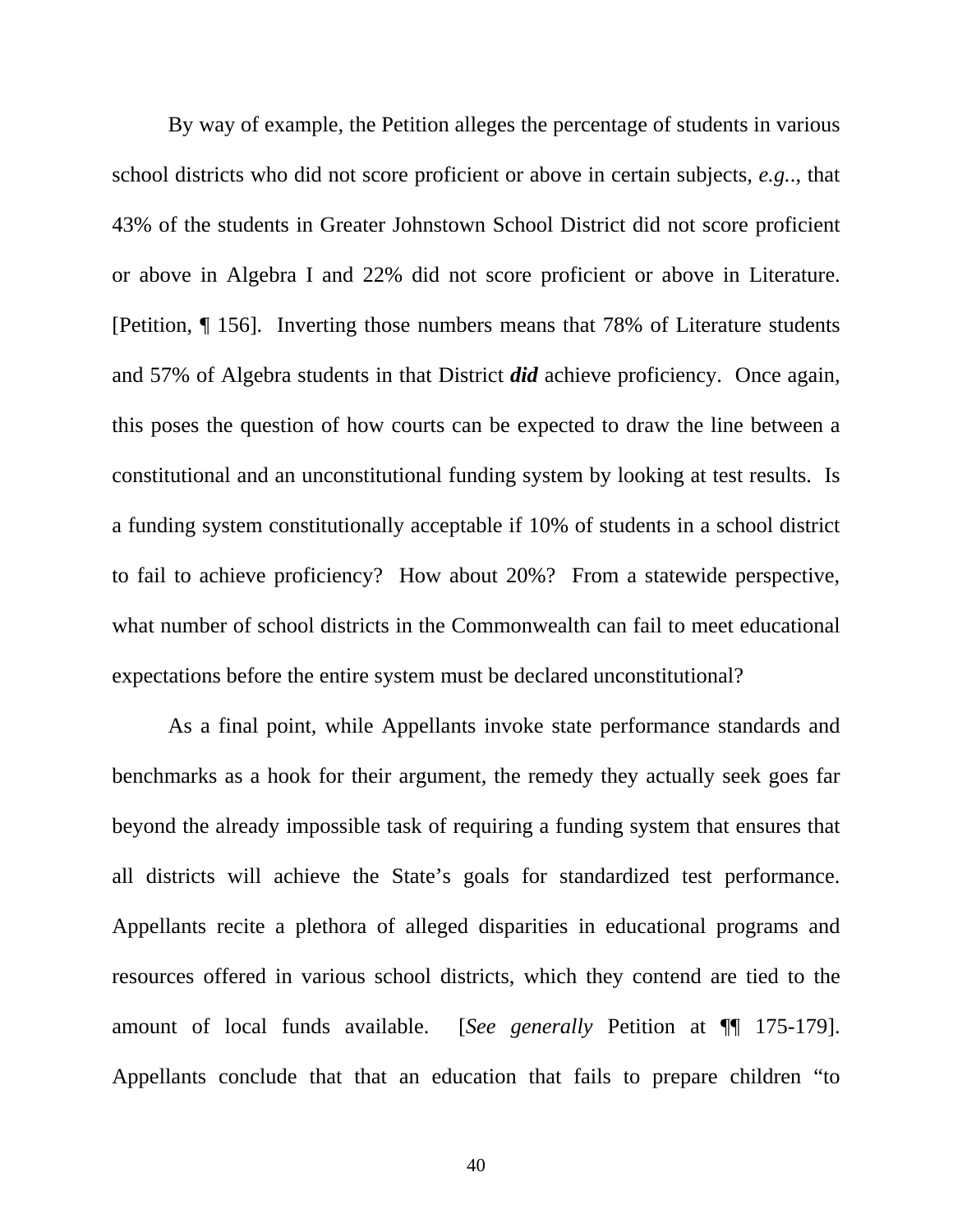By way of example, the Petition alleges the percentage of students in various school districts who did not score proficient or above in certain subjects, *e.g.*., that 43% of the students in Greater Johnstown School District did not score proficient or above in Algebra I and 22% did not score proficient or above in Literature. [Petition, ¶ 156]. Inverting those numbers means that 78% of Literature students and 57% of Algebra students in that District *did* achieve proficiency. Once again, this poses the question of how courts can be expected to draw the line between a constitutional and an unconstitutional funding system by looking at test results. Is a funding system constitutionally acceptable if 10% of students in a school district to fail to achieve proficiency? How about 20%? From a statewide perspective, what number of school districts in the Commonwealth can fail to meet educational expectations before the entire system must be declared unconstitutional?

As a final point, while Appellants invoke state performance standards and benchmarks as a hook for their argument, the remedy they actually seek goes far beyond the already impossible task of requiring a funding system that ensures that all districts will achieve the State's goals for standardized test performance. Appellants recite a plethora of alleged disparities in educational programs and resources offered in various school districts, which they contend are tied to the amount of local funds available. [*See generally* Petition at ¶¶ 175-179]. Appellants conclude that that an education that fails to prepare children "to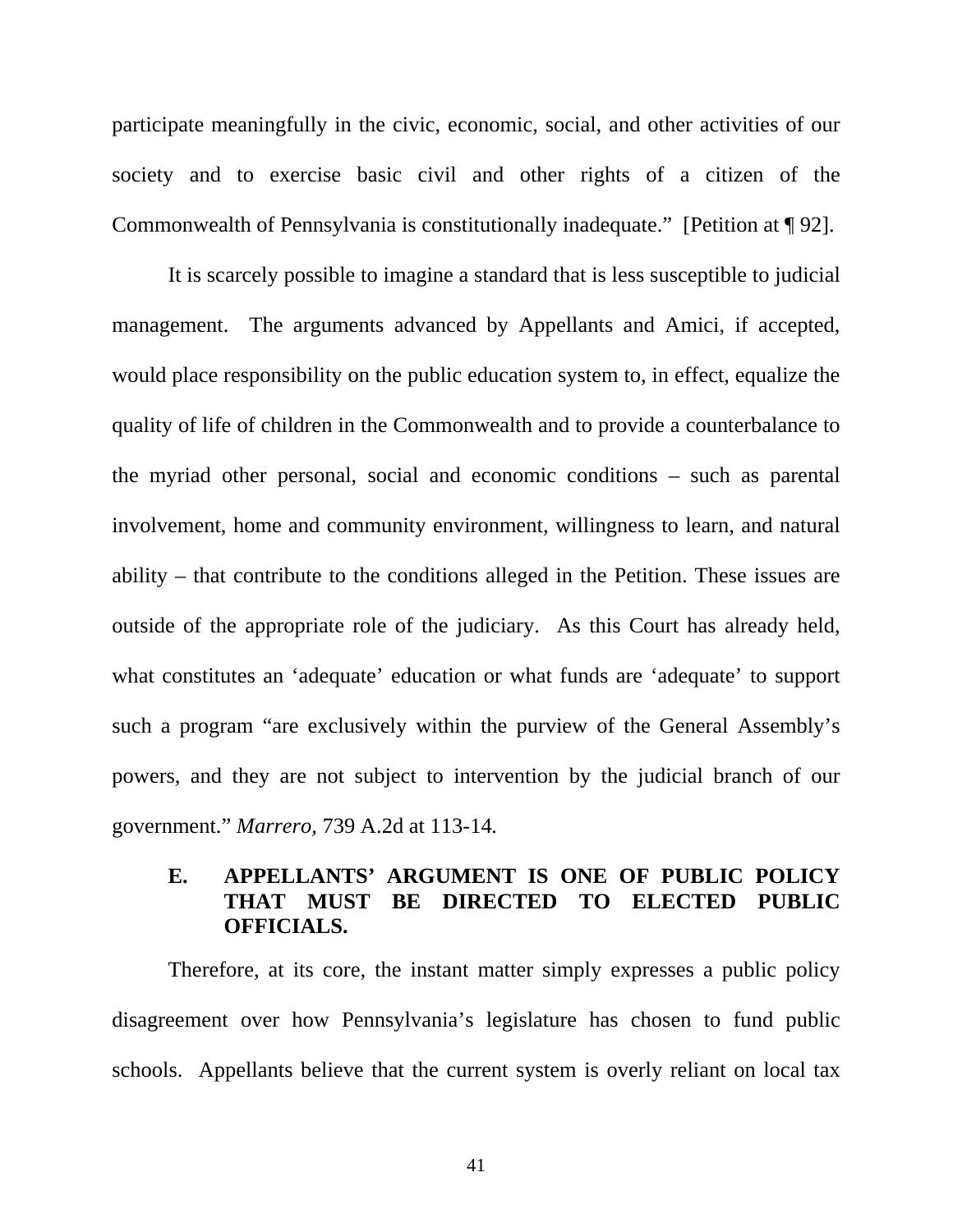participate meaningfully in the civic, economic, social, and other activities of our society and to exercise basic civil and other rights of a citizen of the Commonwealth of Pennsylvania is constitutionally inadequate." [Petition at ¶ 92].

It is scarcely possible to imagine a standard that is less susceptible to judicial management. The arguments advanced by Appellants and Amici, if accepted, would place responsibility on the public education system to, in effect, equalize the quality of life of children in the Commonwealth and to provide a counterbalance to the myriad other personal, social and economic conditions – such as parental involvement, home and community environment, willingness to learn, and natural ability – that contribute to the conditions alleged in the Petition. These issues are outside of the appropriate role of the judiciary. As this Court has already held, what constitutes an 'adequate' education or what funds are 'adequate' to support such a program "are exclusively within the purview of the General Assembly's powers, and they are not subject to intervention by the judicial branch of our government." *Marrero,* 739 A.2d at 113-14*.*

## **E. APPELLANTS' ARGUMENT IS ONE OF PUBLIC POLICY THAT MUST BE DIRECTED TO ELECTED PUBLIC OFFICIALS.**

Therefore, at its core, the instant matter simply expresses a public policy disagreement over how Pennsylvania's legislature has chosen to fund public schools. Appellants believe that the current system is overly reliant on local tax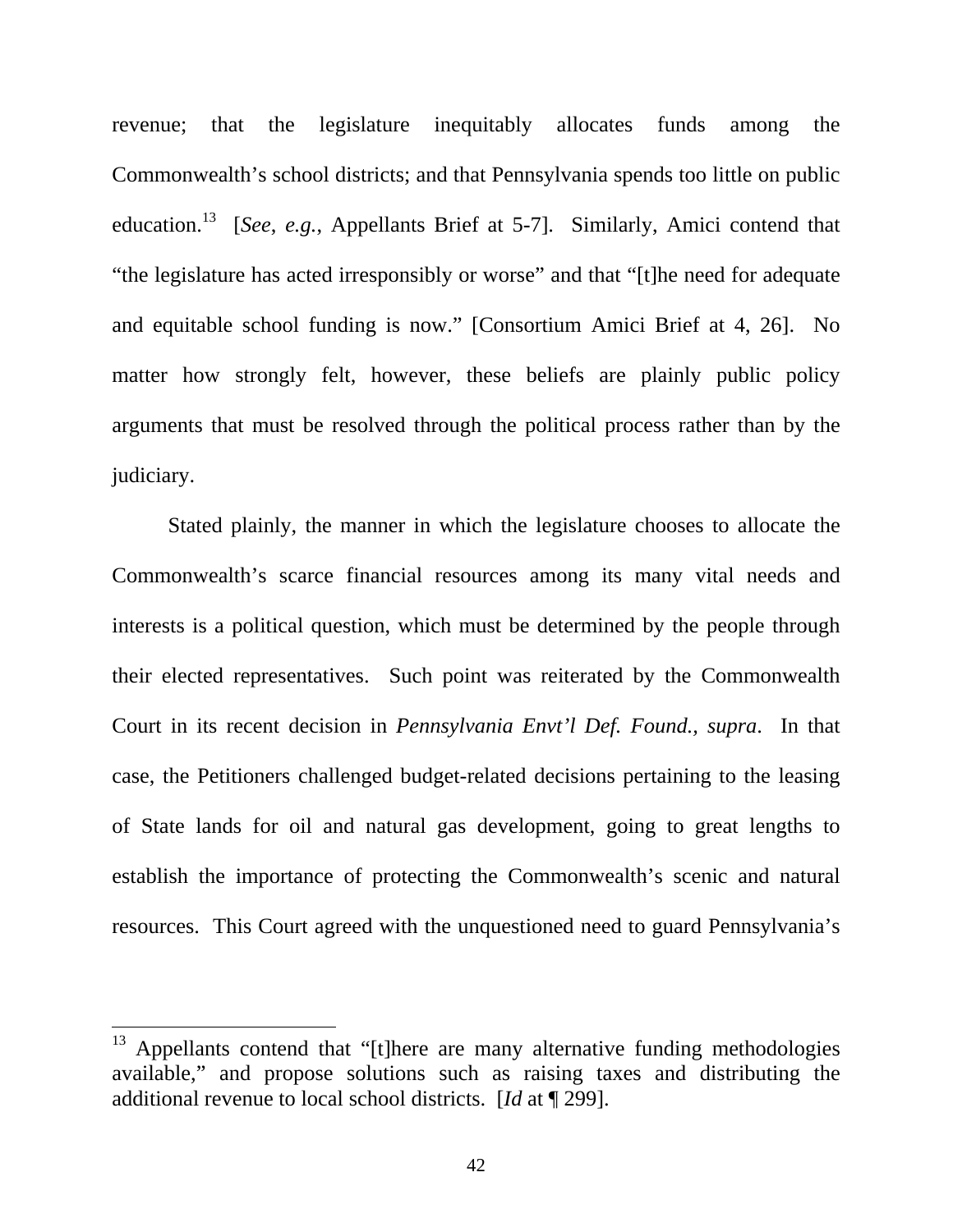revenue; that the legislature inequitably allocates funds among the Commonwealth's school districts; and that Pennsylvania spends too little on public education.13 [*See*, *e.g.*, Appellants Brief at 5-7]. Similarly, Amici contend that "the legislature has acted irresponsibly or worse" and that "[t]he need for adequate and equitable school funding is now." [Consortium Amici Brief at 4, 26]. No matter how strongly felt, however, these beliefs are plainly public policy arguments that must be resolved through the political process rather than by the judiciary.

Stated plainly, the manner in which the legislature chooses to allocate the Commonwealth's scarce financial resources among its many vital needs and interests is a political question, which must be determined by the people through their elected representatives. Such point was reiterated by the Commonwealth Court in its recent decision in *Pennsylvania Envt'l Def. Found., supra*. In that case, the Petitioners challenged budget-related decisions pertaining to the leasing of State lands for oil and natural gas development, going to great lengths to establish the importance of protecting the Commonwealth's scenic and natural resources. This Court agreed with the unquestioned need to guard Pennsylvania's

 $13$  Appellants contend that "[t]here are many alternative funding methodologies available," and propose solutions such as raising taxes and distributing the additional revenue to local school districts. [*Id* at ¶ 299].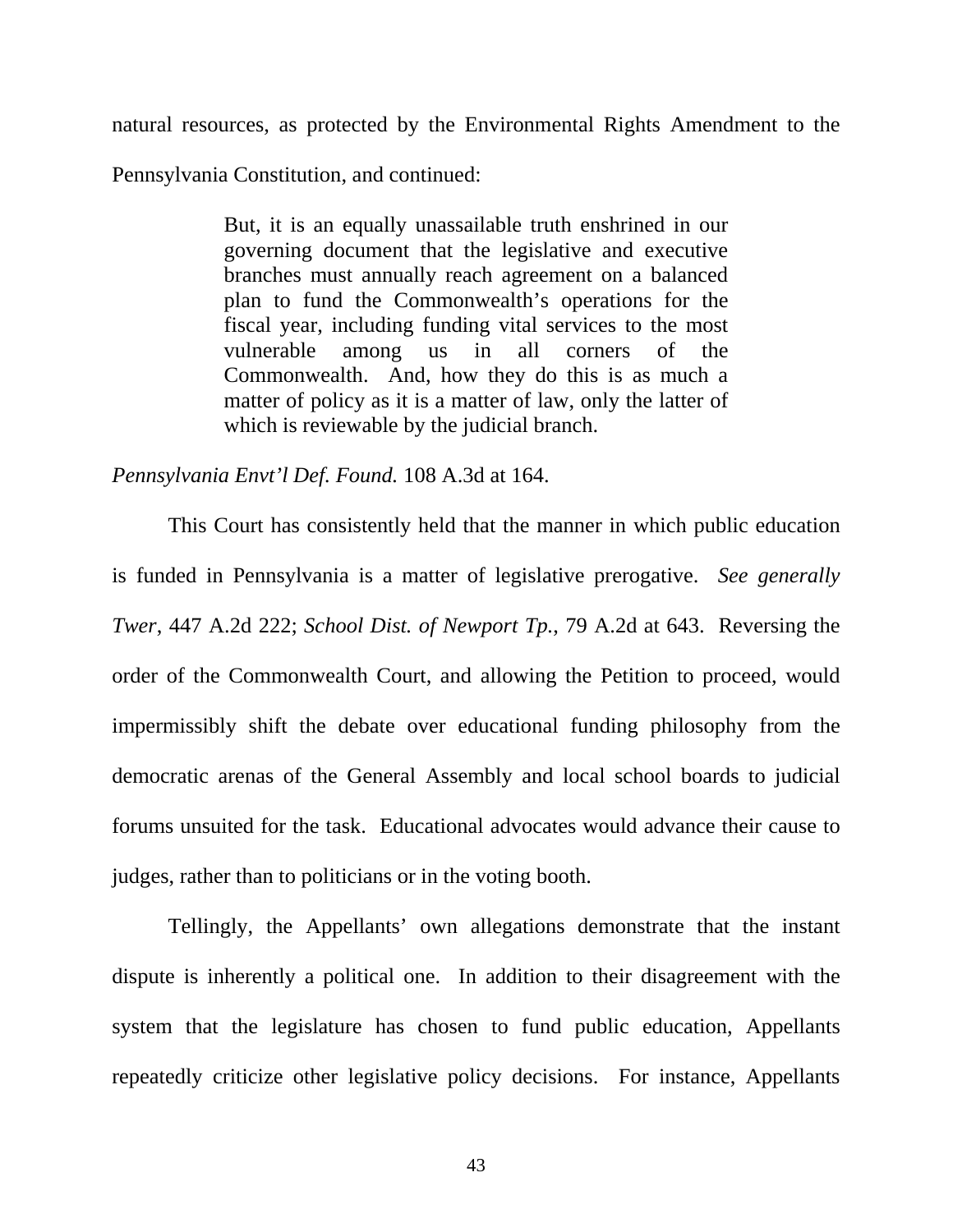natural resources, as protected by the Environmental Rights Amendment to the

Pennsylvania Constitution, and continued:

But, it is an equally unassailable truth enshrined in our governing document that the legislative and executive branches must annually reach agreement on a balanced plan to fund the Commonwealth's operations for the fiscal year, including funding vital services to the most vulnerable among us in all corners of the Commonwealth. And, how they do this is as much a matter of policy as it is a matter of law, only the latter of which is reviewable by the judicial branch.

*Pennsylvania Envt'l Def. Found.* 108 A.3d at 164.

This Court has consistently held that the manner in which public education is funded in Pennsylvania is a matter of legislative prerogative. *See generally Twer*, 447 A.2d 222; *School Dist. of Newport Tp.*, 79 A.2d at 643. Reversing the order of the Commonwealth Court, and allowing the Petition to proceed, would impermissibly shift the debate over educational funding philosophy from the democratic arenas of the General Assembly and local school boards to judicial forums unsuited for the task. Educational advocates would advance their cause to judges, rather than to politicians or in the voting booth.

Tellingly, the Appellants' own allegations demonstrate that the instant dispute is inherently a political one. In addition to their disagreement with the system that the legislature has chosen to fund public education, Appellants repeatedly criticize other legislative policy decisions. For instance, Appellants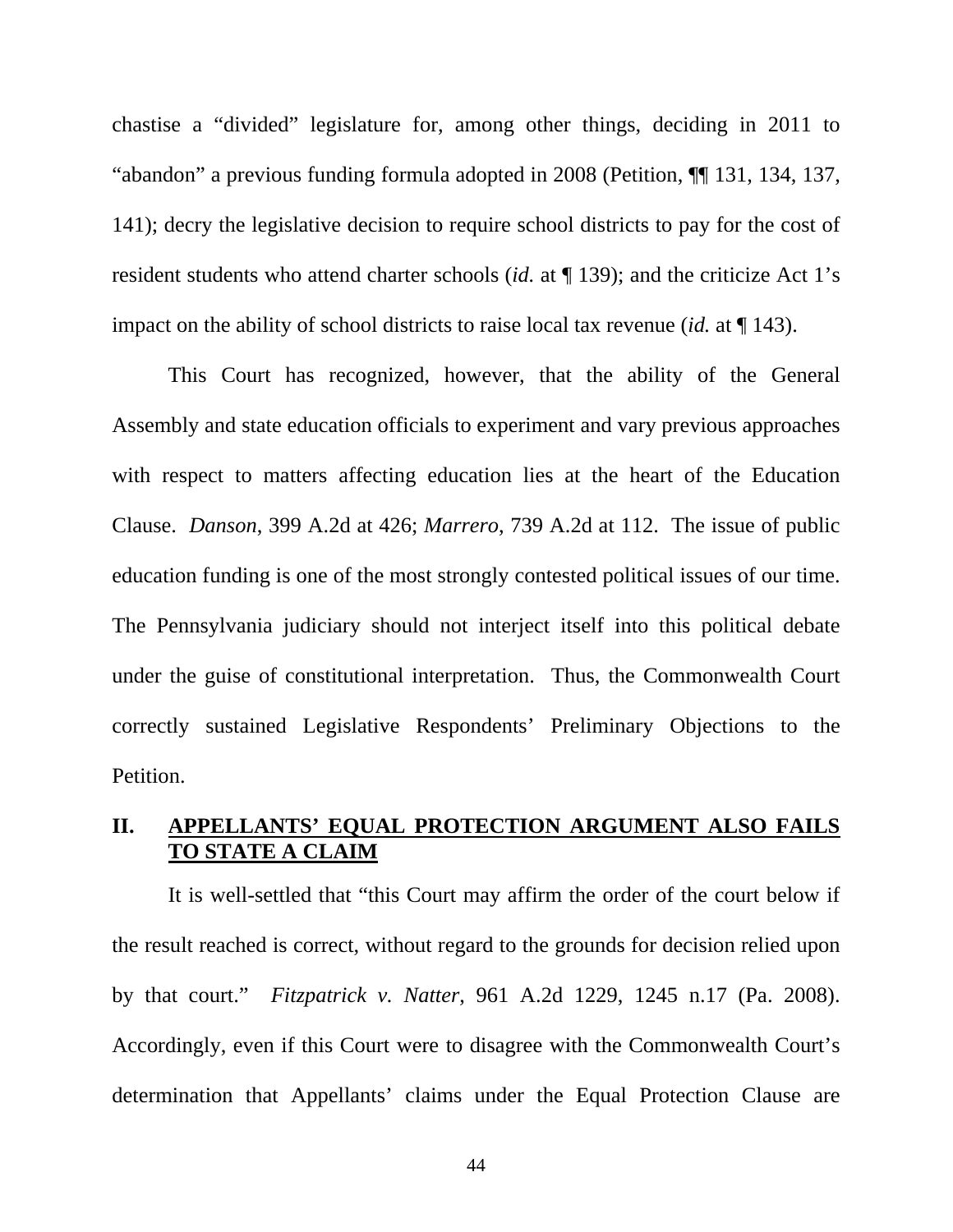chastise a "divided" legislature for, among other things, deciding in 2011 to "abandon" a previous funding formula adopted in 2008 (Petition, ¶¶ 131, 134, 137, 141); decry the legislative decision to require school districts to pay for the cost of resident students who attend charter schools (*id.* at ¶ 139); and the criticize Act 1's impact on the ability of school districts to raise local tax revenue (*id.* at ¶ 143).

This Court has recognized, however, that the ability of the General Assembly and state education officials to experiment and vary previous approaches with respect to matters affecting education lies at the heart of the Education Clause. *Danson*, 399 A.2d at 426; *Marrero*, 739 A.2d at 112. The issue of public education funding is one of the most strongly contested political issues of our time. The Pennsylvania judiciary should not interject itself into this political debate under the guise of constitutional interpretation. Thus, the Commonwealth Court correctly sustained Legislative Respondents' Preliminary Objections to the Petition.

## **II. APPELLANTS' EQUAL PROTECTION ARGUMENT ALSO FAILS TO STATE A CLAIM**

It is well-settled that "this Court may affirm the order of the court below if the result reached is correct, without regard to the grounds for decision relied upon by that court." *Fitzpatrick v. Natter*, 961 A.2d 1229, 1245 n.17 (Pa. 2008). Accordingly, even if this Court were to disagree with the Commonwealth Court's determination that Appellants' claims under the Equal Protection Clause are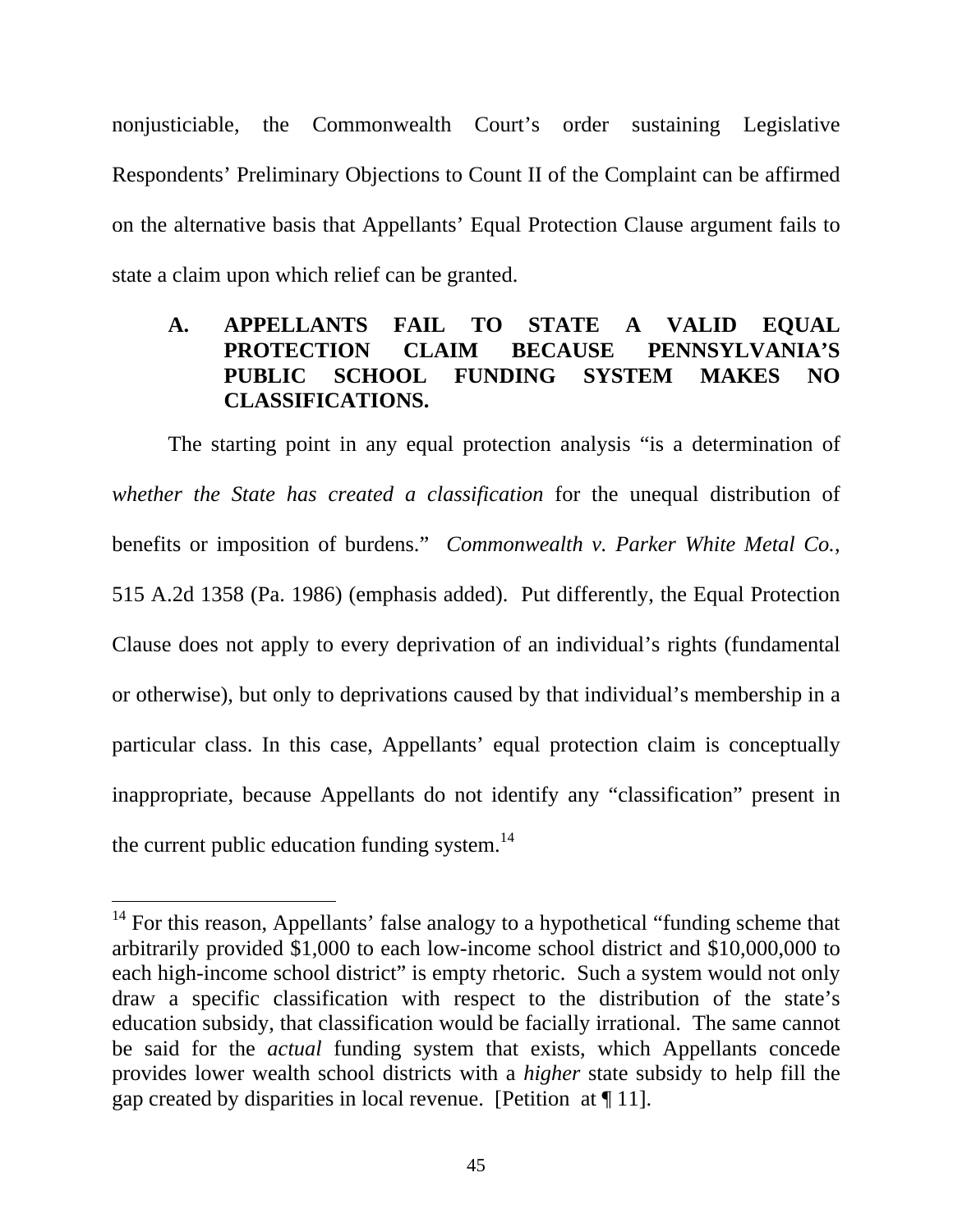nonjusticiable, the Commonwealth Court's order sustaining Legislative Respondents' Preliminary Objections to Count II of the Complaint can be affirmed on the alternative basis that Appellants' Equal Protection Clause argument fails to state a claim upon which relief can be granted.

## **A. APPELLANTS FAIL TO STATE A VALID EQUAL PROTECTION CLAIM BECAUSE PENNSYLVANIA'S PUBLIC SCHOOL FUNDING SYSTEM MAKES NO CLASSIFICATIONS.**

The starting point in any equal protection analysis "is a determination of *whether the State has created a classification* for the unequal distribution of benefits or imposition of burdens." *Commonwealth v. Parker White Metal Co.*, 515 A.2d 1358 (Pa. 1986) (emphasis added). Put differently, the Equal Protection Clause does not apply to every deprivation of an individual's rights (fundamental or otherwise), but only to deprivations caused by that individual's membership in a particular class. In this case, Appellants' equal protection claim is conceptually inappropriate, because Appellants do not identify any "classification" present in the current public education funding system. $^{14}$ 

 $14$  For this reason, Appellants' false analogy to a hypothetical "funding scheme that arbitrarily provided \$1,000 to each low-income school district and \$10,000,000 to each high-income school district" is empty rhetoric. Such a system would not only draw a specific classification with respect to the distribution of the state's education subsidy, that classification would be facially irrational. The same cannot be said for the *actual* funding system that exists, which Appellants concede provides lower wealth school districts with a *higher* state subsidy to help fill the gap created by disparities in local revenue. [Petition at ¶ 11].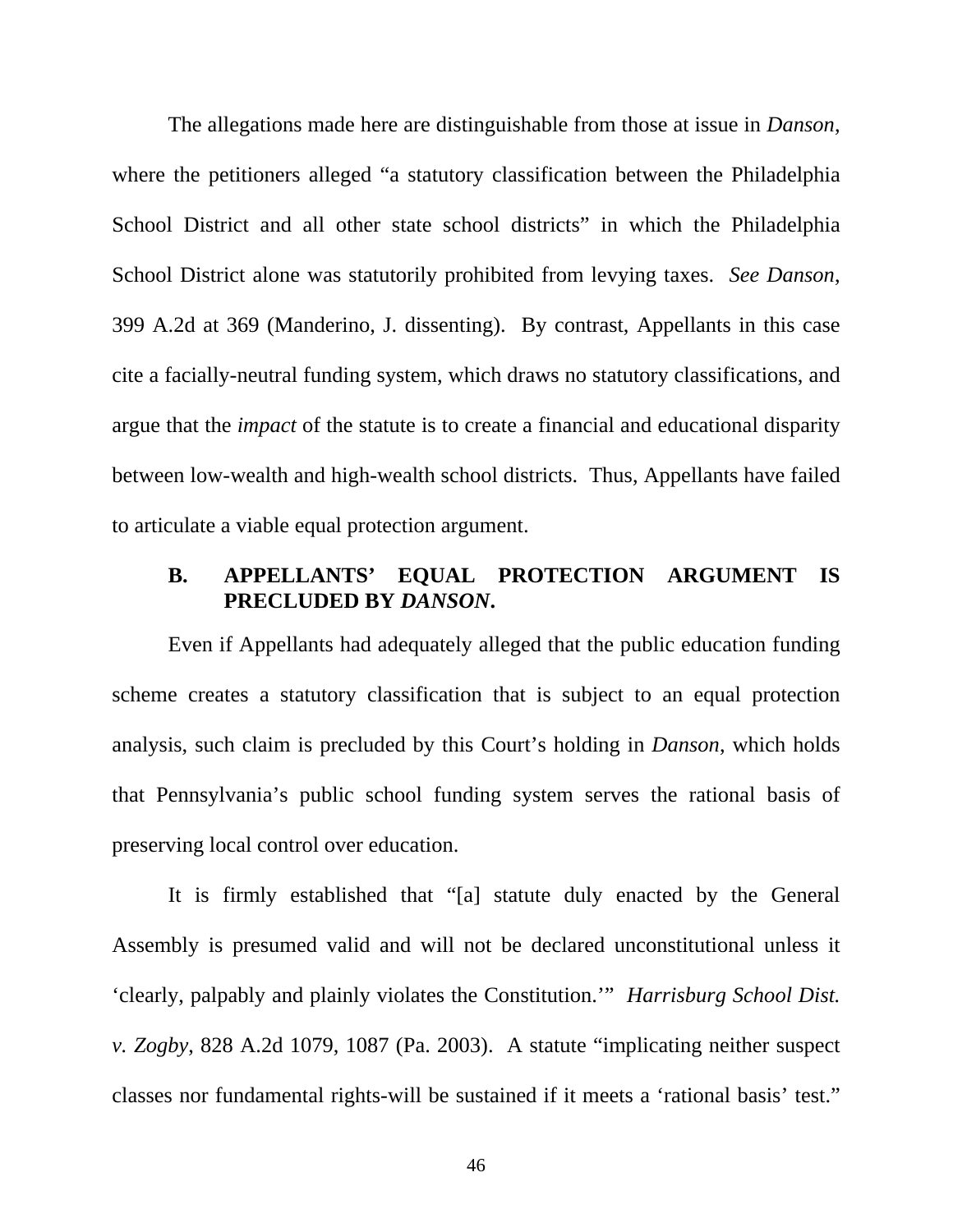The allegations made here are distinguishable from those at issue in *Danson*, where the petitioners alleged "a statutory classification between the Philadelphia School District and all other state school districts" in which the Philadelphia School District alone was statutorily prohibited from levying taxes. *See Danson*, 399 A.2d at 369 (Manderino, J. dissenting). By contrast, Appellants in this case cite a facially-neutral funding system, which draws no statutory classifications, and argue that the *impact* of the statute is to create a financial and educational disparity between low-wealth and high-wealth school districts. Thus, Appellants have failed to articulate a viable equal protection argument.

#### **B. APPELLANTS' EQUAL PROTECTION ARGUMENT IS PRECLUDED BY** *DANSON***.**

Even if Appellants had adequately alleged that the public education funding scheme creates a statutory classification that is subject to an equal protection analysis, such claim is precluded by this Court's holding in *Danson*, which holds that Pennsylvania's public school funding system serves the rational basis of preserving local control over education.

It is firmly established that "[a] statute duly enacted by the General Assembly is presumed valid and will not be declared unconstitutional unless it 'clearly, palpably and plainly violates the Constitution.'" *Harrisburg School Dist. v. Zogby*, 828 A.2d 1079, 1087 (Pa. 2003). A statute "implicating neither suspect classes nor fundamental rights-will be sustained if it meets a 'rational basis' test."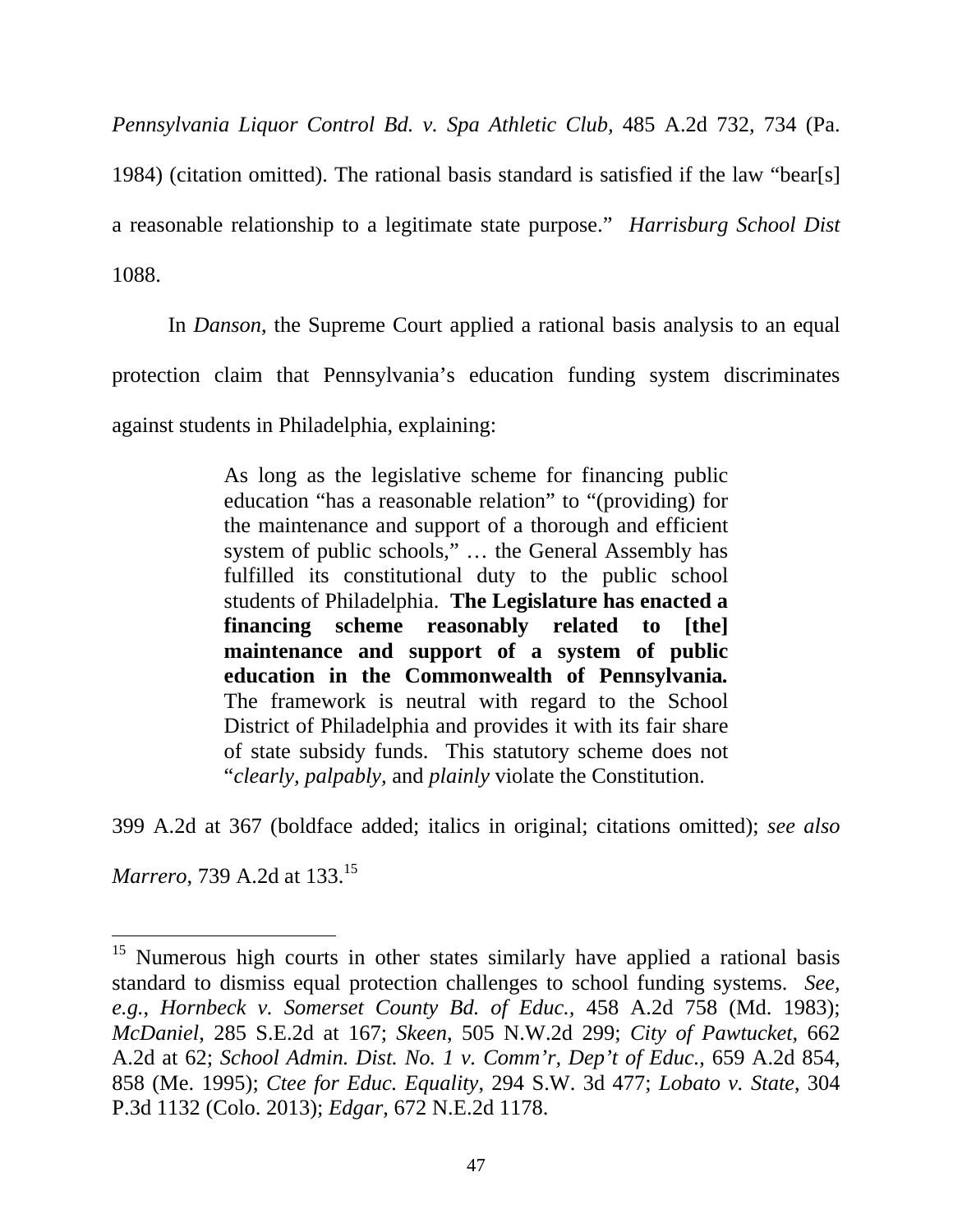*Pennsylvania Liquor Control Bd. v. Spa Athletic Club,* 485 A.2d 732, 734 (Pa.

1984) (citation omitted). The rational basis standard is satisfied if the law "bear[s]

a reasonable relationship to a legitimate state purpose." *Harrisburg School Dist*

1088.

In *Danson*, the Supreme Court applied a rational basis analysis to an equal protection claim that Pennsylvania's education funding system discriminates against students in Philadelphia, explaining:

> As long as the legislative scheme for financing public education "has a reasonable relation" to "(providing) for the maintenance and support of a thorough and efficient system of public schools," … the General Assembly has fulfilled its constitutional duty to the public school students of Philadelphia. **The Legislature has enacted a financing scheme reasonably related to [the] maintenance and support of a system of public education in the Commonwealth of Pennsylvania***.* The framework is neutral with regard to the School District of Philadelphia and provides it with its fair share of state subsidy funds. This statutory scheme does not "*clearly, palpably,* and *plainly* violate the Constitution.

399 A.2d at 367 (boldface added; italics in original; citations omitted); *see also* 

*Marrero*, 739 A.2d at 133.15

<sup>&</sup>lt;sup>15</sup> Numerous high courts in other states similarly have applied a rational basis standard to dismiss equal protection challenges to school funding systems. *See, e.g.*, *Hornbeck v. Somerset County Bd. of Educ.,* 458 A.2d 758 (Md. 1983); *McDaniel*, 285 S.E.2d at 167; *Skeen*, 505 N.W.2d 299; *City of Pawtucket,* 662 A.2d at 62; *School Admin. Dist. No. 1 v. Comm'r, Dep't of Educ.*, 659 A.2d 854, 858 (Me. 1995); *Ctee for Educ. Equality*, 294 S.W. 3d 477; *Lobato v. State*, 304 P.3d 1132 (Colo. 2013); *Edgar*, 672 N.E.2d 1178.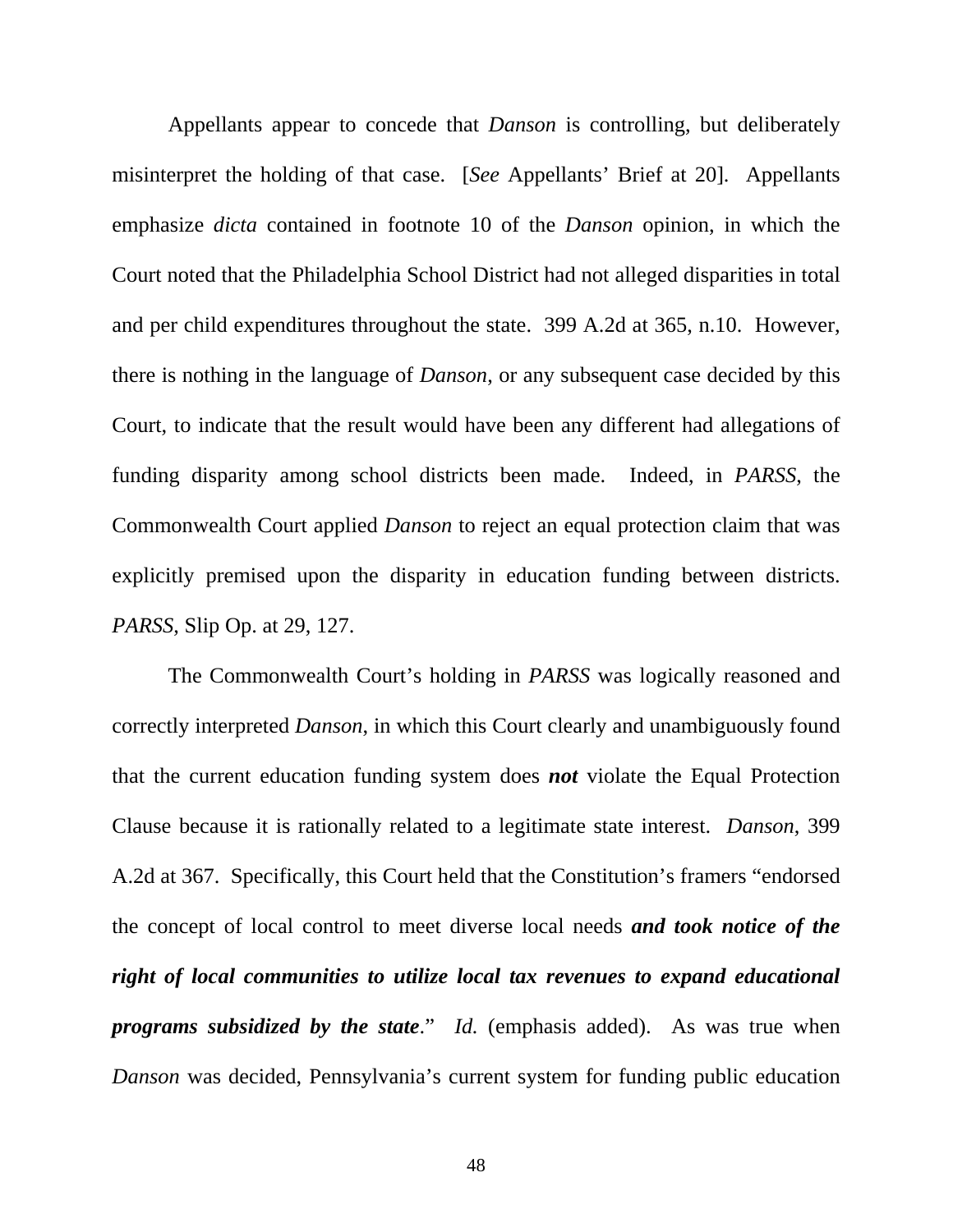Appellants appear to concede that *Danson* is controlling, but deliberately misinterpret the holding of that case. [*See* Appellants' Brief at 20]. Appellants emphasize *dicta* contained in footnote 10 of the *Danson* opinion, in which the Court noted that the Philadelphia School District had not alleged disparities in total and per child expenditures throughout the state. 399 A.2d at 365, n.10. However, there is nothing in the language of *Danson*, or any subsequent case decided by this Court, to indicate that the result would have been any different had allegations of funding disparity among school districts been made. Indeed, in *PARSS*, the Commonwealth Court applied *Danson* to reject an equal protection claim that was explicitly premised upon the disparity in education funding between districts. *PARSS*, Slip Op. at 29, 127.

The Commonwealth Court's holding in *PARSS* was logically reasoned and correctly interpreted *Danson*, in which this Court clearly and unambiguously found that the current education funding system does *not* violate the Equal Protection Clause because it is rationally related to a legitimate state interest. *Danson*, 399 A.2d at 367. Specifically, this Court held that the Constitution's framers "endorsed the concept of local control to meet diverse local needs *and took notice of the right of local communities to utilize local tax revenues to expand educational programs subsidized by the state*." *Id.* (emphasis added).As was true when *Danson* was decided, Pennsylvania's current system for funding public education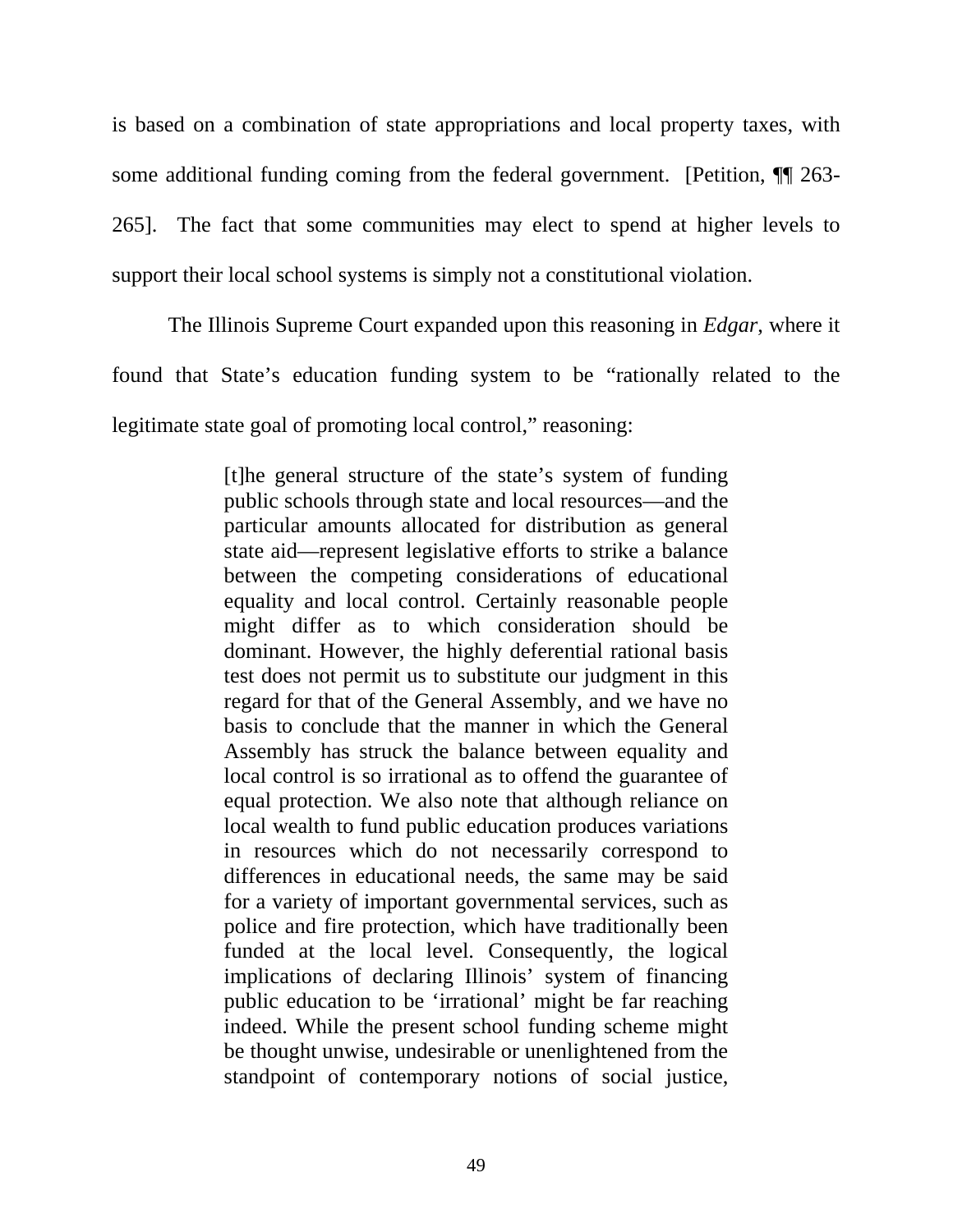is based on a combination of state appropriations and local property taxes, with some additional funding coming from the federal government. [Petition,  $\P$  263-265]. The fact that some communities may elect to spend at higher levels to support their local school systems is simply not a constitutional violation.

The Illinois Supreme Court expanded upon this reasoning in *Edgar*, where it found that State's education funding system to be "rationally related to the legitimate state goal of promoting local control," reasoning:

> [t]he general structure of the state's system of funding public schools through state and local resources—and the particular amounts allocated for distribution as general state aid—represent legislative efforts to strike a balance between the competing considerations of educational equality and local control. Certainly reasonable people might differ as to which consideration should be dominant. However, the highly deferential rational basis test does not permit us to substitute our judgment in this regard for that of the General Assembly, and we have no basis to conclude that the manner in which the General Assembly has struck the balance between equality and local control is so irrational as to offend the guarantee of equal protection. We also note that although reliance on local wealth to fund public education produces variations in resources which do not necessarily correspond to differences in educational needs, the same may be said for a variety of important governmental services, such as police and fire protection, which have traditionally been funded at the local level. Consequently, the logical implications of declaring Illinois' system of financing public education to be 'irrational' might be far reaching indeed. While the present school funding scheme might be thought unwise, undesirable or unenlightened from the standpoint of contemporary notions of social justice,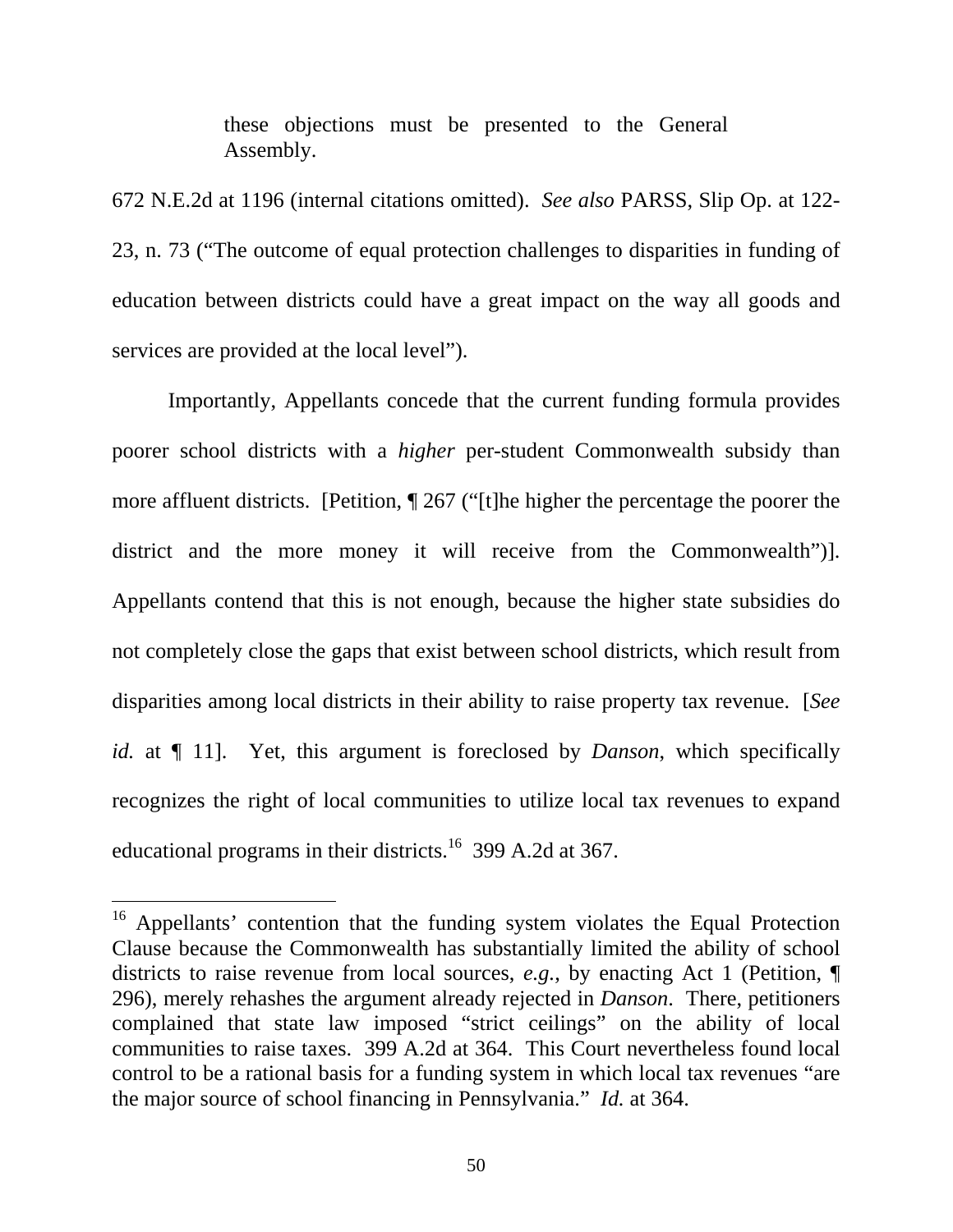these objections must be presented to the General Assembly.

672 N.E.2d at 1196 (internal citations omitted). *See also* PARSS, Slip Op. at 122- 23, n. 73 ("The outcome of equal protection challenges to disparities in funding of education between districts could have a great impact on the way all goods and services are provided at the local level").

Importantly, Appellants concede that the current funding formula provides poorer school districts with a *higher* per-student Commonwealth subsidy than more affluent districts. [Petition, ¶ 267 ("[t]he higher the percentage the poorer the district and the more money it will receive from the Commonwealth")]. Appellants contend that this is not enough, because the higher state subsidies do not completely close the gaps that exist between school districts, which result from disparities among local districts in their ability to raise property tax revenue. [*See id.* at  $\P$  11]. Yet, this argument is foreclosed by *Danson*, which specifically recognizes the right of local communities to utilize local tax revenues to expand educational programs in their districts.<sup>16</sup> 399 A.2d at 367.

<sup>&</sup>lt;sup>16</sup> Appellants' contention that the funding system violates the Equal Protection Clause because the Commonwealth has substantially limited the ability of school districts to raise revenue from local sources, *e.g.*, by enacting Act 1 (Petition, ¶ 296), merely rehashes the argument already rejected in *Danson*. There, petitioners complained that state law imposed "strict ceilings" on the ability of local communities to raise taxes. 399 A.2d at 364. This Court nevertheless found local control to be a rational basis for a funding system in which local tax revenues "are the major source of school financing in Pennsylvania." *Id.* at 364.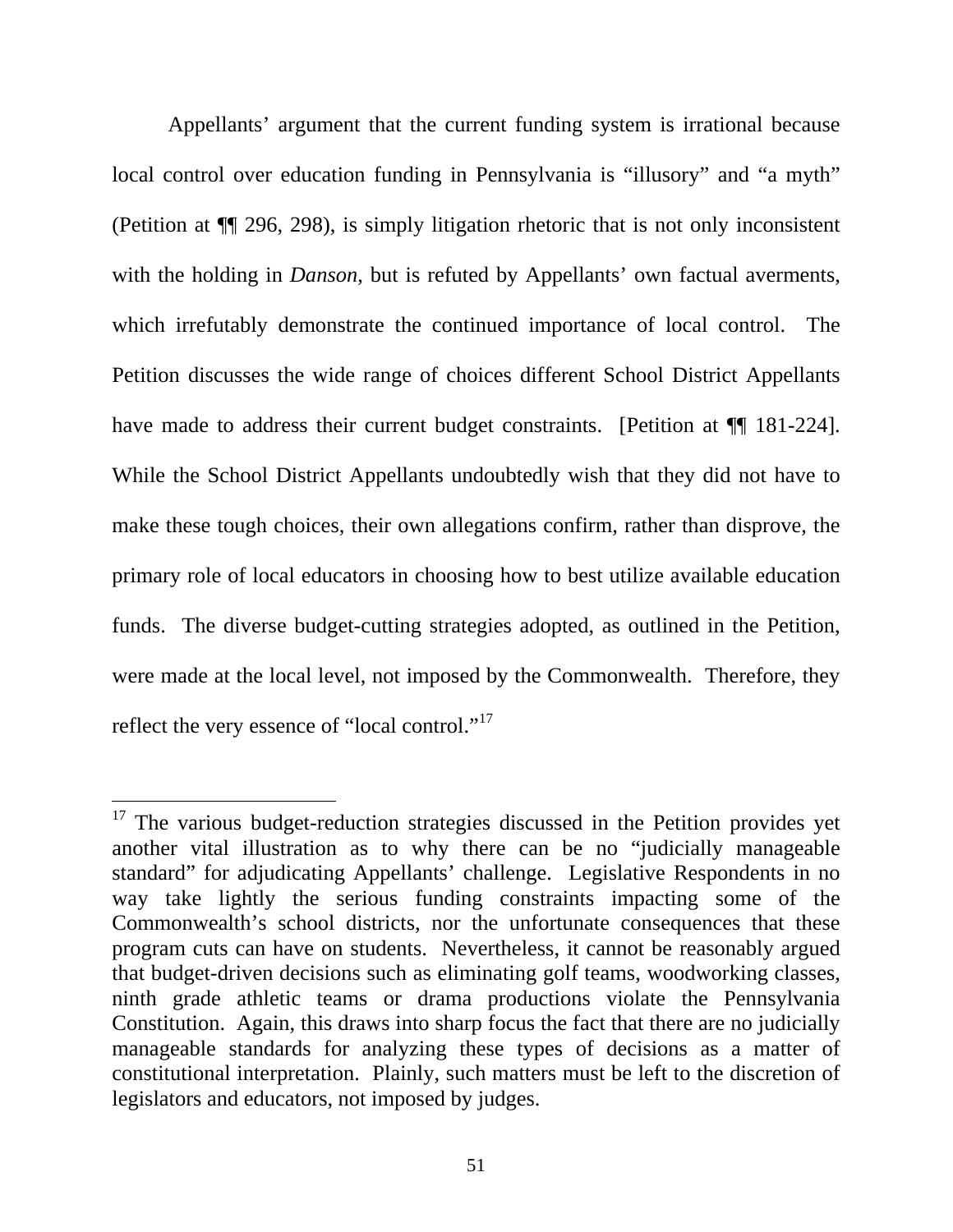Appellants' argument that the current funding system is irrational because local control over education funding in Pennsylvania is "illusory" and "a myth" (Petition at ¶¶ 296, 298), is simply litigation rhetoric that is not only inconsistent with the holding in *Danson*, but is refuted by Appellants' own factual averments, which irrefutably demonstrate the continued importance of local control. The Petition discusses the wide range of choices different School District Appellants have made to address their current budget constraints. [Petition at  $\P$  181-224]. While the School District Appellants undoubtedly wish that they did not have to make these tough choices, their own allegations confirm, rather than disprove, the primary role of local educators in choosing how to best utilize available education funds. The diverse budget-cutting strategies adopted, as outlined in the Petition, were made at the local level, not imposed by the Commonwealth. Therefore, they reflect the very essence of "local control."<sup>17</sup>

<sup>&</sup>lt;sup>17</sup> The various budget-reduction strategies discussed in the Petition provides yet another vital illustration as to why there can be no "judicially manageable standard" for adjudicating Appellants' challenge. Legislative Respondents in no way take lightly the serious funding constraints impacting some of the Commonwealth's school districts, nor the unfortunate consequences that these program cuts can have on students. Nevertheless, it cannot be reasonably argued that budget-driven decisions such as eliminating golf teams, woodworking classes, ninth grade athletic teams or drama productions violate the Pennsylvania Constitution. Again, this draws into sharp focus the fact that there are no judicially manageable standards for analyzing these types of decisions as a matter of constitutional interpretation. Plainly, such matters must be left to the discretion of legislators and educators, not imposed by judges.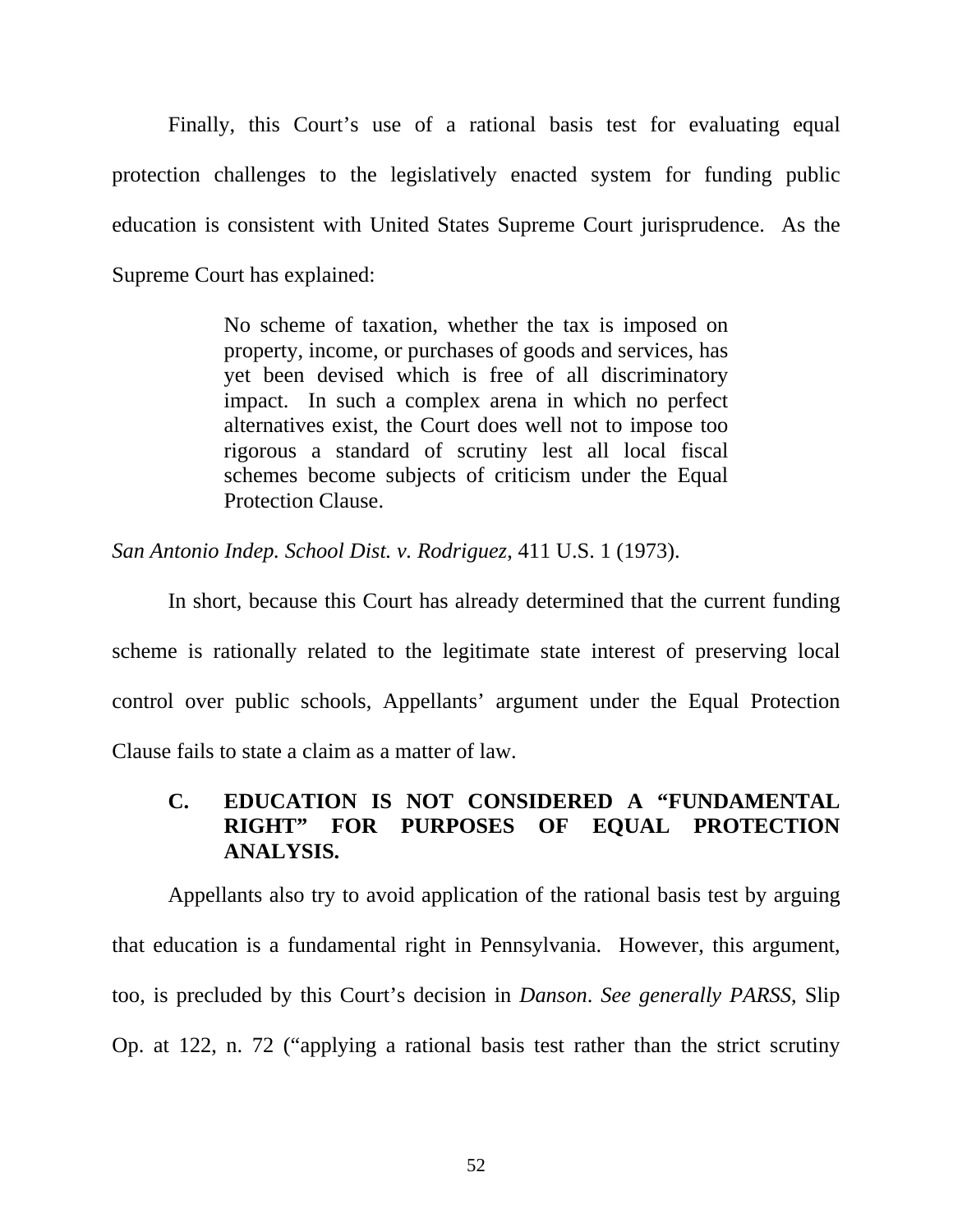Finally, this Court's use of a rational basis test for evaluating equal protection challenges to the legislatively enacted system for funding public education is consistent with United States Supreme Court jurisprudence. As the Supreme Court has explained:

> No scheme of taxation, whether the tax is imposed on property, income, or purchases of goods and services, has yet been devised which is free of all discriminatory impact. In such a complex arena in which no perfect alternatives exist, the Court does well not to impose too rigorous a standard of scrutiny lest all local fiscal schemes become subjects of criticism under the Equal Protection Clause.

*San Antonio Indep. School Dist. v. Rodriguez*, 411 U.S. 1 (1973).

In short, because this Court has already determined that the current funding scheme is rationally related to the legitimate state interest of preserving local control over public schools, Appellants' argument under the Equal Protection Clause fails to state a claim as a matter of law.

## **C. EDUCATION IS NOT CONSIDERED A "FUNDAMENTAL RIGHT" FOR PURPOSES OF EQUAL PROTECTION ANALYSIS.**

Appellants also try to avoid application of the rational basis test by arguing that education is a fundamental right in Pennsylvania. However, this argument, too, is precluded by this Court's decision in *Danson*. *See generally PARSS*, Slip Op. at 122, n. 72 ("applying a rational basis test rather than the strict scrutiny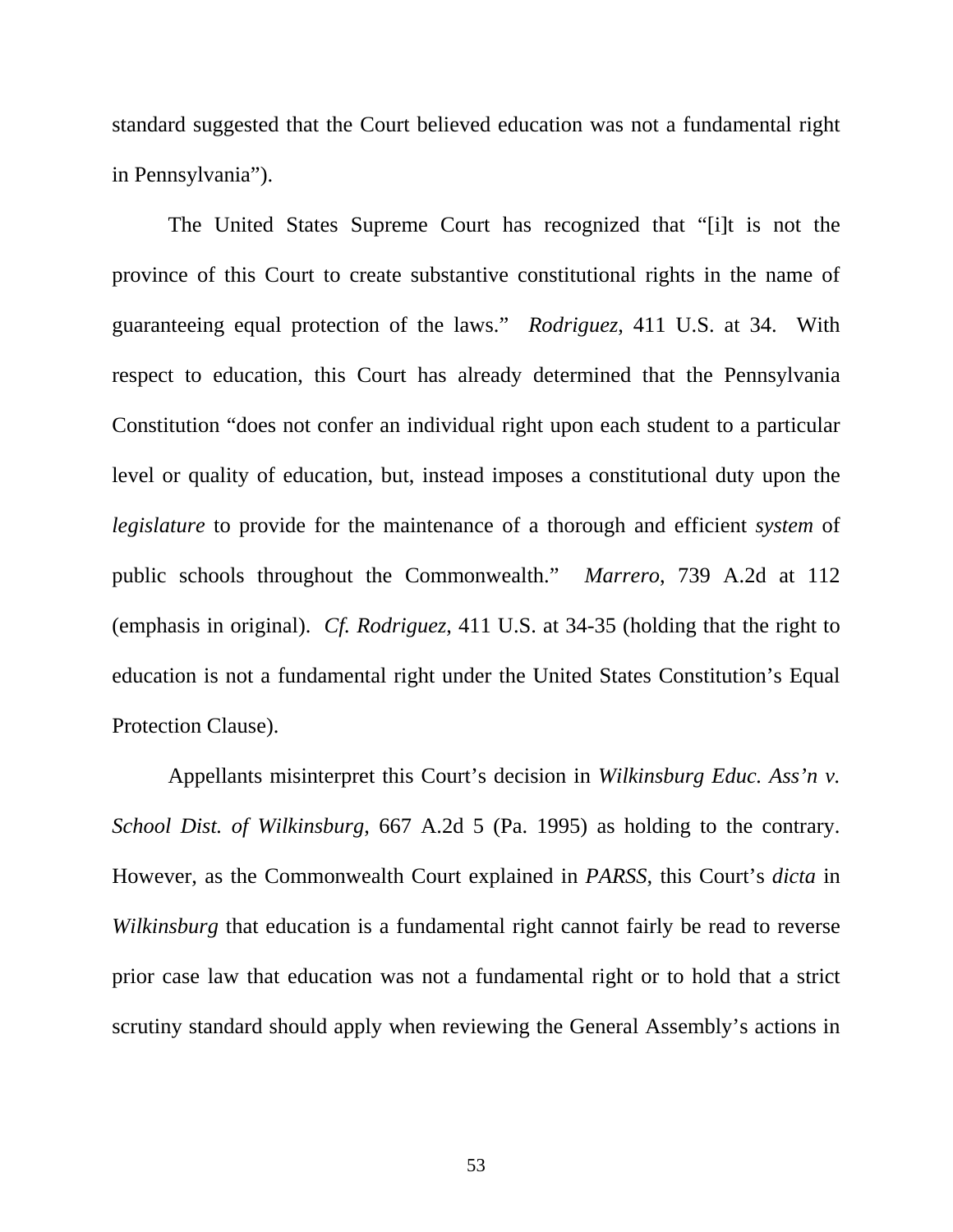standard suggested that the Court believed education was not a fundamental right in Pennsylvania").

The United States Supreme Court has recognized that "[i]t is not the province of this Court to create substantive constitutional rights in the name of guaranteeing equal protection of the laws." *Rodriguez*, 411 U.S. at 34. With respect to education, this Court has already determined that the Pennsylvania Constitution "does not confer an individual right upon each student to a particular level or quality of education, but, instead imposes a constitutional duty upon the *legislature* to provide for the maintenance of a thorough and efficient *system* of public schools throughout the Commonwealth." *Marrero*, 739 A.2d at 112 (emphasis in original). *Cf. Rodriguez*, 411 U.S. at 34-35 (holding that the right to education is not a fundamental right under the United States Constitution's Equal Protection Clause).

Appellants misinterpret this Court's decision in *Wilkinsburg Educ. Ass'n v. School Dist. of Wilkinsburg*, 667 A.2d 5 (Pa. 1995) as holding to the contrary. However, as the Commonwealth Court explained in *PARSS*, this Court's *dicta* in *Wilkinsburg* that education is a fundamental right cannot fairly be read to reverse prior case law that education was not a fundamental right or to hold that a strict scrutiny standard should apply when reviewing the General Assembly's actions in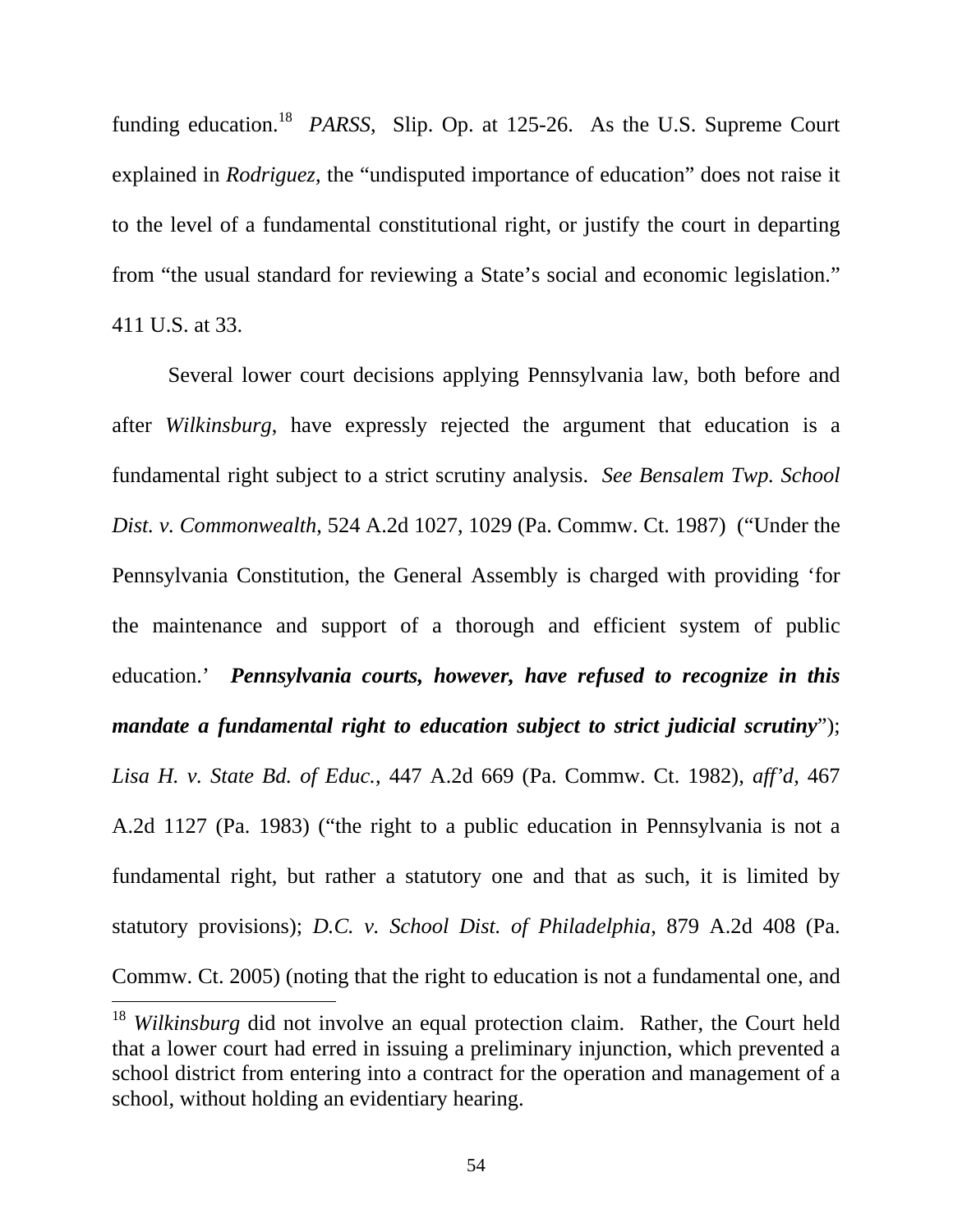funding education.<sup>18</sup> *PARSS*, Slip. Op. at 125-26. As the U.S. Supreme Court explained in *Rodriguez*, the "undisputed importance of education" does not raise it to the level of a fundamental constitutional right, or justify the court in departing from "the usual standard for reviewing a State's social and economic legislation." 411 U.S. at 33.

Several lower court decisions applying Pennsylvania law, both before and after *Wilkinsburg*, have expressly rejected the argument that education is a fundamental right subject to a strict scrutiny analysis. *See Bensalem Twp. School Dist. v. Commonwealth*, 524 A.2d 1027, 1029 (Pa. Commw. Ct. 1987) ("Under the Pennsylvania Constitution, the General Assembly is charged with providing 'for the maintenance and support of a thorough and efficient system of public education.' *Pennsylvania courts, however, have refused to recognize in this mandate a fundamental right to education subject to strict judicial scrutiny*"); *Lisa H. v. State Bd. of Educ.*, 447 A.2d 669 (Pa. Commw. Ct. 1982), *aff'd*, 467 A.2d 1127 (Pa. 1983) ("the right to a public education in Pennsylvania is not a fundamental right, but rather a statutory one and that as such, it is limited by statutory provisions); *D.C. v. School Dist. of Philadelphia*, 879 A.2d 408 (Pa. Commw. Ct. 2005) (noting that the right to education is not a fundamental one, and  $\overline{a}$ 

<sup>&</sup>lt;sup>18</sup> *Wilkinsburg* did not involve an equal protection claim. Rather, the Court held that a lower court had erred in issuing a preliminary injunction, which prevented a school district from entering into a contract for the operation and management of a school, without holding an evidentiary hearing.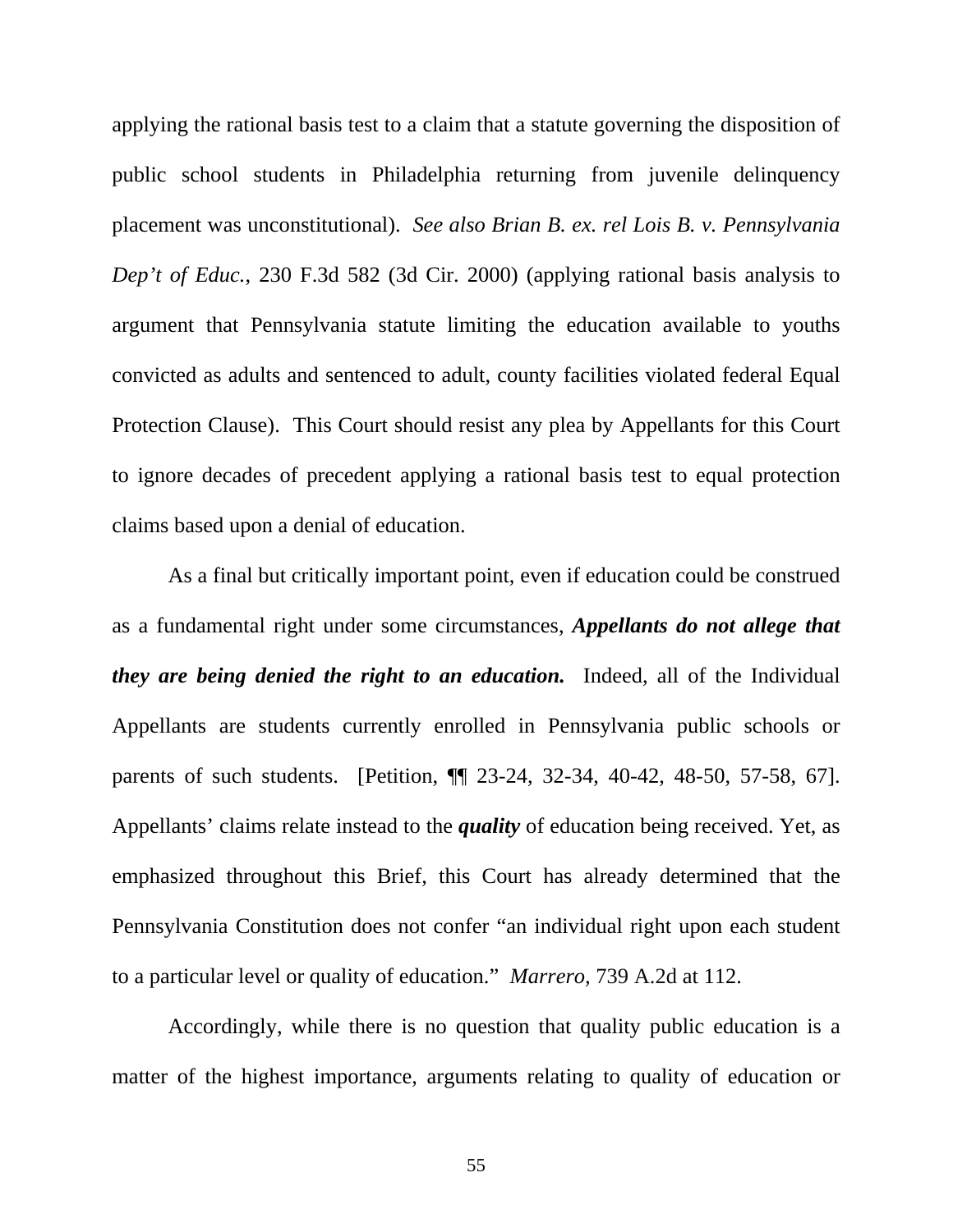applying the rational basis test to a claim that a statute governing the disposition of public school students in Philadelphia returning from juvenile delinquency placement was unconstitutional). *See also Brian B. ex. rel Lois B. v. Pennsylvania Dep't of Educ.*, 230 F.3d 582 (3d Cir. 2000) (applying rational basis analysis to argument that Pennsylvania statute limiting the education available to youths convicted as adults and sentenced to adult, county facilities violated federal Equal Protection Clause). This Court should resist any plea by Appellants for this Court to ignore decades of precedent applying a rational basis test to equal protection claims based upon a denial of education.

As a final but critically important point, even if education could be construed as a fundamental right under some circumstances, *Appellants do not allege that they are being denied the right to an education.* Indeed, all of the Individual Appellants are students currently enrolled in Pennsylvania public schools or parents of such students. [Petition, ¶¶ 23-24, 32-34, 40-42, 48-50, 57-58, 67]. Appellants' claims relate instead to the *quality* of education being received. Yet, as emphasized throughout this Brief, this Court has already determined that the Pennsylvania Constitution does not confer "an individual right upon each student to a particular level or quality of education." *Marrero,* 739 A.2d at 112.

Accordingly, while there is no question that quality public education is a matter of the highest importance, arguments relating to quality of education or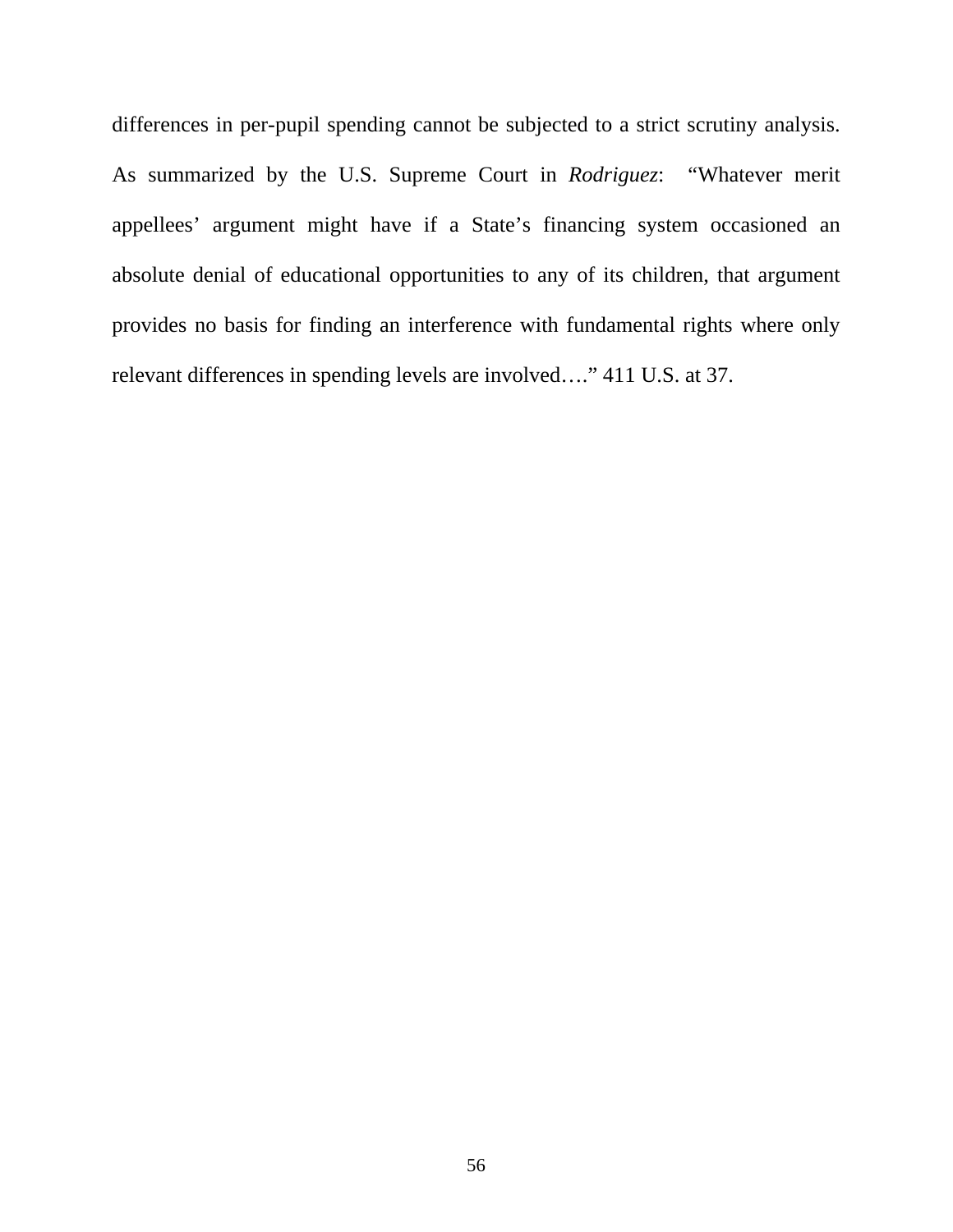differences in per-pupil spending cannot be subjected to a strict scrutiny analysis. As summarized by the U.S. Supreme Court in *Rodriguez*: "Whatever merit appellees' argument might have if a State's financing system occasioned an absolute denial of educational opportunities to any of its children, that argument provides no basis for finding an interference with fundamental rights where only relevant differences in spending levels are involved…." 411 U.S. at 37.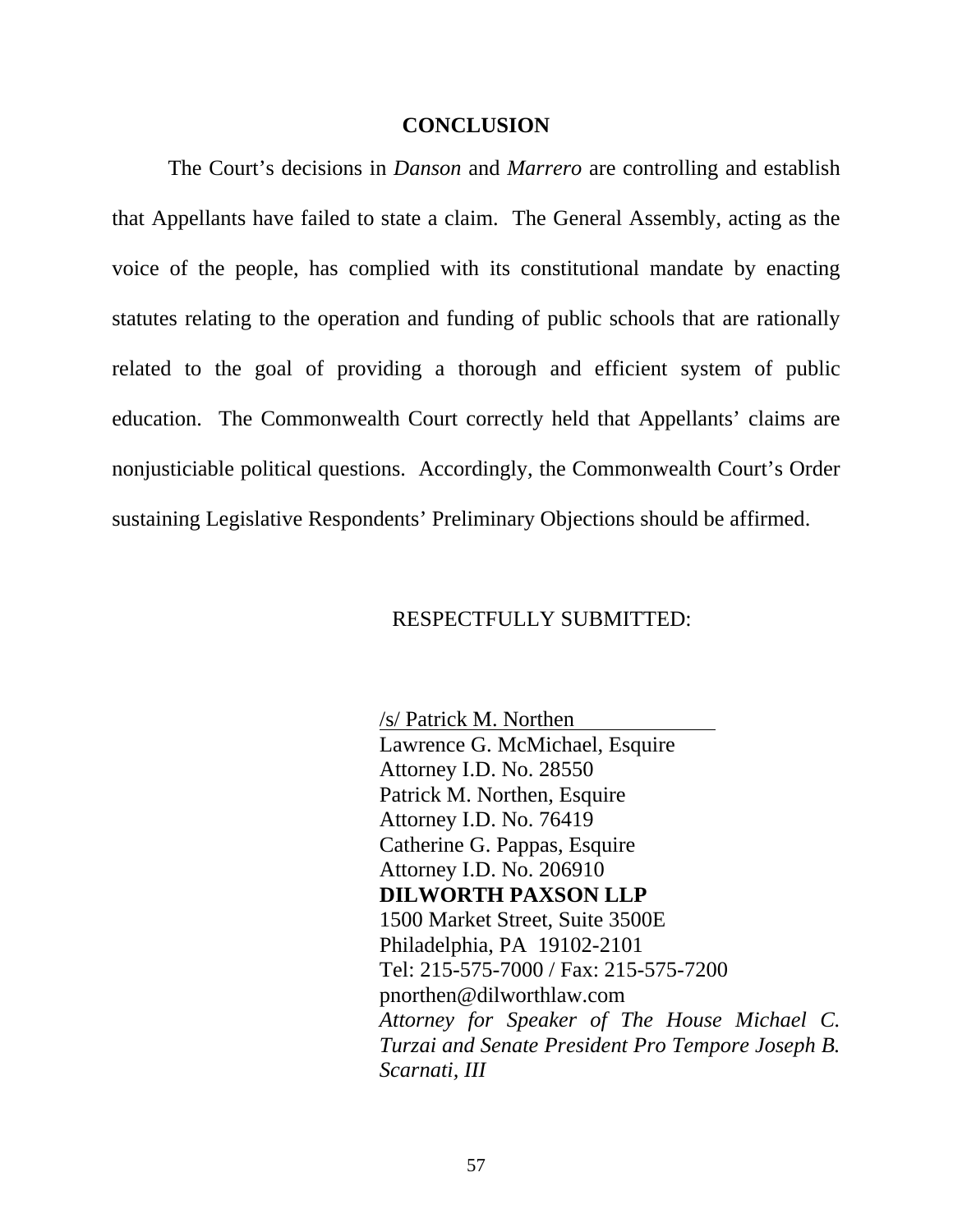#### **CONCLUSION**

The Court's decisions in *Danson* and *Marrero* are controlling and establish that Appellants have failed to state a claim. The General Assembly, acting as the voice of the people, has complied with its constitutional mandate by enacting statutes relating to the operation and funding of public schools that are rationally related to the goal of providing a thorough and efficient system of public education. The Commonwealth Court correctly held that Appellants' claims are nonjusticiable political questions. Accordingly, the Commonwealth Court's Order sustaining Legislative Respondents' Preliminary Objections should be affirmed.

#### RESPECTFULLY SUBMITTED:

/s/ Patrick M. Northen Lawrence G. McMichael, Esquire Attorney I.D. No. 28550 Patrick M. Northen, Esquire Attorney I.D. No. 76419 Catherine G. Pappas, Esquire Attorney I.D. No. 206910 **DILWORTH PAXSON LLP**  1500 Market Street, Suite 3500E Philadelphia, PA 19102-2101 Tel: 215-575-7000 / Fax: 215-575-7200 pnorthen@dilworthlaw.com *Attorney for Speaker of The House Michael C. Turzai and Senate President Pro Tempore Joseph B. Scarnati, III*